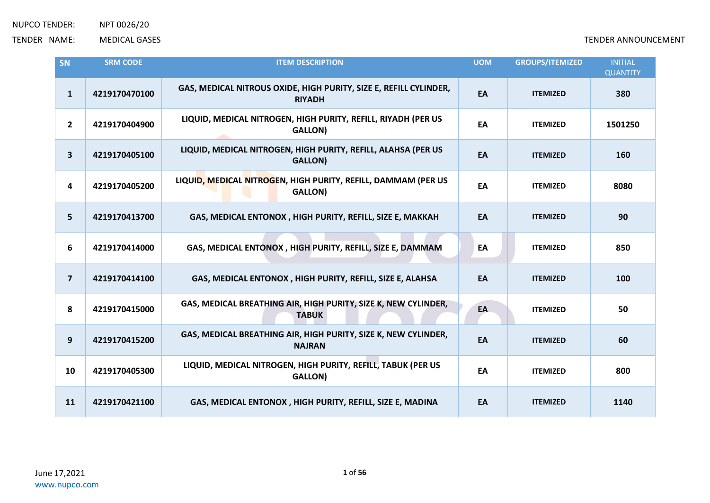| SN                      | <b>SRM CODE</b> | <b>ITEM DESCRIPTION</b>                                                            | <b>UOM</b> | <b>GROUPS/ITEMIZED</b> | <b>INITIAL</b><br><b>QUANTITY</b> |
|-------------------------|-----------------|------------------------------------------------------------------------------------|------------|------------------------|-----------------------------------|
| $\mathbf{1}$            | 4219170470100   | GAS, MEDICAL NITROUS OXIDE, HIGH PURITY, SIZE E, REFILL CYLINDER,<br><b>RIYADH</b> | EA         | <b>ITEMIZED</b>        | 380                               |
| $\overline{2}$          | 4219170404900   | LIQUID, MEDICAL NITROGEN, HIGH PURITY, REFILL, RIYADH (PER US<br>GALLON)           | EA         | <b>ITEMIZED</b>        | 1501250                           |
| $\mathbf{3}$            | 4219170405100   | LIQUID, MEDICAL NITROGEN, HIGH PURITY, REFILL, ALAHSA (PER US<br><b>GALLON)</b>    | EA         | <b>ITEMIZED</b>        | 160                               |
| $\overline{\mathbf{4}}$ | 4219170405200   | LIQUID, MEDICAL NITROGEN, HIGH PURITY, REFILL, DAMMAM (PER US<br><b>GALLON)</b>    | EA         | <b>ITEMIZED</b>        | 8080                              |
| $5\phantom{a}$          | 4219170413700   | GAS, MEDICAL ENTONOX, HIGH PURITY, REFILL, SIZE E, MAKKAH                          | EA         | <b>ITEMIZED</b>        | 90                                |
| 6                       | 4219170414000   | GAS, MEDICAL ENTONOX, HIGH PURITY, REFILL, SIZE E, DAMMAM                          | EA         | <b>ITEMIZED</b>        | 850                               |
| $\overline{\mathbf{z}}$ | 4219170414100   | GAS, MEDICAL ENTONOX, HIGH PURITY, REFILL, SIZE E, ALAHSA                          | EA         | <b>ITEMIZED</b>        | 100                               |
| 8                       | 4219170415000   | GAS, MEDICAL BREATHING AIR, HIGH PURITY, SIZE K, NEW CYLINDER,<br><b>TABUK</b>     | EA         | <b>ITEMIZED</b>        | 50                                |
| 9                       | 4219170415200   | GAS, MEDICAL BREATHING AIR, HIGH PURITY, SIZE K, NEW CYLINDER,<br><b>NAJRAN</b>    | EA         | <b>ITEMIZED</b>        | 60                                |
| 10                      | 4219170405300   | LIQUID, MEDICAL NITROGEN, HIGH PURITY, REFILL, TABUK (PER US<br><b>GALLON)</b>     | EA         | <b>ITEMIZED</b>        | 800                               |
| 11                      | 4219170421100   | GAS, MEDICAL ENTONOX, HIGH PURITY, REFILL, SIZE E, MADINA                          | EA         | <b>ITEMIZED</b>        | 1140                              |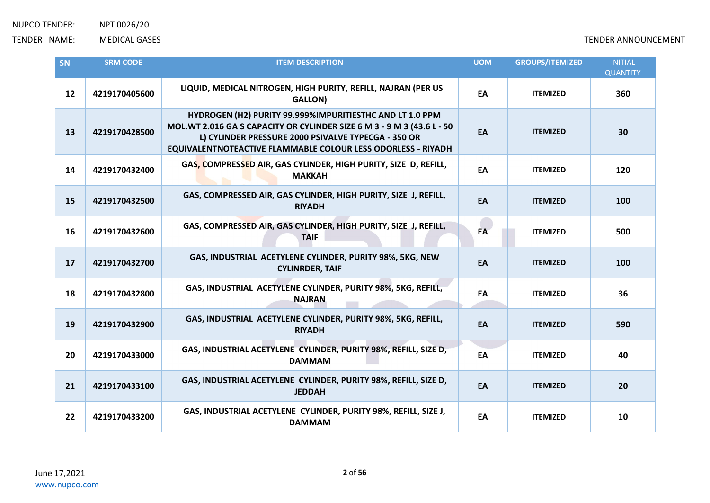| SN | <b>SRM CODE</b> | <b>ITEM DESCRIPTION</b>                                                                                                                                                                                                                                          | <b>UOM</b> | <b>GROUPS/ITEMIZED</b> | <b>INITIAL</b>  |
|----|-----------------|------------------------------------------------------------------------------------------------------------------------------------------------------------------------------------------------------------------------------------------------------------------|------------|------------------------|-----------------|
|    |                 |                                                                                                                                                                                                                                                                  |            |                        | <b>QUANTITY</b> |
| 12 | 4219170405600   | LIQUID, MEDICAL NITROGEN, HIGH PURITY, REFILL, NAJRAN (PER US<br><b>GALLON)</b>                                                                                                                                                                                  | EA         | <b>ITEMIZED</b>        | 360             |
| 13 | 4219170428500   | HYDROGEN (H2) PURITY 99.999%IMPURITIESTHC AND LT 1.0 PPM<br>MOL.WT 2.016 GA S CAPACITY OR CYLINDER SIZE 6 M 3 - 9 M 3 (43.6 L - 50<br>L) CYLINDER PRESSURE 2000 PSIVALVE TYPECGA - 350 OR<br><b>EQUIVALENTNOTEACTIVE FLAMMABLE COLOUR LESS ODORLESS - RIYADH</b> | EA         | <b>ITEMIZED</b>        | 30              |
| 14 | 4219170432400   | GAS, COMPRESSED AIR, GAS CYLINDER, HIGH PURITY, SIZE D, REFILL,<br><b>MAKKAH</b>                                                                                                                                                                                 | EA         | <b>ITEMIZED</b>        | 120             |
| 15 | 4219170432500   | GAS, COMPRESSED AIR, GAS CYLINDER, HIGH PURITY, SIZE J, REFILL,<br><b>RIYADH</b>                                                                                                                                                                                 | EA         | <b>ITEMIZED</b>        | 100             |
| 16 | 4219170432600   | GAS, COMPRESSED AIR, GAS CYLINDER, HIGH PURITY, SIZE J, REFILL,<br><b>TAIF</b>                                                                                                                                                                                   | EA         | <b>ITEMIZED</b>        | 500             |
| 17 | 4219170432700   | GAS, INDUSTRIAL ACETYLENE CYLINDER, PURITY 98%, 5KG, NEW<br><b>CYLINRDER, TAIF</b>                                                                                                                                                                               | EA         | <b>ITEMIZED</b>        | 100             |
| 18 | 4219170432800   | GAS, INDUSTRIAL ACETYLENE CYLINDER, PURITY 98%, 5KG, REFILL,<br><b>NAJRAN</b>                                                                                                                                                                                    | EA         | <b>ITEMIZED</b>        | 36              |
| 19 | 4219170432900   | GAS, INDUSTRIAL ACETYLENE CYLINDER, PURITY 98%, 5KG, REFILL,<br><b>RIYADH</b>                                                                                                                                                                                    | EA         | <b>ITEMIZED</b>        | 590             |
| 20 | 4219170433000   | GAS, INDUSTRIAL ACETYLENE CYLINDER, PURITY 98%, REFILL, SIZE D,<br><b>DAMMAM</b>                                                                                                                                                                                 | EA         | <b>ITEMIZED</b>        | 40              |
| 21 | 4219170433100   | GAS, INDUSTRIAL ACETYLENE CYLINDER, PURITY 98%, REFILL, SIZE D,<br><b>JEDDAH</b>                                                                                                                                                                                 | EA         | <b>ITEMIZED</b>        | 20              |
| 22 | 4219170433200   | GAS, INDUSTRIAL ACETYLENE CYLINDER, PURITY 98%, REFILL, SIZE J,<br><b>DAMMAM</b>                                                                                                                                                                                 | EA         | <b>ITEMIZED</b>        | 10              |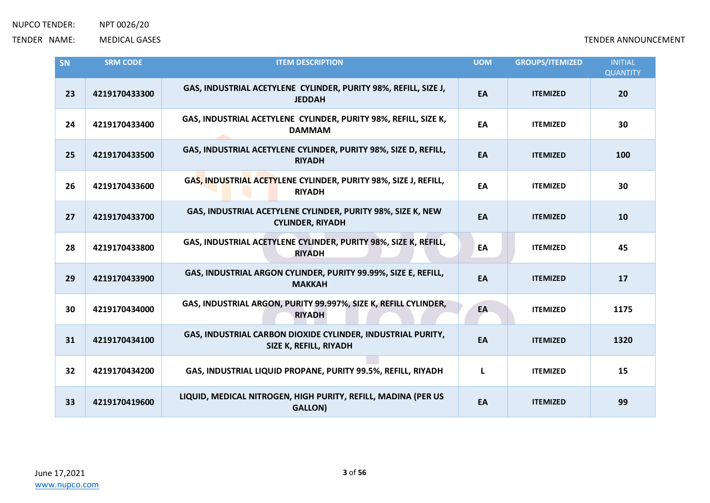| SN | <b>SRM CODE</b> | <b>ITEM DESCRIPTION</b>                                                                | <b>UOM</b> | <b>GROUPS/ITEMIZED</b> | <b>INITIAL</b><br><b>QUANTITY</b> |
|----|-----------------|----------------------------------------------------------------------------------------|------------|------------------------|-----------------------------------|
| 23 | 4219170433300   | GAS, INDUSTRIAL ACETYLENE CYLINDER, PURITY 98%, REFILL, SIZE J,<br><b>JEDDAH</b>       | EA         | <b>ITEMIZED</b>        | 20                                |
| 24 | 4219170433400   | GAS, INDUSTRIAL ACETYLENE CYLINDER, PURITY 98%, REFILL, SIZE K,<br><b>DAMMAM</b>       | EA         | <b>ITEMIZED</b>        | 30                                |
| 25 | 4219170433500   | GAS, INDUSTRIAL ACETYLENE CYLINDER, PURITY 98%, SIZE D, REFILL,<br><b>RIYADH</b>       | EA         | <b>ITEMIZED</b>        | 100                               |
| 26 | 4219170433600   | GAS, INDUSTRIAL ACETYLENE CYLINDER, PURITY 98%, SIZE J, REFILL,<br><b>RIYADH</b>       | EA         | <b>ITEMIZED</b>        | 30                                |
| 27 | 4219170433700   | GAS, INDUSTRIAL ACETYLENE CYLINDER, PURITY 98%, SIZE K, NEW<br><b>CYLINDER, RIYADH</b> | EA         | <b>ITEMIZED</b>        | 10                                |
| 28 | 4219170433800   | GAS, INDUSTRIAL ACETYLENE CYLINDER, PURITY 98%, SIZE K, REFILL,<br><b>RIYADH</b>       | EA         | <b>ITEMIZED</b>        | 45                                |
| 29 | 4219170433900   | GAS, INDUSTRIAL ARGON CYLINDER, PURITY 99.99%, SIZE E, REFILL,<br><b>MAKKAH</b>        | EA         | <b>ITEMIZED</b>        | 17                                |
| 30 | 4219170434000   | GAS, INDUSTRIAL ARGON, PURITY 99.997%, SIZE K, REFILL CYLINDER,<br><b>RIYADH</b>       | EA         | <b>ITEMIZED</b>        | 1175                              |
| 31 | 4219170434100   | GAS, INDUSTRIAL CARBON DIOXIDE CYLINDER, INDUSTRIAL PURITY,<br>SIZE K, REFILL, RIYADH  | EA         | <b>ITEMIZED</b>        | 1320                              |
| 32 | 4219170434200   | GAS, INDUSTRIAL LIQUID PROPANE, PURITY 99.5%, REFILL, RIYADH                           | L          | <b>ITEMIZED</b>        | 15                                |
| 33 | 4219170419600   | LIQUID, MEDICAL NITROGEN, HIGH PURITY, REFILL, MADINA (PER US<br><b>GALLON)</b>        | EA         | <b>ITEMIZED</b>        | 99                                |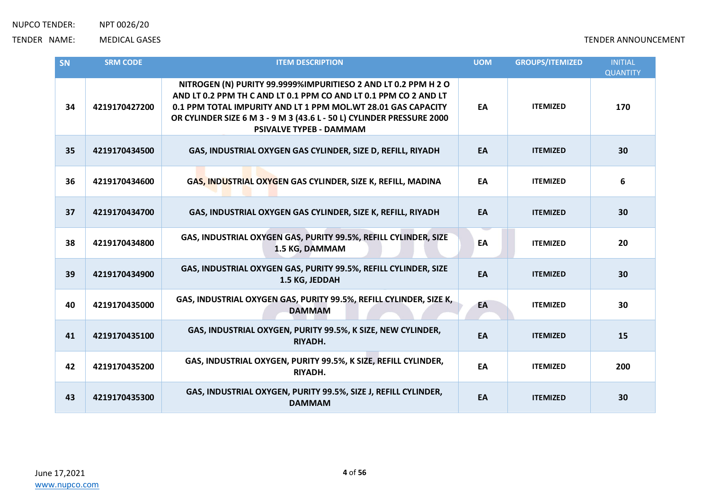| SN | <b>SRM CODE</b> | <b>ITEM DESCRIPTION</b>                                                                                                                                                                                                                                                                                        | <b>UOM</b> | <b>GROUPS/ITEMIZED</b> | <b>INITIAL</b><br><b>QUANTITY</b> |
|----|-----------------|----------------------------------------------------------------------------------------------------------------------------------------------------------------------------------------------------------------------------------------------------------------------------------------------------------------|------------|------------------------|-----------------------------------|
| 34 | 4219170427200   | NITROGEN (N) PURITY 99.9999%IMPURITIESO 2 AND LT 0.2 PPM H 2 O<br>AND LT 0.2 PPM TH C AND LT 0.1 PPM CO AND LT 0.1 PPM CO 2 AND LT<br>0.1 PPM TOTAL IMPURITY AND LT 1 PPM MOL.WT 28.01 GAS CAPACITY<br>OR CYLINDER SIZE 6 M 3 - 9 M 3 (43.6 L - 50 L) CYLINDER PRESSURE 2000<br><b>PSIVALVE TYPEB - DAMMAM</b> | EA         | <b>ITEMIZED</b>        | 170                               |
| 35 | 4219170434500   | GAS, INDUSTRIAL OXYGEN GAS CYLINDER, SIZE D, REFILL, RIYADH                                                                                                                                                                                                                                                    | EA         | <b>ITEMIZED</b>        | 30                                |
| 36 | 4219170434600   | GAS, INDUSTRIAL OXYGEN GAS CYLINDER, SIZE K, REFILL, MADINA                                                                                                                                                                                                                                                    | EA         | <b>ITEMIZED</b>        | 6                                 |
| 37 | 4219170434700   | GAS, INDUSTRIAL OXYGEN GAS CYLINDER, SIZE K, REFILL, RIYADH                                                                                                                                                                                                                                                    | EA         | <b>ITEMIZED</b>        | 30                                |
| 38 | 4219170434800   | GAS, INDUSTRIAL OXYGEN GAS, PURITY 99.5%, REFILL CYLINDER, SIZE<br>1.5 KG, DAMMAM                                                                                                                                                                                                                              | EA         | <b>ITEMIZED</b>        | 20                                |
| 39 | 4219170434900   | GAS, INDUSTRIAL OXYGEN GAS, PURITY 99.5%, REFILL CYLINDER, SIZE<br>1.5 KG, JEDDAH                                                                                                                                                                                                                              | EA         | <b>ITEMIZED</b>        | 30                                |
| 40 | 4219170435000   | GAS, INDUSTRIAL OXYGEN GAS, PURITY 99.5%, REFILL CYLINDER, SIZE K,<br><b>DAMMAM</b>                                                                                                                                                                                                                            | EA         | <b>ITEMIZED</b>        | 30                                |
| 41 | 4219170435100   | GAS, INDUSTRIAL OXYGEN, PURITY 99.5%, K SIZE, NEW CYLINDER,<br>RIYADH.                                                                                                                                                                                                                                         | EA         | <b>ITEMIZED</b>        | 15                                |
| 42 | 4219170435200   | GAS, INDUSTRIAL OXYGEN, PURITY 99.5%, K SIZE, REFILL CYLINDER,<br>RIYADH.                                                                                                                                                                                                                                      | EA         | <b>ITEMIZED</b>        | 200                               |
| 43 | 4219170435300   | GAS, INDUSTRIAL OXYGEN, PURITY 99.5%, SIZE J, REFILL CYLINDER,<br><b>DAMMAM</b>                                                                                                                                                                                                                                | EA         | <b>ITEMIZED</b>        | 30                                |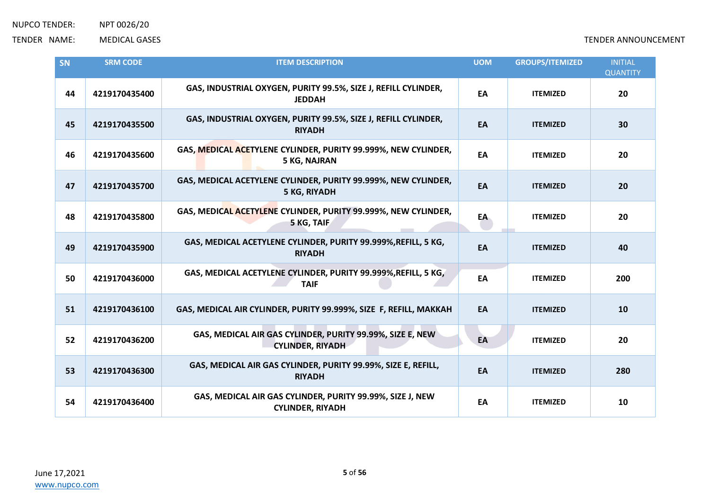| SN | <b>SRM CODE</b> | <b>ITEM DESCRIPTION</b>                                                               | <b>UOM</b> | <b>GROUPS/ITEMIZED</b> | <b>INITIAL</b><br><b>QUANTITY</b> |
|----|-----------------|---------------------------------------------------------------------------------------|------------|------------------------|-----------------------------------|
| 44 | 4219170435400   | GAS, INDUSTRIAL OXYGEN, PURITY 99.5%, SIZE J, REFILL CYLINDER,<br><b>JEDDAH</b>       | EA         | <b>ITEMIZED</b>        | 20                                |
| 45 | 4219170435500   | GAS, INDUSTRIAL OXYGEN, PURITY 99.5%, SIZE J, REFILL CYLINDER,<br><b>RIYADH</b>       | EA         | <b>ITEMIZED</b>        | 30                                |
| 46 | 4219170435600   | GAS, MEDICAL ACETYLENE CYLINDER, PURITY 99.999%, NEW CYLINDER,<br><b>5 KG, NAJRAN</b> | EA         | <b>ITEMIZED</b>        | 20                                |
| 47 | 4219170435700   | GAS, MEDICAL ACETYLENE CYLINDER, PURITY 99.999%, NEW CYLINDER,<br>5 KG, RIYADH        | EA         | <b>ITEMIZED</b>        | 20                                |
| 48 | 4219170435800   | GAS, MEDICAL ACETYLENE CYLINDER, PURITY 99.999%, NEW CYLINDER,<br>5 KG, TAIF          | EA         | <b>ITEMIZED</b>        | 20                                |
| 49 | 4219170435900   | GAS, MEDICAL ACETYLENE CYLINDER, PURITY 99.999%, REFILL, 5 KG,<br><b>RIYADH</b>       | EA         | <b>ITEMIZED</b>        | 40                                |
| 50 | 4219170436000   | GAS, MEDICAL ACETYLENE CYLINDER, PURITY 99.999%, REFILL, 5 KG,<br><b>TAIF</b>         | EA         | <b>ITEMIZED</b>        | 200                               |
| 51 | 4219170436100   | GAS, MEDICAL AIR CYLINDER, PURITY 99.999%, SIZE F, REFILL, MAKKAH                     | EA         | <b>ITEMIZED</b>        | 10                                |
| 52 | 4219170436200   | GAS, MEDICAL AIR GAS CYLINDER, PURITY 99.99%, SIZE E, NEW<br><b>CYLINDER, RIYADH</b>  | EA         | <b>ITEMIZED</b>        | 20                                |
| 53 | 4219170436300   | GAS, MEDICAL AIR GAS CYLINDER, PURITY 99.99%, SIZE E, REFILL,<br><b>RIYADH</b>        | EA         | <b>ITEMIZED</b>        | 280                               |
| 54 | 4219170436400   | GAS, MEDICAL AIR GAS CYLINDER, PURITY 99.99%, SIZE J, NEW<br><b>CYLINDER, RIYADH</b>  | EA         | <b>ITEMIZED</b>        | 10                                |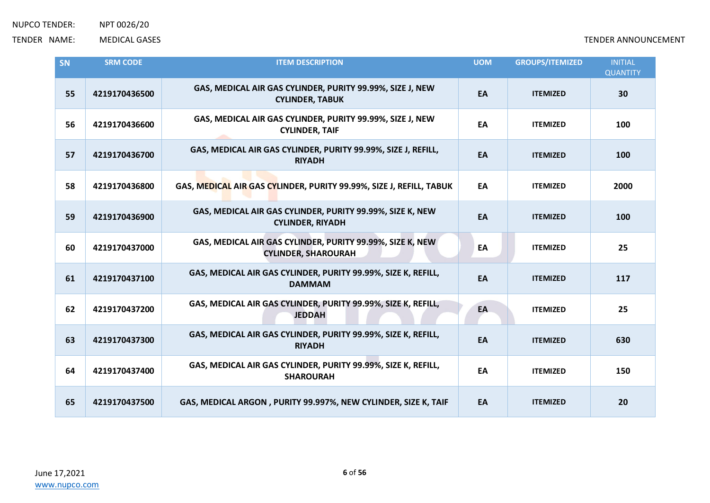| SN | <b>SRM CODE</b> | <b>ITEM DESCRIPTION</b>                                                                 | <b>UOM</b> | <b>GROUPS/ITEMIZED</b> | <b>INITIAL</b><br><b>QUANTITY</b> |
|----|-----------------|-----------------------------------------------------------------------------------------|------------|------------------------|-----------------------------------|
| 55 | 4219170436500   | GAS, MEDICAL AIR GAS CYLINDER, PURITY 99.99%, SIZE J, NEW<br><b>CYLINDER, TABUK</b>     | EA         | <b>ITEMIZED</b>        | 30                                |
| 56 | 4219170436600   | GAS, MEDICAL AIR GAS CYLINDER, PURITY 99.99%, SIZE J, NEW<br><b>CYLINDER, TAIF</b>      | EA         | <b>ITEMIZED</b>        | 100                               |
| 57 | 4219170436700   | GAS, MEDICAL AIR GAS CYLINDER, PURITY 99.99%, SIZE J, REFILL,<br><b>RIYADH</b>          | EA         | <b>ITEMIZED</b>        | 100                               |
| 58 | 4219170436800   | GAS, MEDICAL AIR GAS CYLINDER, PURITY 99.99%, SIZE J, REFILL, TABUK                     | EA         | <b>ITEMIZED</b>        | 2000                              |
| 59 | 4219170436900   | GAS, MEDICAL AIR GAS CYLINDER, PURITY 99.99%, SIZE K, NEW<br><b>CYLINDER, RIYADH</b>    | EA         | <b>ITEMIZED</b>        | 100                               |
| 60 | 4219170437000   | GAS, MEDICAL AIR GAS CYLINDER, PURITY 99.99%, SIZE K, NEW<br><b>CYLINDER, SHAROURAH</b> | EA         | <b>ITEMIZED</b>        | 25                                |
| 61 | 4219170437100   | GAS, MEDICAL AIR GAS CYLINDER, PURITY 99.99%, SIZE K, REFILL,<br><b>DAMMAM</b>          | EA         | <b>ITEMIZED</b>        | 117                               |
| 62 | 4219170437200   | GAS, MEDICAL AIR GAS CYLINDER, PURITY 99.99%, SIZE K, REFILL,<br><b>JEDDAH</b>          | EA         | <b>ITEMIZED</b>        | 25                                |
| 63 | 4219170437300   | GAS, MEDICAL AIR GAS CYLINDER, PURITY 99.99%, SIZE K, REFILL,<br><b>RIYADH</b>          | EA         | <b>ITEMIZED</b>        | 630                               |
| 64 | 4219170437400   | GAS, MEDICAL AIR GAS CYLINDER, PURITY 99.99%, SIZE K, REFILL,<br><b>SHAROURAH</b>       | EA         | <b>ITEMIZED</b>        | 150                               |
| 65 | 4219170437500   | GAS, MEDICAL ARGON, PURITY 99.997%, NEW CYLINDER, SIZE K, TAIF                          | EA         | <b>ITEMIZED</b>        | 20                                |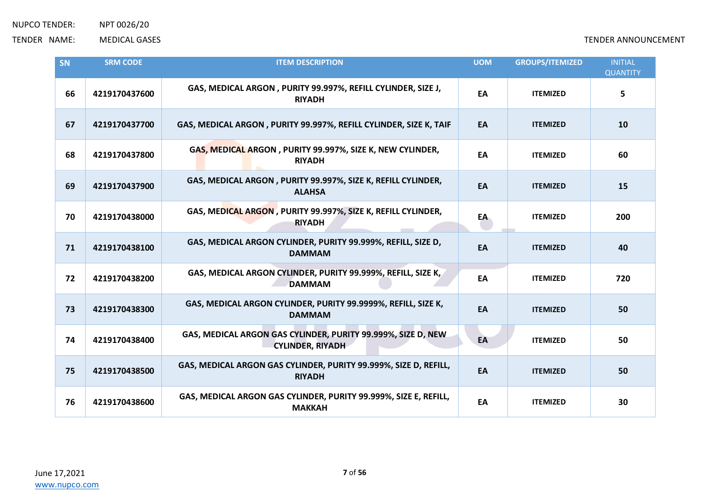| SN | <b>SRM CODE</b> | <b>ITEM DESCRIPTION</b>                                                                 | <b>UOM</b> | <b>GROUPS/ITEMIZED</b> | <b>INITIAL</b><br><b>QUANTITY</b> |
|----|-----------------|-----------------------------------------------------------------------------------------|------------|------------------------|-----------------------------------|
| 66 | 4219170437600   | GAS, MEDICAL ARGON, PURITY 99.997%, REFILL CYLINDER, SIZE J,<br><b>RIYADH</b>           | EA         | <b>ITEMIZED</b>        | 5                                 |
| 67 | 4219170437700   | GAS, MEDICAL ARGON, PURITY 99.997%, REFILL CYLINDER, SIZE K, TAIF                       | EA         | <b>ITEMIZED</b>        | 10                                |
| 68 | 4219170437800   | GAS, MEDICAL ARGON, PURITY 99.997%, SIZE K, NEW CYLINDER,<br><b>RIYADH</b>              | EA         | <b>ITEMIZED</b>        | 60                                |
| 69 | 4219170437900   | GAS, MEDICAL ARGON, PURITY 99.997%, SIZE K, REFILL CYLINDER,<br><b>ALAHSA</b>           | EA         | <b>ITEMIZED</b>        | 15                                |
| 70 | 4219170438000   | GAS, MEDICAL ARGON, PURITY 99.997%, SIZE K, REFILL CYLINDER,<br><b>RIYADH</b>           | EA         | <b>ITEMIZED</b>        | 200                               |
| 71 | 4219170438100   | GAS, MEDICAL ARGON CYLINDER, PURITY 99.999%, REFILL, SIZE D,<br><b>DAMMAM</b>           | EA         | <b>ITEMIZED</b>        | 40                                |
| 72 | 4219170438200   | GAS, MEDICAL ARGON CYLINDER, PURITY 99.999%, REFILL, SIZE K,<br><b>DAMMAM</b>           | EA         | <b>ITEMIZED</b>        | 720                               |
| 73 | 4219170438300   | GAS, MEDICAL ARGON CYLINDER, PURITY 99.9999%, REFILL, SIZE K,<br><b>DAMMAM</b>          | EA         | <b>ITEMIZED</b>        | 50                                |
| 74 | 4219170438400   | GAS, MEDICAL ARGON GAS CYLINDER, PURITY 99.999%, SIZE D, NEW<br><b>CYLINDER, RIYADH</b> | EA         | <b>ITEMIZED</b>        | 50                                |
| 75 | 4219170438500   | GAS, MEDICAL ARGON GAS CYLINDER, PURITY 99.999%, SIZE D, REFILL,<br><b>RIYADH</b>       | EA         | <b>ITEMIZED</b>        | 50                                |
| 76 | 4219170438600   | GAS, MEDICAL ARGON GAS CYLINDER, PURITY 99.999%, SIZE E, REFILL,<br><b>MAKKAH</b>       | EA         | <b>ITEMIZED</b>        | 30                                |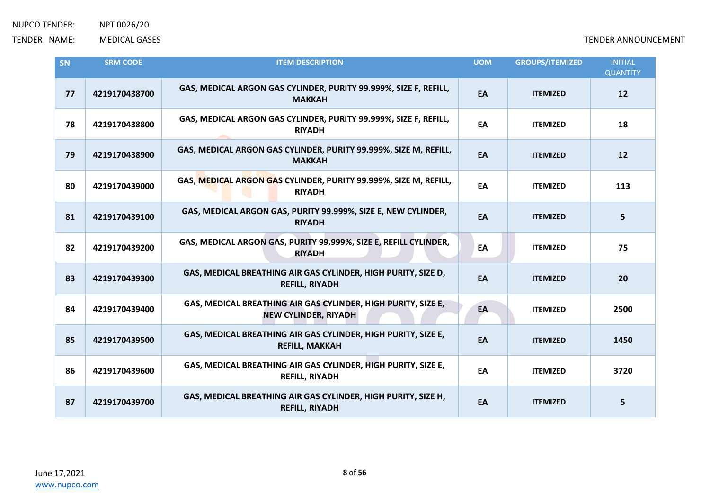| SN | <b>SRM CODE</b> | <b>ITEM DESCRIPTION</b>                                                                      | <b>UOM</b> | <b>GROUPS/ITEMIZED</b> | <b>INITIAL</b><br><b>QUANTITY</b> |
|----|-----------------|----------------------------------------------------------------------------------------------|------------|------------------------|-----------------------------------|
| 77 | 4219170438700   | GAS, MEDICAL ARGON GAS CYLINDER, PURITY 99.999%, SIZE F, REFILL,<br><b>MAKKAH</b>            | EA         | <b>ITEMIZED</b>        | 12                                |
| 78 | 4219170438800   | GAS, MEDICAL ARGON GAS CYLINDER, PURITY 99.999%, SIZE F, REFILL,<br><b>RIYADH</b>            | EA         | <b>ITEMIZED</b>        | 18                                |
| 79 | 4219170438900   | GAS, MEDICAL ARGON GAS CYLINDER, PURITY 99.999%, SIZE M, REFILL,<br><b>MAKKAH</b>            | EA         | <b>ITEMIZED</b>        | 12                                |
| 80 | 4219170439000   | GAS, MEDICAL ARGON GAS CYLINDER, PURITY 99.999%, SIZE M, REFILL,<br><b>RIYADH</b>            | EA         | <b>ITEMIZED</b>        | 113                               |
| 81 | 4219170439100   | GAS, MEDICAL ARGON GAS, PURITY 99.999%, SIZE E, NEW CYLINDER,<br><b>RIYADH</b>               | EA         | <b>ITEMIZED</b>        | 5                                 |
| 82 | 4219170439200   | GAS, MEDICAL ARGON GAS, PURITY 99.999%, SIZE E, REFILL CYLINDER,<br><b>RIYADH</b>            | EA         | <b>ITEMIZED</b>        | 75                                |
| 83 | 4219170439300   | GAS, MEDICAL BREATHING AIR GAS CYLINDER, HIGH PURITY, SIZE D,<br><b>REFILL, RIYADH</b>       | EA         | <b>ITEMIZED</b>        | 20                                |
| 84 | 4219170439400   | GAS, MEDICAL BREATHING AIR GAS CYLINDER, HIGH PURITY, SIZE E,<br><b>NEW CYLINDER, RIYADH</b> | EA         | <b>ITEMIZED</b>        | 2500                              |
| 85 | 4219170439500   | GAS, MEDICAL BREATHING AIR GAS CYLINDER, HIGH PURITY, SIZE E,<br><b>REFILL, MAKKAH</b>       | EA         | <b>ITEMIZED</b>        | 1450                              |
| 86 | 4219170439600   | GAS, MEDICAL BREATHING AIR GAS CYLINDER, HIGH PURITY, SIZE E,<br><b>REFILL, RIYADH</b>       | EA         | <b>ITEMIZED</b>        | 3720                              |
| 87 | 4219170439700   | GAS, MEDICAL BREATHING AIR GAS CYLINDER, HIGH PURITY, SIZE H,<br><b>REFILL, RIYADH</b>       | EA         | <b>ITEMIZED</b>        | 5                                 |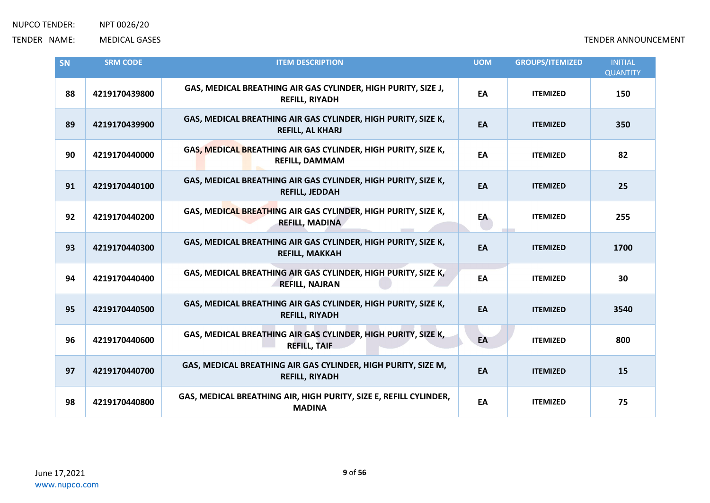| SN | <b>SRM CODE</b> | <b>ITEM DESCRIPTION</b>                                                                  | <b>UOM</b> | <b>GROUPS/ITEMIZED</b> | <b>INITIAL</b><br><b>QUANTITY</b> |
|----|-----------------|------------------------------------------------------------------------------------------|------------|------------------------|-----------------------------------|
| 88 | 4219170439800   | GAS, MEDICAL BREATHING AIR GAS CYLINDER, HIGH PURITY, SIZE J,<br><b>REFILL, RIYADH</b>   | EA         | <b>ITEMIZED</b>        | 150                               |
| 89 | 4219170439900   | GAS, MEDICAL BREATHING AIR GAS CYLINDER, HIGH PURITY, SIZE K,<br><b>REFILL, AL KHARJ</b> | EA         | <b>ITEMIZED</b>        | 350                               |
| 90 | 4219170440000   | GAS, MEDICAL BREATHING AIR GAS CYLINDER, HIGH PURITY, SIZE K,<br><b>REFILL, DAMMAM</b>   | EA         | <b>ITEMIZED</b>        | 82                                |
| 91 | 4219170440100   | GAS, MEDICAL BREATHING AIR GAS CYLINDER, HIGH PURITY, SIZE K,<br><b>REFILL, JEDDAH</b>   | EA         | <b>ITEMIZED</b>        | 25                                |
| 92 | 4219170440200   | GAS, MEDICAL BREATHING AIR GAS CYLINDER, HIGH PURITY, SIZE K,<br><b>REFILL, MADINA</b>   | EA         | <b>ITEMIZED</b>        | 255                               |
| 93 | 4219170440300   | GAS, MEDICAL BREATHING AIR GAS CYLINDER, HIGH PURITY, SIZE K,<br><b>REFILL, MAKKAH</b>   | EA         | <b>ITEMIZED</b>        | 1700                              |
| 94 | 4219170440400   | GAS, MEDICAL BREATHING AIR GAS CYLINDER, HIGH PURITY, SIZE K,<br><b>REFILL, NAJRAN</b>   | EA         | <b>ITEMIZED</b>        | 30                                |
| 95 | 4219170440500   | GAS, MEDICAL BREATHING AIR GAS CYLINDER, HIGH PURITY, SIZE K,<br><b>REFILL, RIYADH</b>   | EA         | <b>ITEMIZED</b>        | 3540                              |
| 96 | 4219170440600   | GAS, MEDICAL BREATHING AIR GAS CYLINDER, HIGH PURITY, SIZE K,<br><b>REFILL, TAIF</b>     | EA         | <b>ITEMIZED</b>        | 800                               |
| 97 | 4219170440700   | GAS, MEDICAL BREATHING AIR GAS CYLINDER, HIGH PURITY, SIZE M,<br><b>REFILL, RIYADH</b>   | EA         | <b>ITEMIZED</b>        | 15                                |
| 98 | 4219170440800   | GAS, MEDICAL BREATHING AIR, HIGH PURITY, SIZE E, REFILL CYLINDER,<br><b>MADINA</b>       | EA         | <b>ITEMIZED</b>        | 75                                |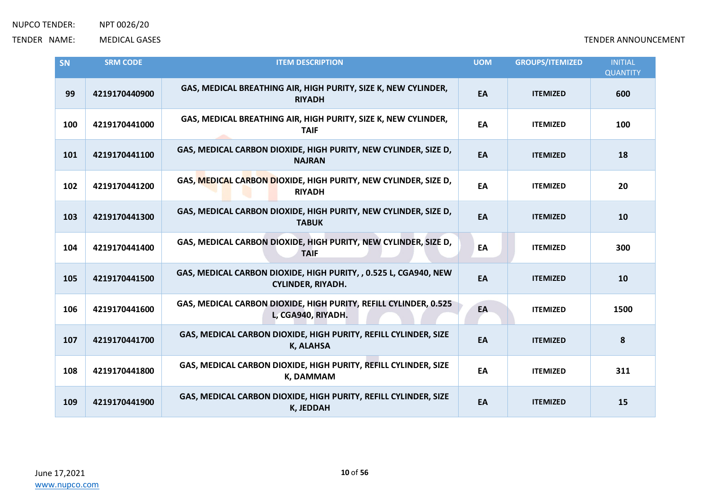| SN  | <b>SRM CODE</b> | <b>ITEM DESCRIPTION</b>                                                                      | <b>UOM</b> | <b>GROUPS/ITEMIZED</b> | <b>INITIAL</b><br><b>QUANTITY</b> |
|-----|-----------------|----------------------------------------------------------------------------------------------|------------|------------------------|-----------------------------------|
| 99  | 4219170440900   | GAS, MEDICAL BREATHING AIR, HIGH PURITY, SIZE K, NEW CYLINDER,<br><b>RIYADH</b>              | EA         | <b>ITEMIZED</b>        | 600                               |
| 100 | 4219170441000   | GAS, MEDICAL BREATHING AIR, HIGH PURITY, SIZE K, NEW CYLINDER,<br><b>TAIF</b>                | EA         | <b>ITEMIZED</b>        | 100                               |
| 101 | 4219170441100   | GAS, MEDICAL CARBON DIOXIDE, HIGH PURITY, NEW CYLINDER, SIZE D,<br><b>NAJRAN</b>             | EA         | <b>ITEMIZED</b>        | 18                                |
| 102 | 4219170441200   | GAS, MEDICAL CARBON DIOXIDE, HIGH PURITY, NEW CYLINDER, SIZE D,<br><b>RIYADH</b>             | EA         | <b>ITEMIZED</b>        | 20                                |
| 103 | 4219170441300   | GAS, MEDICAL CARBON DIOXIDE, HIGH PURITY, NEW CYLINDER, SIZE D,<br><b>TABUK</b>              | EA         | <b>ITEMIZED</b>        | 10                                |
| 104 | 4219170441400   | GAS, MEDICAL CARBON DIOXIDE, HIGH PURITY, NEW CYLINDER, SIZE D,<br><b>TAIF</b>               | EA         | <b>ITEMIZED</b>        | 300                               |
| 105 | 4219170441500   | GAS, MEDICAL CARBON DIOXIDE, HIGH PURITY, , 0.525 L, CGA940, NEW<br><b>CYLINDER, RIYADH.</b> | EA         | <b>ITEMIZED</b>        | 10                                |
| 106 | 4219170441600   | GAS, MEDICAL CARBON DIOXIDE, HIGH PURITY, REFILL CYLINDER, 0.525<br>L, CGA940, RIYADH.       | EA         | <b>ITEMIZED</b>        | 1500                              |
| 107 | 4219170441700   | GAS, MEDICAL CARBON DIOXIDE, HIGH PURITY, REFILL CYLINDER, SIZE<br><b>K, ALAHSA</b>          | EA         | <b>ITEMIZED</b>        | 8                                 |
| 108 | 4219170441800   | GAS, MEDICAL CARBON DIOXIDE, HIGH PURITY, REFILL CYLINDER, SIZE<br><b>K, DAMMAM</b>          | EA         | <b>ITEMIZED</b>        | 311                               |
| 109 | 4219170441900   | GAS, MEDICAL CARBON DIOXIDE, HIGH PURITY, REFILL CYLINDER, SIZE<br><b>K, JEDDAH</b>          | EA         | <b>ITEMIZED</b>        | 15                                |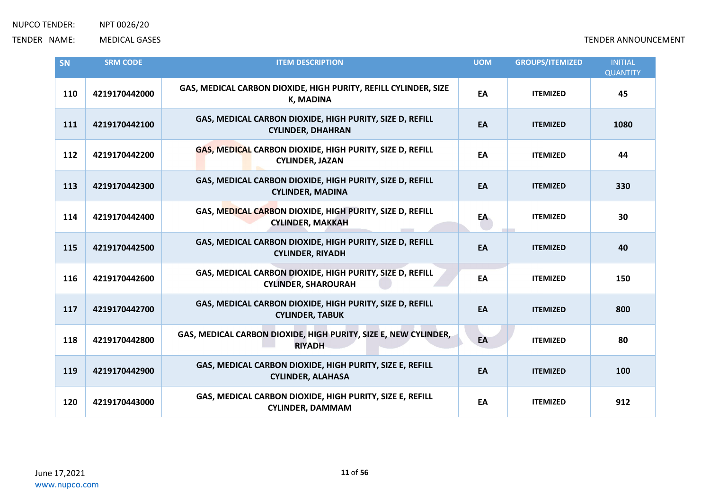| SN  | <b>SRM CODE</b> | <b>ITEM DESCRIPTION</b>                                                                | <b>UOM</b> | <b>GROUPS/ITEMIZED</b> | <b>INITIAL</b><br><b>QUANTITY</b> |
|-----|-----------------|----------------------------------------------------------------------------------------|------------|------------------------|-----------------------------------|
| 110 | 4219170442000   | GAS, MEDICAL CARBON DIOXIDE, HIGH PURITY, REFILL CYLINDER, SIZE<br><b>K, MADINA</b>    | EA         | <b>ITEMIZED</b>        | 45                                |
| 111 | 4219170442100   | GAS, MEDICAL CARBON DIOXIDE, HIGH PURITY, SIZE D, REFILL<br><b>CYLINDER, DHAHRAN</b>   | EA         | <b>ITEMIZED</b>        | 1080                              |
| 112 | 4219170442200   | GAS, MEDICAL CARBON DIOXIDE, HIGH PURITY, SIZE D, REFILL<br><b>CYLINDER, JAZAN</b>     | EA         | <b>ITEMIZED</b>        | 44                                |
| 113 | 4219170442300   | GAS, MEDICAL CARBON DIOXIDE, HIGH PURITY, SIZE D, REFILL<br><b>CYLINDER, MADINA</b>    | EA         | <b>ITEMIZED</b>        | 330                               |
| 114 | 4219170442400   | GAS, MEDICAL CARBON DIOXIDE, HIGH PURITY, SIZE D, REFILL<br><b>CYLINDER, MAKKAH</b>    | EA         | <b>ITEMIZED</b>        | 30                                |
| 115 | 4219170442500   | GAS, MEDICAL CARBON DIOXIDE, HIGH PURITY, SIZE D, REFILL<br><b>CYLINDER, RIYADH</b>    | EA         | <b>ITEMIZED</b>        | 40                                |
| 116 | 4219170442600   | GAS, MEDICAL CARBON DIOXIDE, HIGH PURITY, SIZE D, REFILL<br><b>CYLINDER, SHAROURAH</b> | EA         | <b>ITEMIZED</b>        | 150                               |
| 117 | 4219170442700   | GAS, MEDICAL CARBON DIOXIDE, HIGH PURITY, SIZE D, REFILL<br><b>CYLINDER, TABUK</b>     | EA         | <b>ITEMIZED</b>        | 800                               |
| 118 | 4219170442800   | GAS, MEDICAL CARBON DIOXIDE, HIGH PURITY, SIZE E, NEW CYLINDER,<br><b>RIYADH</b>       | EA         | <b>ITEMIZED</b>        | 80                                |
| 119 | 4219170442900   | GAS, MEDICAL CARBON DIOXIDE, HIGH PURITY, SIZE E, REFILL<br><b>CYLINDER, ALAHASA</b>   | EA         | <b>ITEMIZED</b>        | 100                               |
| 120 | 4219170443000   | GAS, MEDICAL CARBON DIOXIDE, HIGH PURITY, SIZE E, REFILL<br><b>CYLINDER, DAMMAM</b>    | EA         | <b>ITEMIZED</b>        | 912                               |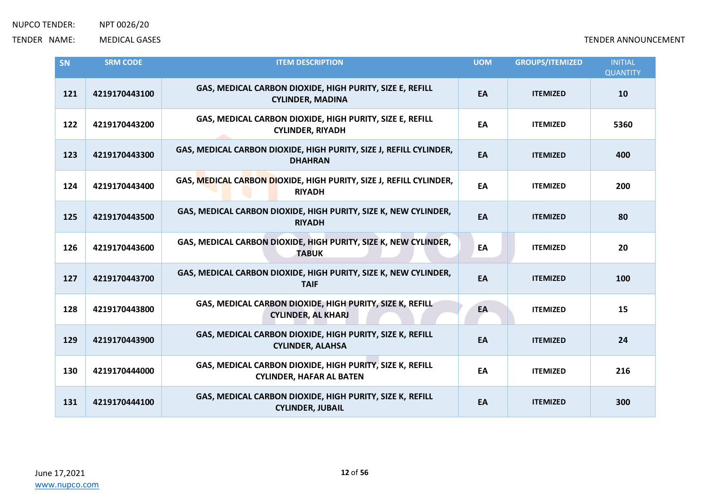| SN  | <b>SRM CODE</b> | <b>ITEM DESCRIPTION</b>                                                                     | <b>UOM</b> | <b>GROUPS/ITEMIZED</b> | <b>INITIAL</b><br><b>QUANTITY</b> |
|-----|-----------------|---------------------------------------------------------------------------------------------|------------|------------------------|-----------------------------------|
| 121 | 4219170443100   | GAS, MEDICAL CARBON DIOXIDE, HIGH PURITY, SIZE E, REFILL<br><b>CYLINDER, MADINA</b>         | EA         | <b>ITEMIZED</b>        | 10                                |
| 122 | 4219170443200   | GAS, MEDICAL CARBON DIOXIDE, HIGH PURITY, SIZE E, REFILL<br><b>CYLINDER, RIYADH</b>         | EA         | <b>ITEMIZED</b>        | 5360                              |
| 123 | 4219170443300   | GAS, MEDICAL CARBON DIOXIDE, HIGH PURITY, SIZE J, REFILL CYLINDER,<br><b>DHAHRAN</b>        | EA         | <b>ITEMIZED</b>        | 400                               |
| 124 | 4219170443400   | GAS, MEDICAL CARBON DIOXIDE, HIGH PURITY, SIZE J, REFILL CYLINDER,<br><b>RIYADH</b>         | EA         | <b>ITEMIZED</b>        | 200                               |
| 125 | 4219170443500   | GAS, MEDICAL CARBON DIOXIDE, HIGH PURITY, SIZE K, NEW CYLINDER,<br><b>RIYADH</b>            | EA         | <b>ITEMIZED</b>        | 80                                |
| 126 | 4219170443600   | GAS, MEDICAL CARBON DIOXIDE, HIGH PURITY, SIZE K, NEW CYLINDER,<br><b>TABUK</b>             | EA         | <b>ITEMIZED</b>        | 20                                |
| 127 | 4219170443700   | GAS, MEDICAL CARBON DIOXIDE, HIGH PURITY, SIZE K, NEW CYLINDER,<br><b>TAIF</b>              | EA         | <b>ITEMIZED</b>        | 100                               |
| 128 | 4219170443800   | GAS, MEDICAL CARBON DIOXIDE, HIGH PURITY, SIZE K, REFILL<br><b>CYLINDER, AL KHARJ</b>       | EA         | <b>ITEMIZED</b>        | 15                                |
| 129 | 4219170443900   | GAS, MEDICAL CARBON DIOXIDE, HIGH PURITY, SIZE K, REFILL<br><b>CYLINDER, ALAHSA</b>         | EA         | <b>ITEMIZED</b>        | 24                                |
| 130 | 4219170444000   | GAS, MEDICAL CARBON DIOXIDE, HIGH PURITY, SIZE K, REFILL<br><b>CYLINDER, HAFAR AL BATEN</b> | EA         | <b>ITEMIZED</b>        | 216                               |
| 131 | 4219170444100   | GAS, MEDICAL CARBON DIOXIDE, HIGH PURITY, SIZE K, REFILL<br><b>CYLINDER, JUBAIL</b>         | EA         | <b>ITEMIZED</b>        | 300                               |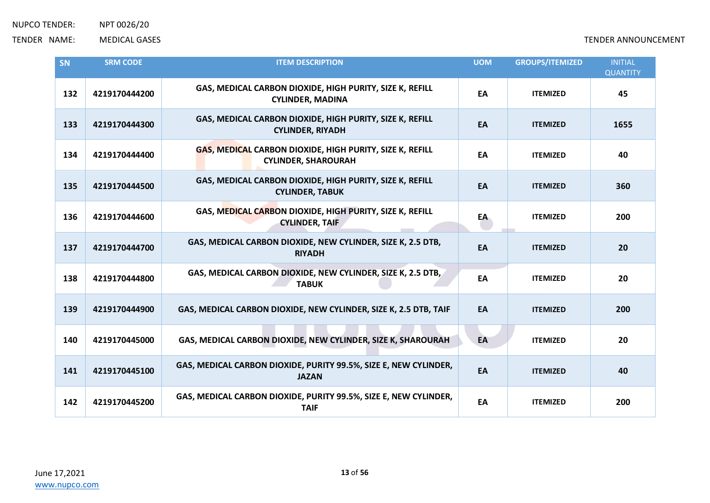| <b>SN</b> | <b>SRM CODE</b> | <b>ITEM DESCRIPTION</b>                                                                | <b>UOM</b> | <b>GROUPS/ITEMIZED</b> | <b>INITIAL</b><br><b>QUANTITY</b> |
|-----------|-----------------|----------------------------------------------------------------------------------------|------------|------------------------|-----------------------------------|
| 132       | 4219170444200   | GAS, MEDICAL CARBON DIOXIDE, HIGH PURITY, SIZE K, REFILL<br><b>CYLINDER, MADINA</b>    | EA         | <b>ITEMIZED</b>        | 45                                |
| 133       | 4219170444300   | GAS, MEDICAL CARBON DIOXIDE, HIGH PURITY, SIZE K, REFILL<br><b>CYLINDER, RIYADH</b>    | EA         | <b>ITEMIZED</b>        | 1655                              |
| 134       | 4219170444400   | GAS, MEDICAL CARBON DIOXIDE, HIGH PURITY, SIZE K, REFILL<br><b>CYLINDER, SHAROURAH</b> | EA         | <b>ITEMIZED</b>        | 40                                |
| 135       | 4219170444500   | GAS, MEDICAL CARBON DIOXIDE, HIGH PURITY, SIZE K, REFILL<br><b>CYLINDER, TABUK</b>     | EA         | <b>ITEMIZED</b>        | 360                               |
| 136       | 4219170444600   | GAS, MEDICAL CARBON DIOXIDE, HIGH PURITY, SIZE K, REFILL<br><b>CYLINDER, TAIF</b>      | EA         | <b>ITEMIZED</b>        | 200                               |
| 137       | 4219170444700   | GAS, MEDICAL CARBON DIOXIDE, NEW CYLINDER, SIZE K, 2.5 DTB,<br><b>RIYADH</b>           | EA         | <b>ITEMIZED</b>        | 20                                |
| 138       | 4219170444800   | GAS, MEDICAL CARBON DIOXIDE, NEW CYLINDER, SIZE K, 2.5 DTB,<br><b>TABUK</b>            | EA         | <b>ITEMIZED</b>        | 20                                |
| 139       | 4219170444900   | GAS, MEDICAL CARBON DIOXIDE, NEW CYLINDER, SIZE K, 2.5 DTB, TAIF                       | EA         | <b>ITEMIZED</b>        | 200                               |
| 140       | 4219170445000   | GAS, MEDICAL CARBON DIOXIDE, NEW CYLINDER, SIZE K, SHAROURAH                           | EA         | <b>ITEMIZED</b>        | 20                                |
| 141       | 4219170445100   | GAS, MEDICAL CARBON DIOXIDE, PURITY 99.5%, SIZE E, NEW CYLINDER,<br><b>JAZAN</b>       | EA         | <b>ITEMIZED</b>        | 40                                |
| 142       | 4219170445200   | GAS, MEDICAL CARBON DIOXIDE, PURITY 99.5%, SIZE E, NEW CYLINDER,<br><b>TAIF</b>        | EA         | <b>ITEMIZED</b>        | 200                               |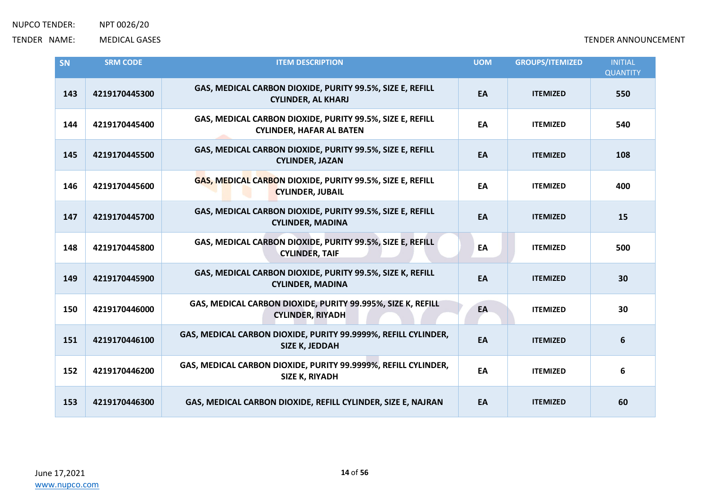| SN  | <b>SRM CODE</b> | <b>ITEM DESCRIPTION</b>                                                                      | <b>UOM</b> | <b>GROUPS/ITEMIZED</b> | <b>INITIAL</b><br><b>QUANTITY</b> |
|-----|-----------------|----------------------------------------------------------------------------------------------|------------|------------------------|-----------------------------------|
| 143 | 4219170445300   | GAS, MEDICAL CARBON DIOXIDE, PURITY 99.5%, SIZE E, REFILL<br><b>CYLINDER, AL KHARJ</b>       | EA         | <b>ITEMIZED</b>        | 550                               |
| 144 | 4219170445400   | GAS, MEDICAL CARBON DIOXIDE, PURITY 99.5%, SIZE E, REFILL<br><b>CYLINDER, HAFAR AL BATEN</b> | EA         | <b>ITEMIZED</b>        | 540                               |
| 145 | 4219170445500   | GAS, MEDICAL CARBON DIOXIDE, PURITY 99.5%, SIZE E, REFILL<br><b>CYLINDER, JAZAN</b>          | EA         | <b>ITEMIZED</b>        | 108                               |
| 146 | 4219170445600   | GAS, MEDICAL CARBON DIOXIDE, PURITY 99.5%, SIZE E, REFILL<br><b>CYLINDER, JUBAIL</b>         | EA         | <b>ITEMIZED</b>        | 400                               |
| 147 | 4219170445700   | GAS, MEDICAL CARBON DIOXIDE, PURITY 99.5%, SIZE E, REFILL<br><b>CYLINDER, MADINA</b>         | EA         | <b>ITEMIZED</b>        | 15                                |
| 148 | 4219170445800   | GAS, MEDICAL CARBON DIOXIDE, PURITY 99.5%, SIZE E, REFILL<br><b>CYLINDER, TAIF</b>           | EA         | <b>ITEMIZED</b>        | 500                               |
| 149 | 4219170445900   | GAS, MEDICAL CARBON DIOXIDE, PURITY 99.5%, SIZE K, REFILL<br><b>CYLINDER, MADINA</b>         | EA         | <b>ITEMIZED</b>        | 30                                |
| 150 | 4219170446000   | GAS, MEDICAL CARBON DIOXIDE, PURITY 99.995%, SIZE K, REFILL<br><b>CYLINDER, RIYADH</b>       | EA         | <b>ITEMIZED</b>        | 30                                |
| 151 | 4219170446100   | GAS, MEDICAL CARBON DIOXIDE, PURITY 99.9999%, REFILL CYLINDER,<br>SIZE K, JEDDAH             | EA         | <b>ITEMIZED</b>        | 6                                 |
| 152 | 4219170446200   | GAS, MEDICAL CARBON DIOXIDE, PURITY 99.9999%, REFILL CYLINDER,<br>SIZE K, RIYADH             | EA         | <b>ITEMIZED</b>        | 6                                 |
| 153 | 4219170446300   | GAS, MEDICAL CARBON DIOXIDE, REFILL CYLINDER, SIZE E, NAJRAN                                 | EA         | <b>ITEMIZED</b>        | 60                                |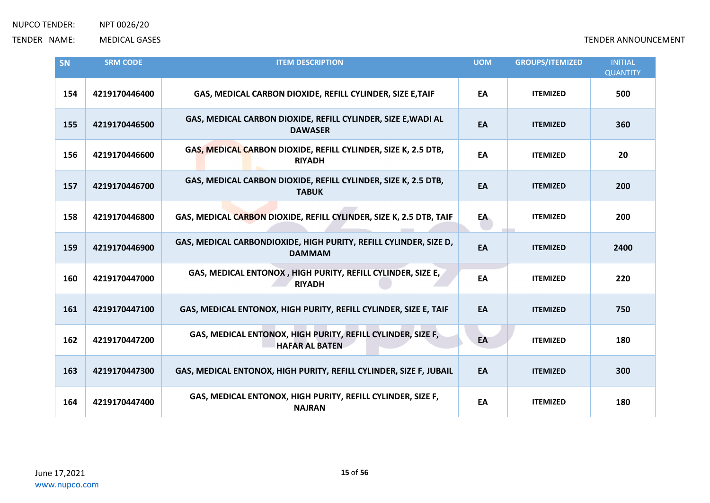| SN  | <b>SRM CODE</b> | <b>ITEM DESCRIPTION</b>                                                              | <b>UOM</b> | <b>GROUPS/ITEMIZED</b> | <b>INITIAL</b><br><b>QUANTITY</b> |
|-----|-----------------|--------------------------------------------------------------------------------------|------------|------------------------|-----------------------------------|
| 154 | 4219170446400   | GAS, MEDICAL CARBON DIOXIDE, REFILL CYLINDER, SIZE E, TAIF                           | EA         | <b>ITEMIZED</b>        | 500                               |
| 155 | 4219170446500   | GAS, MEDICAL CARBON DIOXIDE, REFILL CYLINDER, SIZE E, WADI AL<br><b>DAWASER</b>      | EA         | <b>ITEMIZED</b>        | 360                               |
| 156 | 4219170446600   | GAS, MEDICAL CARBON DIOXIDE, REFILL CYLINDER, SIZE K, 2.5 DTB,<br><b>RIYADH</b>      | EA         | <b>ITEMIZED</b>        | 20                                |
| 157 | 4219170446700   | GAS, MEDICAL CARBON DIOXIDE, REFILL CYLINDER, SIZE K, 2.5 DTB,<br><b>TABUK</b>       | EA         | <b>ITEMIZED</b>        | 200                               |
| 158 | 4219170446800   | GAS, MEDICAL CARBON DIOXIDE, REFILL CYLINDER, SIZE K, 2.5 DTB, TAIF                  | EA         | <b>ITEMIZED</b>        | 200                               |
| 159 | 4219170446900   | GAS, MEDICAL CARBONDIOXIDE, HIGH PURITY, REFILL CYLINDER, SIZE D,<br><b>DAMMAM</b>   | EA         | <b>ITEMIZED</b>        | 2400                              |
| 160 | 4219170447000   | GAS, MEDICAL ENTONOX, HIGH PURITY, REFILL CYLINDER, SIZE E,<br><b>RIYADH</b>         | EA         | <b>ITEMIZED</b>        | 220                               |
| 161 | 4219170447100   | GAS, MEDICAL ENTONOX, HIGH PURITY, REFILL CYLINDER, SIZE E, TAIF                     | EA         | <b>ITEMIZED</b>        | 750                               |
| 162 | 4219170447200   | GAS, MEDICAL ENTONOX, HIGH PURITY, REFILL CYLINDER, SIZE F,<br><b>HAFAR AL BATEN</b> | EA         | <b>ITEMIZED</b>        | 180                               |
| 163 | 4219170447300   | GAS, MEDICAL ENTONOX, HIGH PURITY, REFILL CYLINDER, SIZE F, JUBAIL                   | EA         | <b>ITEMIZED</b>        | 300                               |
| 164 | 4219170447400   | GAS, MEDICAL ENTONOX, HIGH PURITY, REFILL CYLINDER, SIZE F,<br><b>NAJRAN</b>         | EA         | <b>ITEMIZED</b>        | 180                               |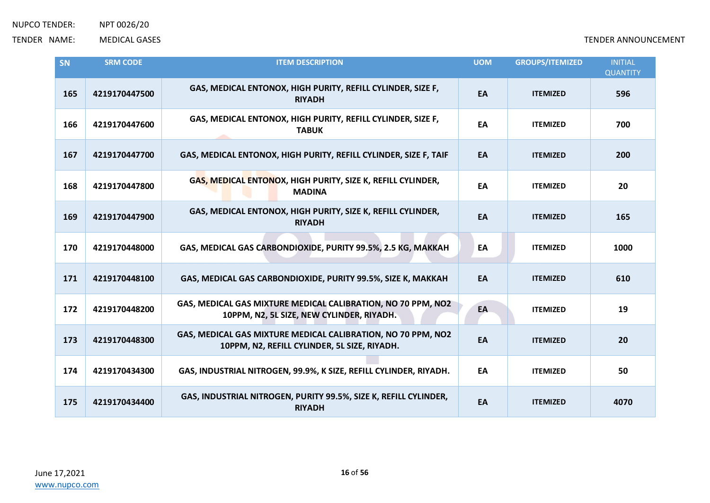| SN  | <b>SRM CODE</b> | <b>ITEM DESCRIPTION</b>                                                                                      | <b>UOM</b> | <b>GROUPS/ITEMIZED</b> | <b>INITIAL</b><br><b>QUANTITY</b> |
|-----|-----------------|--------------------------------------------------------------------------------------------------------------|------------|------------------------|-----------------------------------|
| 165 | 4219170447500   | GAS, MEDICAL ENTONOX, HIGH PURITY, REFILL CYLINDER, SIZE F,<br><b>RIYADH</b>                                 | EA         | <b>ITEMIZED</b>        | 596                               |
| 166 | 4219170447600   | GAS, MEDICAL ENTONOX, HIGH PURITY, REFILL CYLINDER, SIZE F,<br><b>TABUK</b>                                  | EA         | <b>ITEMIZED</b>        | 700                               |
| 167 | 4219170447700   | GAS, MEDICAL ENTONOX, HIGH PURITY, REFILL CYLINDER, SIZE F, TAIF                                             | EA         | <b>ITEMIZED</b>        | 200                               |
| 168 | 4219170447800   | GAS, MEDICAL ENTONOX, HIGH PURITY, SIZE K, REFILL CYLINDER,<br><b>MADINA</b>                                 | EA         | <b>ITEMIZED</b>        | 20                                |
| 169 | 4219170447900   | GAS, MEDICAL ENTONOX, HIGH PURITY, SIZE K, REFILL CYLINDER,<br><b>RIYADH</b>                                 | EA         | <b>ITEMIZED</b>        | 165                               |
| 170 | 4219170448000   | GAS, MEDICAL GAS CARBONDIOXIDE, PURITY 99.5%, 2.5 KG, MAKKAH                                                 | EA         | <b>ITEMIZED</b>        | 1000                              |
| 171 | 4219170448100   | GAS, MEDICAL GAS CARBONDIOXIDE, PURITY 99.5%, SIZE K, MAKKAH                                                 | EA         | <b>ITEMIZED</b>        | 610                               |
| 172 | 4219170448200   | GAS, MEDICAL GAS MIXTURE MEDICAL CALIBRATION, NO 70 PPM, NO2<br>10PPM, N2, 5L SIZE, NEW CYLINDER, RIYADH.    | EA         | <b>ITEMIZED</b>        | 19                                |
| 173 | 4219170448300   | GAS, MEDICAL GAS MIXTURE MEDICAL CALIBRATION, NO 70 PPM, NO2<br>10PPM, N2, REFILL CYLINDER, 5L SIZE, RIYADH. | EA         | <b>ITEMIZED</b>        | 20                                |
| 174 | 4219170434300   | GAS, INDUSTRIAL NITROGEN, 99.9%, K SIZE, REFILL CYLINDER, RIYADH.                                            | EA         | <b>ITEMIZED</b>        | 50                                |
| 175 | 4219170434400   | GAS, INDUSTRIAL NITROGEN, PURITY 99.5%, SIZE K, REFILL CYLINDER,<br><b>RIYADH</b>                            | EA         | <b>ITEMIZED</b>        | 4070                              |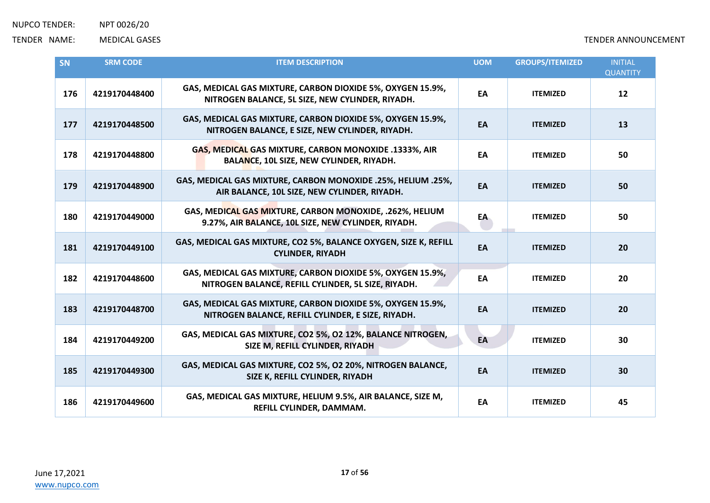| <b>SN</b> | <b>SRM CODE</b> | <b>ITEM DESCRIPTION</b>                                                                                           | <b>UOM</b> | <b>GROUPS/ITEMIZED</b> | <b>INITIAL</b><br><b>QUANTITY</b> |
|-----------|-----------------|-------------------------------------------------------------------------------------------------------------------|------------|------------------------|-----------------------------------|
| 176       | 4219170448400   | GAS, MEDICAL GAS MIXTURE, CARBON DIOXIDE 5%, OXYGEN 15.9%,<br>NITROGEN BALANCE, 5L SIZE, NEW CYLINDER, RIYADH.    | EA         | <b>ITEMIZED</b>        | 12                                |
| 177       | 4219170448500   | GAS, MEDICAL GAS MIXTURE, CARBON DIOXIDE 5%, OXYGEN 15.9%,<br>NITROGEN BALANCE, E SIZE, NEW CYLINDER, RIYADH.     | EA         | <b>ITEMIZED</b>        | 13                                |
| 178       | 4219170448800   | GAS, MEDICAL GAS MIXTURE, CARBON MONOXIDE .1333%, AIR<br>BALANCE, 10L SIZE, NEW CYLINDER, RIYADH.                 | EA         | <b>ITEMIZED</b>        | 50                                |
| 179       | 4219170448900   | GAS, MEDICAL GAS MIXTURE, CARBON MONOXIDE .25%, HELIUM .25%,<br>AIR BALANCE, 10L SIZE, NEW CYLINDER, RIYADH.      | EA         | <b>ITEMIZED</b>        | 50                                |
| 180       | 4219170449000   | GAS, MEDICAL GAS MIXTURE, CARBON MONOXIDE, .262%, HELIUM<br>9.27%, AIR BALANCE, 10L SIZE, NEW CYLINDER, RIYADH.   | EA         | <b>ITEMIZED</b>        | 50                                |
| 181       | 4219170449100   | GAS, MEDICAL GAS MIXTURE, CO2 5%, BALANCE OXYGEN, SIZE K, REFILL<br><b>CYLINDER, RIYADH</b>                       | EA         | <b>ITEMIZED</b>        | 20                                |
| 182       | 4219170448600   | GAS, MEDICAL GAS MIXTURE, CARBON DIOXIDE 5%, OXYGEN 15.9%,<br>NITROGEN BALANCE, REFILL CYLINDER, 5L SIZE, RIYADH. | EA         | <b>ITEMIZED</b>        | 20                                |
| 183       | 4219170448700   | GAS, MEDICAL GAS MIXTURE, CARBON DIOXIDE 5%, OXYGEN 15.9%,<br>NITROGEN BALANCE, REFILL CYLINDER, E SIZE, RIYADH.  | EA         | <b>ITEMIZED</b>        | 20                                |
| 184       | 4219170449200   | GAS, MEDICAL GAS MIXTURE, CO2 5%, O2 12%, BALANCE NITROGEN,<br>SIZE M, REFILL CYLINDER, RIYADH                    | EA         | <b>ITEMIZED</b>        | 30                                |
| 185       | 4219170449300   | GAS, MEDICAL GAS MIXTURE, CO2 5%, O2 20%, NITROGEN BALANCE,<br>SIZE K, REFILL CYLINDER, RIYADH                    | EA         | <b>ITEMIZED</b>        | 30                                |
| 186       | 4219170449600   | GAS, MEDICAL GAS MIXTURE, HELIUM 9.5%, AIR BALANCE, SIZE M,<br>REFILL CYLINDER, DAMMAM.                           | EA         | <b>ITEMIZED</b>        | 45                                |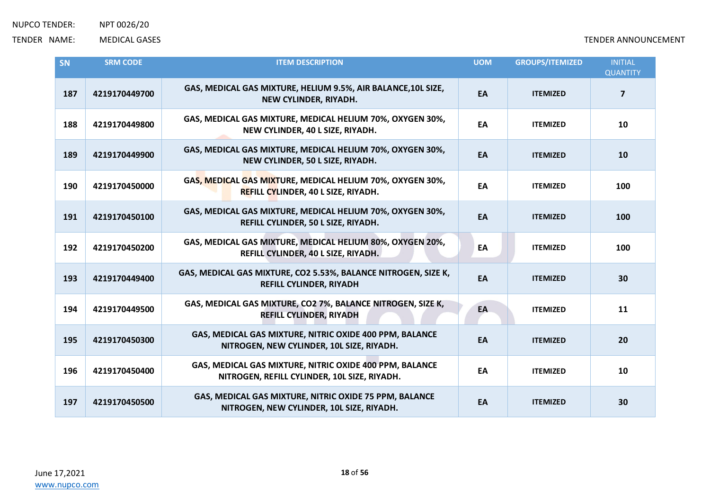| SN  | <b>SRM CODE</b> | <b>ITEM DESCRIPTION</b>                                                                                 | <b>UOM</b> | <b>GROUPS/ITEMIZED</b> | <b>INITIAL</b><br><b>QUANTITY</b> |
|-----|-----------------|---------------------------------------------------------------------------------------------------------|------------|------------------------|-----------------------------------|
| 187 | 4219170449700   | GAS, MEDICAL GAS MIXTURE, HELIUM 9.5%, AIR BALANCE, 10L SIZE,<br>NEW CYLINDER, RIYADH.                  | EA         | <b>ITEMIZED</b>        | $\overline{\mathbf{z}}$           |
| 188 | 4219170449800   | GAS, MEDICAL GAS MIXTURE, MEDICAL HELIUM 70%, OXYGEN 30%,<br>NEW CYLINDER, 40 L SIZE, RIYADH.           | EA         | <b>ITEMIZED</b>        | 10                                |
| 189 | 4219170449900   | GAS, MEDICAL GAS MIXTURE, MEDICAL HELIUM 70%, OXYGEN 30%,<br>NEW CYLINDER, 50 L SIZE, RIYADH.           | EA         | <b>ITEMIZED</b>        | 10                                |
| 190 | 4219170450000   | GAS, MEDICAL GAS MIXTURE, MEDICAL HELIUM 70%, OXYGEN 30%,<br><b>REFILL CYLINDER, 40 L SIZE, RIYADH.</b> | EA         | <b>ITEMIZED</b>        | 100                               |
| 191 | 4219170450100   | GAS, MEDICAL GAS MIXTURE, MEDICAL HELIUM 70%, OXYGEN 30%,<br>REFILL CYLINDER, 50 L SIZE, RIYADH.        | EA         | <b>ITEMIZED</b>        | 100                               |
| 192 | 4219170450200   | GAS, MEDICAL GAS MIXTURE, MEDICAL HELIUM 80%, OXYGEN 20%,<br>REFILL CYLINDER, 40 L SIZE, RIYADH.        | EA         | <b>ITEMIZED</b>        | 100                               |
| 193 | 4219170449400   | GAS, MEDICAL GAS MIXTURE, CO2 5.53%, BALANCE NITROGEN, SIZE K,<br><b>REFILL CYLINDER, RIYADH</b>        | EA         | <b>ITEMIZED</b>        | 30                                |
| 194 | 4219170449500   | GAS, MEDICAL GAS MIXTURE, CO2 7%, BALANCE NITROGEN, SIZE K,<br><b>REFILL CYLINDER, RIYADH</b>           | EA         | <b>ITEMIZED</b>        | 11                                |
| 195 | 4219170450300   | GAS, MEDICAL GAS MIXTURE, NITRIC OXIDE 400 PPM, BALANCE<br>NITROGEN, NEW CYLINDER, 10L SIZE, RIYADH.    | EA         | <b>ITEMIZED</b>        | 20                                |
| 196 | 4219170450400   | GAS, MEDICAL GAS MIXTURE, NITRIC OXIDE 400 PPM, BALANCE<br>NITROGEN, REFILL CYLINDER, 10L SIZE, RIYADH. | EA         | <b>ITEMIZED</b>        | 10                                |
| 197 | 4219170450500   | GAS, MEDICAL GAS MIXTURE, NITRIC OXIDE 75 PPM, BALANCE<br>NITROGEN, NEW CYLINDER, 10L SIZE, RIYADH.     | EA         | <b>ITEMIZED</b>        | 30                                |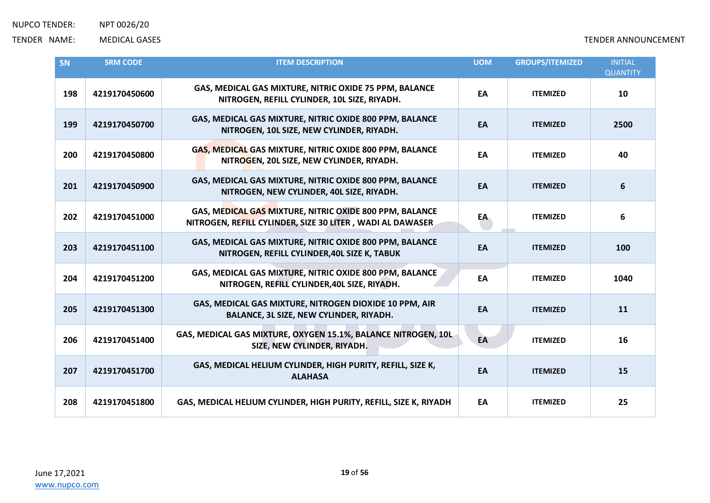| SN  | <b>SRM CODE</b> | <b>ITEM DESCRIPTION</b>                                                                                              | <b>UOM</b> | <b>GROUPS/ITEMIZED</b> | <b>INITIAL</b><br><b>QUANTITY</b> |
|-----|-----------------|----------------------------------------------------------------------------------------------------------------------|------------|------------------------|-----------------------------------|
| 198 | 4219170450600   | GAS, MEDICAL GAS MIXTURE, NITRIC OXIDE 75 PPM, BALANCE<br>NITROGEN, REFILL CYLINDER, 10L SIZE, RIYADH.               | EA         | <b>ITEMIZED</b>        | 10                                |
| 199 | 4219170450700   | GAS, MEDICAL GAS MIXTURE, NITRIC OXIDE 800 PPM, BALANCE<br>NITROGEN, 10L SIZE, NEW CYLINDER, RIYADH.                 | EA         | <b>ITEMIZED</b>        | 2500                              |
| 200 | 4219170450800   | GAS, MEDICAL GAS MIXTURE, NITRIC OXIDE 800 PPM, BALANCE<br>NITROGEN, 20L SIZE, NEW CYLINDER, RIYADH.                 | EA         | <b>ITEMIZED</b>        | 40                                |
| 201 | 4219170450900   | GAS, MEDICAL GAS MIXTURE, NITRIC OXIDE 800 PPM, BALANCE<br>NITROGEN, NEW CYLINDER, 40L SIZE, RIYADH.                 | EA         | <b>ITEMIZED</b>        | 6                                 |
| 202 | 4219170451000   | GAS, MEDICAL GAS MIXTURE, NITRIC OXIDE 800 PPM, BALANCE<br>NITROGEN, REFILL CYLINDER, SIZE 30 LITER, WADI AL DAWASER | EA         | <b>ITEMIZED</b>        | 6                                 |
| 203 | 4219170451100   | GAS, MEDICAL GAS MIXTURE, NITRIC OXIDE 800 PPM, BALANCE<br>NITROGEN, REFILL CYLINDER, 40L SIZE K, TABUK              | EA         | <b>ITEMIZED</b>        | 100                               |
| 204 | 4219170451200   | GAS, MEDICAL GAS MIXTURE, NITRIC OXIDE 800 PPM, BALANCE<br>NITROGEN, REFILL CYLINDER, 40L SIZE, RIYADH.              | EA         | <b>ITEMIZED</b>        | 1040                              |
| 205 | 4219170451300   | GAS, MEDICAL GAS MIXTURE, NITROGEN DIOXIDE 10 PPM, AIR<br>BALANCE, 3L SIZE, NEW CYLINDER, RIYADH.                    | EA         | <b>ITEMIZED</b>        | 11                                |
| 206 | 4219170451400   | GAS, MEDICAL GAS MIXTURE, OXYGEN 15.1%, BALANCE NITROGEN, 10L<br>SIZE, NEW CYLINDER, RIYADH.                         | EA         | <b>ITEMIZED</b>        | 16                                |
| 207 | 4219170451700   | GAS, MEDICAL HELIUM CYLINDER, HIGH PURITY, REFILL, SIZE K,<br><b>ALAHASA</b>                                         | EA         | <b>ITEMIZED</b>        | 15                                |
| 208 | 4219170451800   | GAS, MEDICAL HELIUM CYLINDER, HIGH PURITY, REFILL, SIZE K, RIYADH                                                    | EA         | <b>ITEMIZED</b>        | 25                                |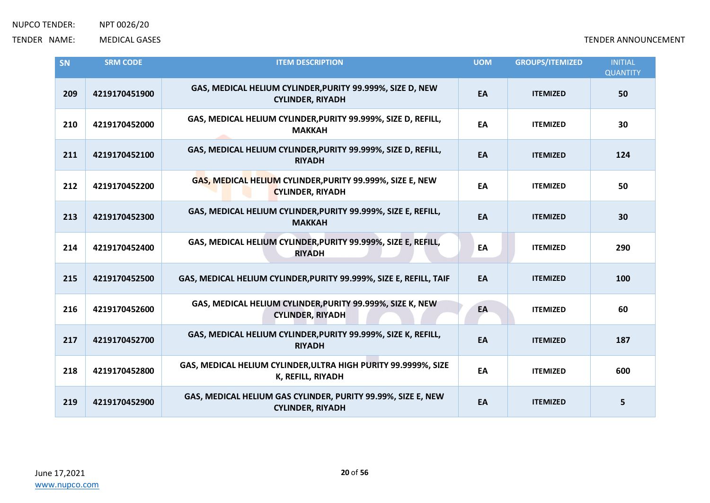| SN  | <b>SRM CODE</b> | <b>ITEM DESCRIPTION</b>                                                                 | <b>UOM</b> | <b>GROUPS/ITEMIZED</b> | <b>INITIAL</b><br><b>QUANTITY</b> |
|-----|-----------------|-----------------------------------------------------------------------------------------|------------|------------------------|-----------------------------------|
| 209 | 4219170451900   | GAS, MEDICAL HELIUM CYLINDER, PURITY 99.999%, SIZE D, NEW<br><b>CYLINDER, RIYADH</b>    | EA         | <b>ITEMIZED</b>        | 50                                |
| 210 | 4219170452000   | GAS, MEDICAL HELIUM CYLINDER, PURITY 99.999%, SIZE D, REFILL,<br><b>MAKKAH</b>          | EA         | <b>ITEMIZED</b>        | 30                                |
| 211 | 4219170452100   | GAS, MEDICAL HELIUM CYLINDER, PURITY 99.999%, SIZE D, REFILL,<br><b>RIYADH</b>          | EA         | <b>ITEMIZED</b>        | 124                               |
| 212 | 4219170452200   | GAS, MEDICAL HELIUM CYLINDER, PURITY 99.999%, SIZE E, NEW<br><b>CYLINDER, RIYADH</b>    | EA         | <b>ITEMIZED</b>        | 50                                |
| 213 | 4219170452300   | GAS, MEDICAL HELIUM CYLINDER, PURITY 99.999%, SIZE E, REFILL,<br><b>MAKKAH</b>          | EA         | <b>ITEMIZED</b>        | 30                                |
| 214 | 4219170452400   | GAS, MEDICAL HELIUM CYLINDER, PURITY 99.999%, SIZE E, REFILL,<br><b>RIYADH</b>          | EA         | <b>ITEMIZED</b>        | 290                               |
| 215 | 4219170452500   | GAS, MEDICAL HELIUM CYLINDER, PURITY 99.999%, SIZE E, REFILL, TAIF                      | EA         | <b>ITEMIZED</b>        | 100                               |
| 216 | 4219170452600   | GAS, MEDICAL HELIUM CYLINDER, PURITY 99.999%, SIZE K, NEW<br><b>CYLINDER, RIYADH</b>    | EA         | <b>ITEMIZED</b>        | 60                                |
| 217 | 4219170452700   | GAS, MEDICAL HELIUM CYLINDER, PURITY 99.999%, SIZE K, REFILL,<br><b>RIYADH</b>          | EA         | <b>ITEMIZED</b>        | 187                               |
| 218 | 4219170452800   | GAS, MEDICAL HELIUM CYLINDER, ULTRA HIGH PURITY 99.9999%, SIZE<br>K, REFILL, RIYADH     | EA         | <b>ITEMIZED</b>        | 600                               |
| 219 | 4219170452900   | GAS, MEDICAL HELIUM GAS CYLINDER, PURITY 99.99%, SIZE E, NEW<br><b>CYLINDER, RIYADH</b> | EA         | <b>ITEMIZED</b>        | 5                                 |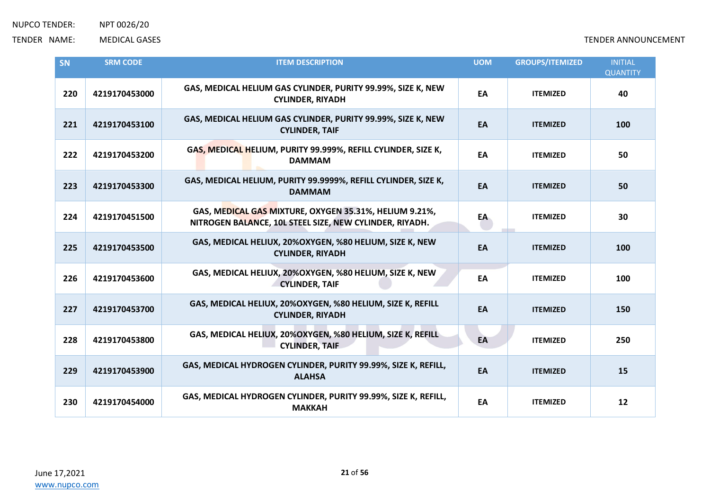| SN  | <b>SRM CODE</b> | <b>ITEM DESCRIPTION</b>                                                                                           | <b>UOM</b> | <b>GROUPS/ITEMIZED</b> | <b>INITIAL</b><br><b>QUANTITY</b> |
|-----|-----------------|-------------------------------------------------------------------------------------------------------------------|------------|------------------------|-----------------------------------|
| 220 | 4219170453000   | GAS, MEDICAL HELIUM GAS CYLINDER, PURITY 99.99%, SIZE K, NEW<br><b>CYLINDER, RIYADH</b>                           | EA         | <b>ITEMIZED</b>        | 40                                |
| 221 | 4219170453100   | GAS, MEDICAL HELIUM GAS CYLINDER, PURITY 99.99%, SIZE K, NEW<br><b>CYLINDER, TAIF</b>                             | EA         | <b>ITEMIZED</b>        | 100                               |
| 222 | 4219170453200   | GAS, MEDICAL HELIUM, PURITY 99.999%, REFILL CYLINDER, SIZE K,<br><b>DAMMAM</b>                                    | EA         | <b>ITEMIZED</b>        | 50                                |
| 223 | 4219170453300   | GAS, MEDICAL HELIUM, PURITY 99.9999%, REFILL CYLINDER, SIZE K,<br><b>DAMMAM</b>                                   | EA         | <b>ITEMIZED</b>        | 50                                |
| 224 | 4219170451500   | GAS, MEDICAL GAS MIXTURE, OXYGEN 35.31%, HELIUM 9.21%,<br>NITROGEN BALANCE, 10L STEEL SIZE, NEW CYLINDER, RIYADH. | EA         | <b>ITEMIZED</b>        | 30                                |
| 225 | 4219170453500   | GAS, MEDICAL HELIUX, 20%OXYGEN, %80 HELIUM, SIZE K, NEW<br><b>CYLINDER, RIYADH</b>                                | EA         | <b>ITEMIZED</b>        | 100                               |
| 226 | 4219170453600   | GAS, MEDICAL HELIUX, 20%OXYGEN, %80 HELIUM, SIZE K, NEW<br><b>CYLINDER, TAIF</b>                                  | EA         | <b>ITEMIZED</b>        | 100                               |
| 227 | 4219170453700   | GAS, MEDICAL HELIUX, 20%OXYGEN, %80 HELIUM, SIZE K, REFILL<br><b>CYLINDER, RIYADH</b>                             | EA         | <b>ITEMIZED</b>        | 150                               |
| 228 | 4219170453800   | GAS, MEDICAL HELIUX, 20%OXYGEN, %80 HELIUM, SIZE K, REFILL<br><b>CYLINDER, TAIF</b>                               | EA         | <b>ITEMIZED</b>        | 250                               |
| 229 | 4219170453900   | GAS, MEDICAL HYDROGEN CYLINDER, PURITY 99.99%, SIZE K, REFILL,<br><b>ALAHSA</b>                                   | EA         | <b>ITEMIZED</b>        | 15                                |
| 230 | 4219170454000   | GAS, MEDICAL HYDROGEN CYLINDER, PURITY 99.99%, SIZE K, REFILL,<br><b>MAKKAH</b>                                   | EA         | <b>ITEMIZED</b>        | 12                                |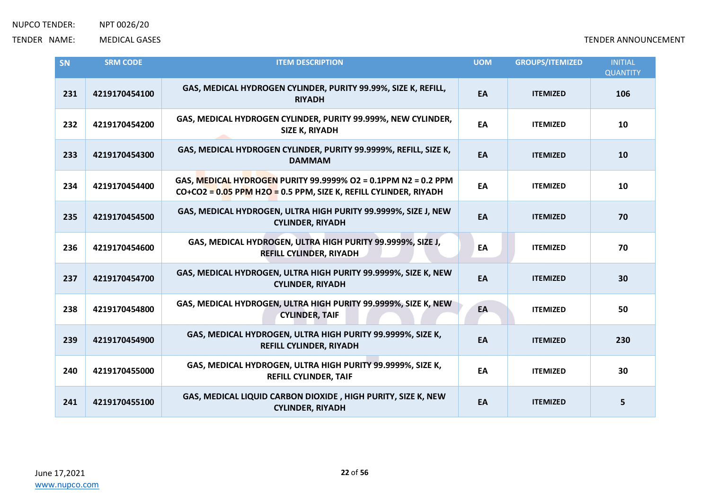| SN  | <b>SRM CODE</b> | <b>ITEM DESCRIPTION</b>                                                                                                              | <b>UOM</b> | <b>GROUPS/ITEMIZED</b> | <b>INITIAL</b><br><b>QUANTITY</b> |
|-----|-----------------|--------------------------------------------------------------------------------------------------------------------------------------|------------|------------------------|-----------------------------------|
| 231 | 4219170454100   | GAS, MEDICAL HYDROGEN CYLINDER, PURITY 99.99%, SIZE K, REFILL,<br><b>RIYADH</b>                                                      | EA         | <b>ITEMIZED</b>        | 106                               |
| 232 | 4219170454200   | GAS, MEDICAL HYDROGEN CYLINDER, PURITY 99.999%, NEW CYLINDER,<br><b>SIZE K, RIYADH</b>                                               | EA         | <b>ITEMIZED</b>        | 10                                |
| 233 | 4219170454300   | GAS, MEDICAL HYDROGEN CYLINDER, PURITY 99.9999%, REFILL, SIZE K,<br><b>DAMMAM</b>                                                    | EA         | <b>ITEMIZED</b>        | 10                                |
| 234 | 4219170454400   | GAS, MEDICAL HYDROGEN PURITY 99.9999% O2 = 0.1PPM N2 = 0.2 PPM<br>$CO+CO2 = 0.05$ PPM H2O = 0.5 PPM, SIZE K, REFILL CYLINDER, RIYADH | EA         | <b>ITEMIZED</b>        | 10                                |
| 235 | 4219170454500   | GAS, MEDICAL HYDROGEN, ULTRA HIGH PURITY 99.9999%, SIZE J, NEW<br><b>CYLINDER, RIYADH</b>                                            | EA         | <b>ITEMIZED</b>        | 70                                |
| 236 | 4219170454600   | GAS, MEDICAL HYDROGEN, ULTRA HIGH PURITY 99.9999%, SIZE J,<br><b>REFILL CYLINDER, RIYADH</b>                                         | EA         | <b>ITEMIZED</b>        | 70                                |
| 237 | 4219170454700   | GAS, MEDICAL HYDROGEN, ULTRA HIGH PURITY 99.9999%, SIZE K, NEW<br><b>CYLINDER, RIYADH</b>                                            | EA         | <b>ITEMIZED</b>        | 30                                |
| 238 | 4219170454800   | GAS, MEDICAL HYDROGEN, ULTRA HIGH PURITY 99.9999%, SIZE K, NEW<br><b>CYLINDER, TAIF</b>                                              | EA         | <b>ITEMIZED</b>        | 50                                |
| 239 | 4219170454900   | GAS, MEDICAL HYDROGEN, ULTRA HIGH PURITY 99.9999%, SIZE K,<br><b>REFILL CYLINDER, RIYADH</b>                                         | EA         | <b>ITEMIZED</b>        | 230                               |
| 240 | 4219170455000   | GAS, MEDICAL HYDROGEN, ULTRA HIGH PURITY 99.9999%, SIZE K,<br><b>REFILL CYLINDER, TAIF</b>                                           | EA         | <b>ITEMIZED</b>        | 30                                |
| 241 | 4219170455100   | GAS, MEDICAL LIQUID CARBON DIOXIDE, HIGH PURITY, SIZE K, NEW<br><b>CYLINDER, RIYADH</b>                                              | EA         | <b>ITEMIZED</b>        | 5                                 |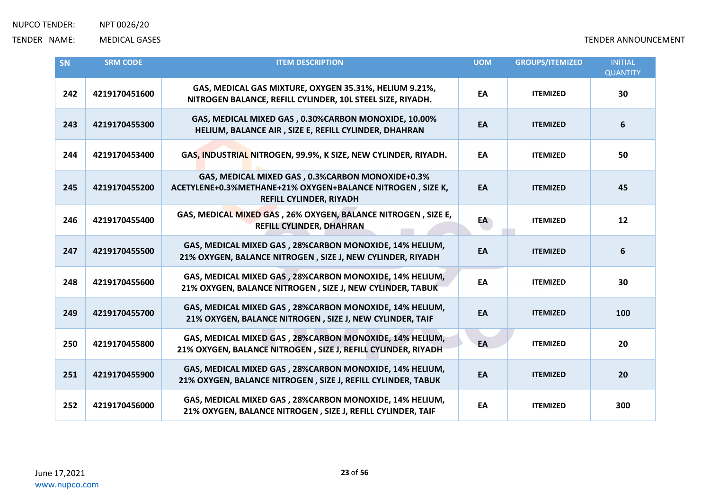| SN  | <b>SRM CODE</b> | <b>ITEM DESCRIPTION</b>                                                                                                                          | <b>UOM</b> | <b>GROUPS/ITEMIZED</b> | <b>INITIAL</b><br><b>QUANTITY</b> |
|-----|-----------------|--------------------------------------------------------------------------------------------------------------------------------------------------|------------|------------------------|-----------------------------------|
| 242 | 4219170451600   | GAS, MEDICAL GAS MIXTURE, OXYGEN 35.31%, HELIUM 9.21%,<br>NITROGEN BALANCE, REFILL CYLINDER, 10L STEEL SIZE, RIYADH.                             | EA         | <b>ITEMIZED</b>        | 30                                |
| 243 | 4219170455300   | GAS, MEDICAL MIXED GAS, 0.30%CARBON MONOXIDE, 10.00%<br>HELIUM, BALANCE AIR, SIZE E, REFILL CYLINDER, DHAHRAN                                    | EA         | <b>ITEMIZED</b>        | $\boldsymbol{6}$                  |
| 244 | 4219170453400   | GAS, INDUSTRIAL NITROGEN, 99.9%, K SIZE, NEW CYLINDER, RIYADH.                                                                                   | EA         | <b>ITEMIZED</b>        | 50                                |
| 245 | 4219170455200   | GAS, MEDICAL MIXED GAS, 0.3%CARBON MONOXIDE+0.3%<br>ACETYLENE+0.3%METHANE+21% OXYGEN+BALANCE NITROGEN, SIZE K,<br><b>REFILL CYLINDER, RIYADH</b> | EA         | <b>ITEMIZED</b>        | 45                                |
| 246 | 4219170455400   | GAS, MEDICAL MIXED GAS, 26% OXYGEN, BALANCE NITROGEN, SIZE E,<br><b>REFILL CYLINDER, DHAHRAN</b>                                                 | EA         | <b>ITEMIZED</b>        | 12                                |
| 247 | 4219170455500   | GAS, MEDICAL MIXED GAS, 28%CARBON MONOXIDE, 14% HELIUM,<br>21% OXYGEN, BALANCE NITROGEN, SIZE J, NEW CYLINDER, RIYADH                            | EA         | <b>ITEMIZED</b>        | $6\phantom{1}6$                   |
| 248 | 4219170455600   | GAS, MEDICAL MIXED GAS, 28%CARBON MONOXIDE, 14% HELIUM,<br>21% OXYGEN, BALANCE NITROGEN, SIZE J, NEW CYLINDER, TABUK                             | EA         | <b>ITEMIZED</b>        | 30                                |
| 249 | 4219170455700   | GAS, MEDICAL MIXED GAS, 28%CARBON MONOXIDE, 14% HELIUM,<br>21% OXYGEN, BALANCE NITROGEN, SIZE J, NEW CYLINDER, TAIF                              | EA         | <b>ITEMIZED</b>        | 100                               |
| 250 | 4219170455800   | GAS, MEDICAL MIXED GAS, 28%CARBON MONOXIDE, 14% HELIUM,<br>21% OXYGEN, BALANCE NITROGEN, SIZE J, REFILL CYLINDER, RIYADH                         | EA         | <b>ITEMIZED</b>        | 20                                |
| 251 | 4219170455900   | GAS, MEDICAL MIXED GAS, 28%CARBON MONOXIDE, 14% HELIUM,<br>21% OXYGEN, BALANCE NITROGEN, SIZE J, REFILL CYLINDER, TABUK                          | EA         | <b>ITEMIZED</b>        | 20                                |
| 252 | 4219170456000   | GAS, MEDICAL MIXED GAS, 28%CARBON MONOXIDE, 14% HELIUM,<br>21% OXYGEN, BALANCE NITROGEN, SIZE J, REFILL CYLINDER, TAIF                           | EA         | <b>ITEMIZED</b>        | 300                               |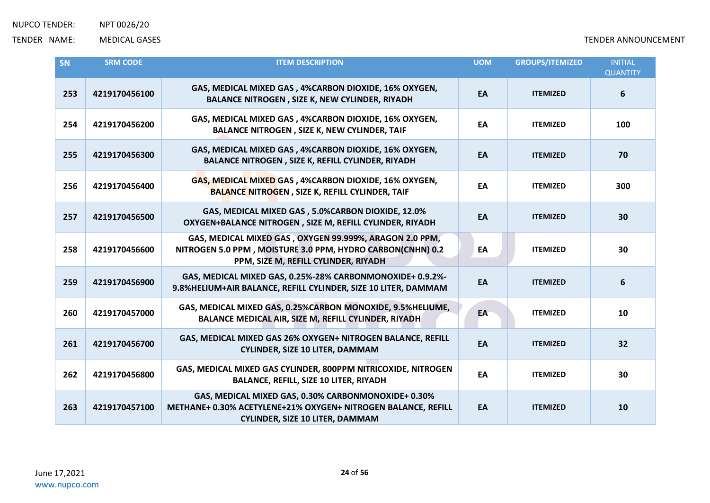| <b>SN</b> | <b>SRM CODE</b> | <b>ITEM DESCRIPTION</b>                                                                                                                                        | <b>UOM</b> | <b>GROUPS/ITEMIZED</b> | <b>INITIAL</b><br><b>QUANTITY</b> |
|-----------|-----------------|----------------------------------------------------------------------------------------------------------------------------------------------------------------|------------|------------------------|-----------------------------------|
| 253       | 4219170456100   | GAS, MEDICAL MIXED GAS, 4%CARBON DIOXIDE, 16% OXYGEN,<br><b>BALANCE NITROGEN, SIZE K, NEW CYLINDER, RIYADH</b>                                                 | EA         | <b>ITEMIZED</b>        | 6                                 |
| 254       | 4219170456200   | GAS, MEDICAL MIXED GAS, 4%CARBON DIOXIDE, 16% OXYGEN,<br><b>BALANCE NITROGEN, SIZE K, NEW CYLINDER, TAIF</b>                                                   | EA         | <b>ITEMIZED</b>        | 100                               |
| 255       | 4219170456300   | GAS, MEDICAL MIXED GAS, 4%CARBON DIOXIDE, 16% OXYGEN,<br>BALANCE NITROGEN, SIZE K, REFILL CYLINDER, RIYADH                                                     | EA         | <b>ITEMIZED</b>        | 70                                |
| 256       | 4219170456400   | GAS, MEDICAL MIXED GAS, 4%CARBON DIOXIDE, 16% OXYGEN,<br><b>BALANCE NITROGEN, SIZE K, REFILL CYLINDER, TAIF</b>                                                | EA         | <b>ITEMIZED</b>        | 300                               |
| 257       | 4219170456500   | GAS, MEDICAL MIXED GAS, 5.0%CARBON DIOXIDE, 12.0%<br>OXYGEN+BALANCE NITROGEN, SIZE M, REFILL CYLINDER, RIYADH                                                  | EA         | <b>ITEMIZED</b>        | 30                                |
| 258       | 4219170456600   | GAS, MEDICAL MIXED GAS, OXYGEN 99.999%, ARAGON 2.0 PPM,<br>NITROGEN 5.0 PPM, MOISTURE 3.0 PPM, HYDRO CARBON(CNHN) 0.2<br>PPM, SIZE M, REFILL CYLINDER, RIYADH  | EA         | <b>ITEMIZED</b>        | 30                                |
| 259       | 4219170456900   | GAS, MEDICAL MIXED GAS, 0.25%-28% CARBONMONOXIDE+ 0.9.2%-<br>9.8%HELIUM+AIR BALANCE, REFILL CYLINDER, SIZE 10 LITER, DAMMAM                                    | EA         | <b>ITEMIZED</b>        | 6                                 |
| 260       | 4219170457000   | GAS, MEDICAL MIXED GAS, 0.25%CARBON MONOXIDE, 9.5%HELIUME,<br>BALANCE MEDICAL AIR, SIZE M, REFILL CYLINDER, RIYADH                                             | EA         | <b>ITEMIZED</b>        | 10                                |
| 261       | 4219170456700   | GAS, MEDICAL MIXED GAS 26% OXYGEN+ NITROGEN BALANCE, REFILL<br><b>CYLINDER, SIZE 10 LITER, DAMMAM</b>                                                          | EA         | <b>ITEMIZED</b>        | 32                                |
| 262       | 4219170456800   | GAS, MEDICAL MIXED GAS CYLINDER, 800PPM NITRICOXIDE, NITROGEN<br><b>BALANCE, REFILL, SIZE 10 LITER, RIYADH</b>                                                 | EA         | <b>ITEMIZED</b>        | 30                                |
| 263       | 4219170457100   | GAS, MEDICAL MIXED GAS, 0.30% CARBONMONOXIDE+ 0.30%<br>METHANE+ 0.30% ACETYLENE+21% OXYGEN+ NITROGEN BALANCE, REFILL<br><b>CYLINDER, SIZE 10 LITER, DAMMAM</b> | EA         | <b>ITEMIZED</b>        | 10                                |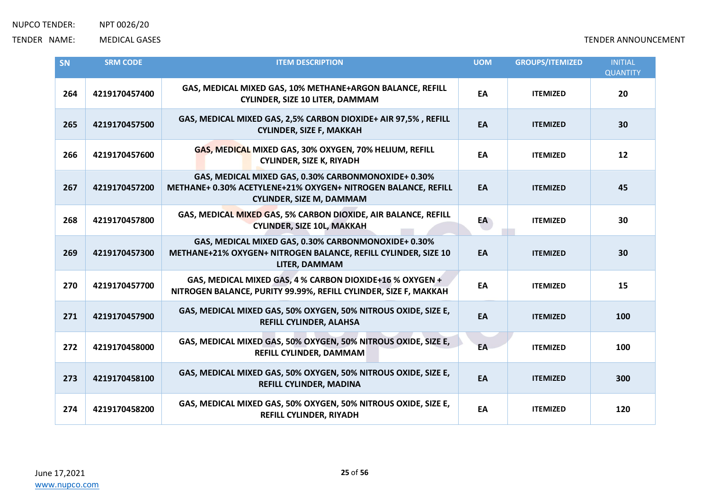| SN  | <b>SRM CODE</b> | <b>ITEM DESCRIPTION</b>                                                                                                                                 | <b>UOM</b> | <b>GROUPS/ITEMIZED</b> | <b>INITIAL</b><br><b>QUANTITY</b> |
|-----|-----------------|---------------------------------------------------------------------------------------------------------------------------------------------------------|------------|------------------------|-----------------------------------|
| 264 | 4219170457400   | GAS, MEDICAL MIXED GAS, 10% METHANE+ARGON BALANCE, REFILL<br><b>CYLINDER, SIZE 10 LITER, DAMMAM</b>                                                     | EA         | <b>ITEMIZED</b>        | 20                                |
| 265 | 4219170457500   | GAS, MEDICAL MIXED GAS, 2,5% CARBON DIOXIDE+ AIR 97,5%, REFILL<br><b>CYLINDER, SIZE F, MAKKAH</b>                                                       | EA         | <b>ITEMIZED</b>        | 30                                |
| 266 | 4219170457600   | GAS, MEDICAL MIXED GAS, 30% OXYGEN, 70% HELIUM, REFILL<br><b>CYLINDER, SIZE K, RIYADH</b>                                                               | EA         | <b>ITEMIZED</b>        | 12                                |
| 267 | 4219170457200   | GAS, MEDICAL MIXED GAS, 0.30% CARBONMONOXIDE+ 0.30%<br>METHANE+ 0.30% ACETYLENE+21% OXYGEN+ NITROGEN BALANCE, REFILL<br><b>CYLINDER, SIZE M, DAMMAM</b> | EA         | <b>ITEMIZED</b>        | 45                                |
| 268 | 4219170457800   | GAS, MEDICAL MIXED GAS, 5% CARBON DIOXIDE, AIR BALANCE, REFILL<br><b>CYLINDER, SIZE 10L, MAKKAH</b>                                                     | EA         | <b>ITEMIZED</b>        | 30                                |
| 269 | 4219170457300   | GAS, MEDICAL MIXED GAS, 0.30% CARBONMONOXIDE+ 0.30%<br>METHANE+21% OXYGEN+ NITROGEN BALANCE, REFILL CYLINDER, SIZE 10<br>LITER, DAMMAM                  | EA         | <b>ITEMIZED</b>        | 30                                |
| 270 | 4219170457700   | GAS, MEDICAL MIXED GAS, 4 % CARBON DIOXIDE+16 % OXYGEN +<br>NITROGEN BALANCE, PURITY 99.99%, REFILL CYLINDER, SIZE F, MAKKAH                            | EA         | <b>ITEMIZED</b>        | 15                                |
| 271 | 4219170457900   | GAS, MEDICAL MIXED GAS, 50% OXYGEN, 50% NITROUS OXIDE, SIZE E,<br>REFILL CYLINDER, ALAHSA                                                               | EA         | <b>ITEMIZED</b>        | 100                               |
| 272 | 4219170458000   | GAS, MEDICAL MIXED GAS, 50% OXYGEN, 50% NITROUS OXIDE, SIZE E,<br>REFILL CYLINDER, DAMMAM                                                               | EA         | <b>ITEMIZED</b>        | 100                               |
| 273 | 4219170458100   | GAS, MEDICAL MIXED GAS, 50% OXYGEN, 50% NITROUS OXIDE, SIZE E,<br>REFILL CYLINDER, MADINA                                                               | EA         | <b>ITEMIZED</b>        | 300                               |
| 274 | 4219170458200   | GAS, MEDICAL MIXED GAS, 50% OXYGEN, 50% NITROUS OXIDE, SIZE E,<br><b>REFILL CYLINDER, RIYADH</b>                                                        | EA         | <b>ITEMIZED</b>        | 120                               |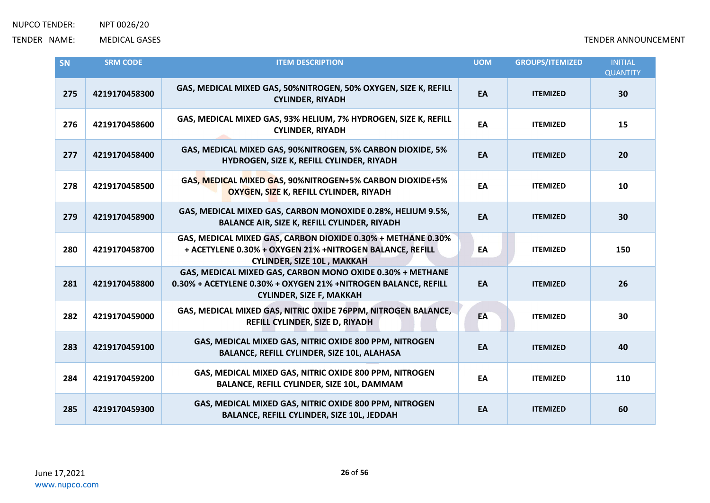| SN  | <b>SRM CODE</b> | <b>ITEM DESCRIPTION</b>                                                                                                                                        | <b>UOM</b> | <b>GROUPS/ITEMIZED</b> | <b>INITIAL</b><br><b>QUANTITY</b> |
|-----|-----------------|----------------------------------------------------------------------------------------------------------------------------------------------------------------|------------|------------------------|-----------------------------------|
| 275 | 4219170458300   | GAS, MEDICAL MIXED GAS, 50%NITROGEN, 50% OXYGEN, SIZE K, REFILL<br><b>CYLINDER, RIYADH</b>                                                                     | EA         | <b>ITEMIZED</b>        | 30                                |
| 276 | 4219170458600   | GAS, MEDICAL MIXED GAS, 93% HELIUM, 7% HYDROGEN, SIZE K, REFILL<br><b>CYLINDER, RIYADH</b>                                                                     | EA         | <b>ITEMIZED</b>        | 15                                |
| 277 | 4219170458400   | GAS, MEDICAL MIXED GAS, 90%NITROGEN, 5% CARBON DIOXIDE, 5%<br>HYDROGEN, SIZE K, REFILL CYLINDER, RIYADH                                                        | EA         | <b>ITEMIZED</b>        | 20                                |
| 278 | 4219170458500   | GAS, MEDICAL MIXED GAS, 90%NITROGEN+5% CARBON DIOXIDE+5%<br>OXYGEN, SIZE K, REFILL CYLINDER, RIYADH                                                            | EA         | <b>ITEMIZED</b>        | 10                                |
| 279 | 4219170458900   | GAS, MEDICAL MIXED GAS, CARBON MONOXIDE 0.28%, HELIUM 9.5%,<br><b>BALANCE AIR, SIZE K, REFILL CYLINDER, RIYADH</b>                                             | EA         | <b>ITEMIZED</b>        | 30                                |
| 280 | 4219170458700   | GAS, MEDICAL MIXED GAS, CARBON DIOXIDE 0.30% + METHANE 0.30%<br>+ ACETYLENE 0.30% + OXYGEN 21% +NITROGEN BALANCE, REFILL<br><b>CYLINDER, SIZE 10L, MAKKAH</b>  | EA         | <b>ITEMIZED</b>        | 150                               |
| 281 | 4219170458800   | GAS, MEDICAL MIXED GAS, CARBON MONO OXIDE 0.30% + METHANE<br>0.30% + ACETYLENE 0.30% + OXYGEN 21% +NITROGEN BALANCE, REFILL<br><b>CYLINDER, SIZE F, MAKKAH</b> | EA         | <b>ITEMIZED</b>        | 26                                |
| 282 | 4219170459000   | GAS, MEDICAL MIXED GAS, NITRIC OXIDE 76PPM, NITROGEN BALANCE,<br>REFILL CYLINDER, SIZE D, RIYADH                                                               | EA         | <b>ITEMIZED</b>        | 30                                |
| 283 | 4219170459100   | GAS, MEDICAL MIXED GAS, NITRIC OXIDE 800 PPM, NITROGEN<br>BALANCE, REFILL CYLINDER, SIZE 10L, ALAHASA                                                          | EA         | <b>ITEMIZED</b>        | 40                                |
| 284 | 4219170459200   | GAS, MEDICAL MIXED GAS, NITRIC OXIDE 800 PPM, NITROGEN<br>BALANCE, REFILL CYLINDER, SIZE 10L, DAMMAM                                                           | EA         | <b>ITEMIZED</b>        | 110                               |
| 285 | 4219170459300   | GAS, MEDICAL MIXED GAS, NITRIC OXIDE 800 PPM, NITROGEN<br>BALANCE, REFILL CYLINDER, SIZE 10L, JEDDAH                                                           | EA         | <b>ITEMIZED</b>        | 60                                |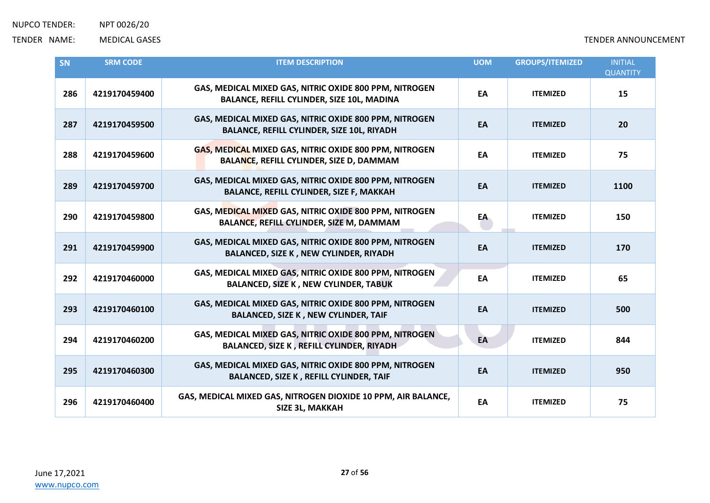| SN  | <b>SRM CODE</b> | <b>ITEM DESCRIPTION</b>                                                                                     | <b>UOM</b> | <b>GROUPS/ITEMIZED</b> | <b>INITIAL</b><br><b>QUANTITY</b> |
|-----|-----------------|-------------------------------------------------------------------------------------------------------------|------------|------------------------|-----------------------------------|
| 286 | 4219170459400   | GAS, MEDICAL MIXED GAS, NITRIC OXIDE 800 PPM, NITROGEN<br>BALANCE, REFILL CYLINDER, SIZE 10L, MADINA        | EA         | <b>ITEMIZED</b>        | 15                                |
| 287 | 4219170459500   | GAS, MEDICAL MIXED GAS, NITRIC OXIDE 800 PPM, NITROGEN<br><b>BALANCE, REFILL CYLINDER, SIZE 10L, RIYADH</b> | EA         | <b>ITEMIZED</b>        | 20                                |
| 288 | 4219170459600   | GAS, MEDICAL MIXED GAS, NITRIC OXIDE 800 PPM, NITROGEN<br><b>BALANCE, REFILL CYLINDER, SIZE D, DAMMAM</b>   | EA         | <b>ITEMIZED</b>        | 75                                |
| 289 | 4219170459700   | GAS, MEDICAL MIXED GAS, NITRIC OXIDE 800 PPM, NITROGEN<br><b>BALANCE, REFILL CYLINDER, SIZE F, MAKKAH</b>   | EA         | <b>ITEMIZED</b>        | 1100                              |
| 290 | 4219170459800   | GAS, MEDICAL MIXED GAS, NITRIC OXIDE 800 PPM, NITROGEN<br>BALANCE, REFILL CYLINDER, SIZE M, DAMMAM          | EA         | <b>ITEMIZED</b>        | 150                               |
| 291 | 4219170459900   | GAS, MEDICAL MIXED GAS, NITRIC OXIDE 800 PPM, NITROGEN<br>BALANCED, SIZE K, NEW CYLINDER, RIYADH            | EA         | <b>ITEMIZED</b>        | 170                               |
| 292 | 4219170460000   | GAS, MEDICAL MIXED GAS, NITRIC OXIDE 800 PPM, NITROGEN<br><b>BALANCED, SIZE K, NEW CYLINDER, TABUK</b>      | EA         | <b>ITEMIZED</b>        | 65                                |
| 293 | 4219170460100   | GAS, MEDICAL MIXED GAS, NITRIC OXIDE 800 PPM, NITROGEN<br><b>BALANCED, SIZE K, NEW CYLINDER, TAIF</b>       | EA         | <b>ITEMIZED</b>        | 500                               |
| 294 | 4219170460200   | GAS, MEDICAL MIXED GAS, NITRIC OXIDE 800 PPM, NITROGEN<br>BALANCED, SIZE K, REFILL CYLINDER, RIYADH         | EA         | <b>ITEMIZED</b>        | 844                               |
| 295 | 4219170460300   | GAS, MEDICAL MIXED GAS, NITRIC OXIDE 800 PPM, NITROGEN<br><b>BALANCED, SIZE K, REFILL CYLINDER, TAIF</b>    | EA         | <b>ITEMIZED</b>        | 950                               |
| 296 | 4219170460400   | GAS, MEDICAL MIXED GAS, NITROGEN DIOXIDE 10 PPM, AIR BALANCE,<br>SIZE 3L, MAKKAH                            | EA         | <b>ITEMIZED</b>        | 75                                |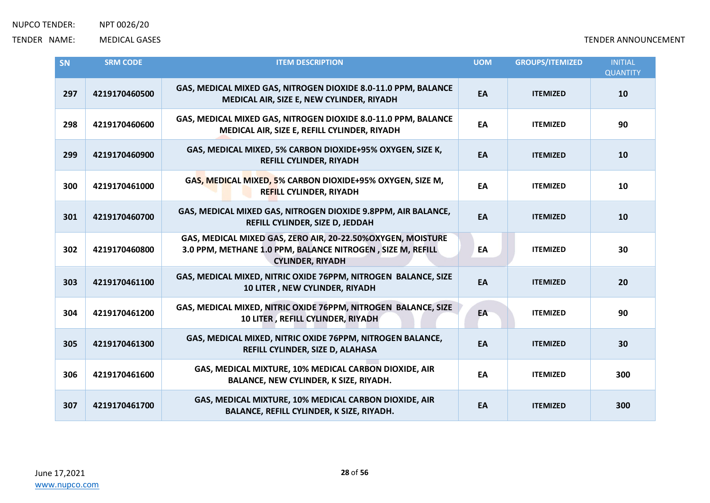| <b>SN</b> | <b>SRM CODE</b> | <b>ITEM DESCRIPTION</b>                                                                                                                              | <b>UOM</b> | <b>GROUPS/ITEMIZED</b> | <b>INITIAL</b><br><b>QUANTITY</b> |
|-----------|-----------------|------------------------------------------------------------------------------------------------------------------------------------------------------|------------|------------------------|-----------------------------------|
| 297       | 4219170460500   | GAS, MEDICAL MIXED GAS, NITROGEN DIOXIDE 8.0-11.0 PPM, BALANCE<br>MEDICAL AIR, SIZE E, NEW CYLINDER, RIYADH                                          | EA         | <b>ITEMIZED</b>        | 10                                |
| 298       | 4219170460600   | GAS, MEDICAL MIXED GAS, NITROGEN DIOXIDE 8.0-11.0 PPM, BALANCE<br>MEDICAL AIR, SIZE E, REFILL CYLINDER, RIYADH                                       | EA         | <b>ITEMIZED</b>        | 90                                |
| 299       | 4219170460900   | GAS, MEDICAL MIXED, 5% CARBON DIOXIDE+95% OXYGEN, SIZE K,<br>REFILL CYLINDER, RIYADH                                                                 | EA         | <b>ITEMIZED</b>        | 10                                |
| 300       | 4219170461000   | GAS, MEDICAL MIXED, 5% CARBON DIOXIDE+95% OXYGEN, SIZE M,<br><b>REFILL CYLINDER, RIYADH</b>                                                          | EA         | <b>ITEMIZED</b>        | 10                                |
| 301       | 4219170460700   | GAS, MEDICAL MIXED GAS, NITROGEN DIOXIDE 9.8PPM, AIR BALANCE,<br>REFILL CYLINDER, SIZE D, JEDDAH                                                     | EA         | <b>ITEMIZED</b>        | 10                                |
| 302       | 4219170460800   | GAS, MEDICAL MIXED GAS, ZERO AIR, 20-22.50%OXYGEN, MOISTURE<br>3.0 PPM, METHANE 1.0 PPM, BALANCE NITROGEN, SIZE M, REFILL<br><b>CYLINDER, RIYADH</b> | EA         | <b>ITEMIZED</b>        | 30                                |
| 303       | 4219170461100   | GAS, MEDICAL MIXED, NITRIC OXIDE 76PPM, NITROGEN BALANCE, SIZE<br>10 LITER, NEW CYLINDER, RIYADH                                                     | EA         | <b>ITEMIZED</b>        | 20                                |
| 304       | 4219170461200   | GAS, MEDICAL MIXED, NITRIC OXIDE 76PPM, NITROGEN BALANCE, SIZE<br>10 LITER, REFILL CYLINDER, RIYADH                                                  | EA         | <b>ITEMIZED</b>        | 90                                |
| 305       | 4219170461300   | GAS, MEDICAL MIXED, NITRIC OXIDE 76PPM, NITROGEN BALANCE,<br>REFILL CYLINDER, SIZE D, ALAHASA                                                        | EA         | <b>ITEMIZED</b>        | 30                                |
| 306       | 4219170461600   | GAS, MEDICAL MIXTURE, 10% MEDICAL CARBON DIOXIDE, AIR<br>BALANCE, NEW CYLINDER, K SIZE, RIYADH.                                                      | EA         | <b>ITEMIZED</b>        | 300                               |
| 307       | 4219170461700   | GAS, MEDICAL MIXTURE, 10% MEDICAL CARBON DIOXIDE, AIR<br>BALANCE, REFILL CYLINDER, K SIZE, RIYADH.                                                   | EA         | <b>ITEMIZED</b>        | 300                               |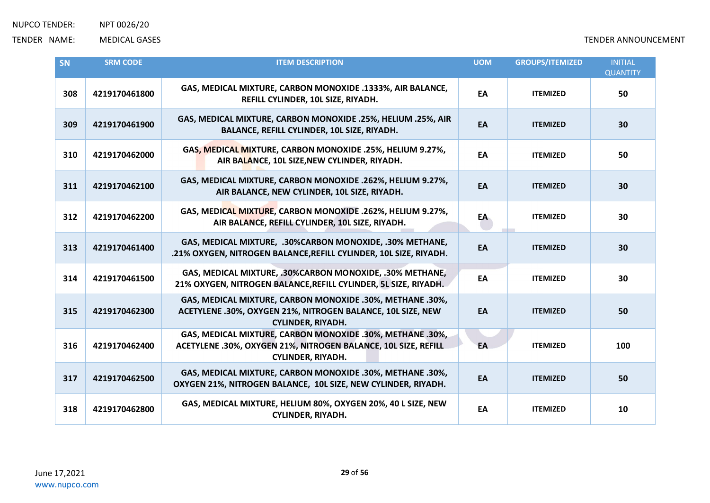| SN  | <b>SRM CODE</b> | <b>ITEM DESCRIPTION</b>                                                                                                                                 | <b>UOM</b> | <b>GROUPS/ITEMIZED</b> | <b>INITIAL</b><br><b>QUANTITY</b> |
|-----|-----------------|---------------------------------------------------------------------------------------------------------------------------------------------------------|------------|------------------------|-----------------------------------|
| 308 | 4219170461800   | GAS, MEDICAL MIXTURE, CARBON MONOXIDE .1333%, AIR BALANCE,<br>REFILL CYLINDER, 10L SIZE, RIYADH.                                                        | EA         | <b>ITEMIZED</b>        | 50                                |
| 309 | 4219170461900   | GAS, MEDICAL MIXTURE, CARBON MONOXIDE .25%, HELIUM .25%, AIR<br>BALANCE, REFILL CYLINDER, 10L SIZE, RIYADH.                                             | EA         | <b>ITEMIZED</b>        | 30                                |
| 310 | 4219170462000   | GAS, MEDICAL MIXTURE, CARBON MONOXIDE .25%, HELIUM 9.27%,<br>AIR BALANCE, 10L SIZE, NEW CYLINDER, RIYADH.                                               | EA         | <b>ITEMIZED</b>        | 50                                |
| 311 | 4219170462100   | GAS, MEDICAL MIXTURE, CARBON MONOXIDE .262%, HELIUM 9.27%,<br>AIR BALANCE, NEW CYLINDER, 10L SIZE, RIYADH.                                              | EA         | <b>ITEMIZED</b>        | 30                                |
| 312 | 4219170462200   | GAS, MEDICAL MIXTURE, CARBON MONOXIDE .262%, HELIUM 9.27%,<br>AIR BALANCE, REFILL CYLINDER, 10L SIZE, RIYADH.                                           | EA         | <b>ITEMIZED</b>        | 30                                |
| 313 | 4219170461400   | GAS, MEDICAL MIXTURE, .30%CARBON MONOXIDE, .30% METHANE,<br>.21% OXYGEN, NITROGEN BALANCE, REFILL CYLINDER, 10L SIZE, RIYADH.                           | EA         | <b>ITEMIZED</b>        | 30                                |
| 314 | 4219170461500   | GAS, MEDICAL MIXTURE, .30%CARBON MONOXIDE, .30% METHANE,<br>21% OXYGEN, NITROGEN BALANCE, REFILL CYLINDER, 5L SIZE, RIYADH.                             | EA         | <b>ITEMIZED</b>        | 30                                |
| 315 | 4219170462300   | GAS, MEDICAL MIXTURE, CARBON MONOXIDE .30%, METHANE .30%,<br>ACETYLENE .30%, OXYGEN 21%, NITROGEN BALANCE, 10L SIZE, NEW<br><b>CYLINDER, RIYADH.</b>    | EA         | <b>ITEMIZED</b>        | 50                                |
| 316 | 4219170462400   | GAS, MEDICAL MIXTURE, CARBON MONOXIDE .30%, METHANE .30%,<br>ACETYLENE .30%, OXYGEN 21%, NITROGEN BALANCE, 10L SIZE, REFILL<br><b>CYLINDER, RIYADH.</b> | EA         | <b>ITEMIZED</b>        | 100                               |
| 317 | 4219170462500   | GAS, MEDICAL MIXTURE, CARBON MONOXIDE .30%, METHANE .30%,<br>OXYGEN 21%, NITROGEN BALANCE, 10L SIZE, NEW CYLINDER, RIYADH.                              | EA         | <b>ITEMIZED</b>        | 50                                |
| 318 | 4219170462800   | GAS, MEDICAL MIXTURE, HELIUM 80%, OXYGEN 20%, 40 L SIZE, NEW<br><b>CYLINDER, RIYADH.</b>                                                                | EA         | <b>ITEMIZED</b>        | 10                                |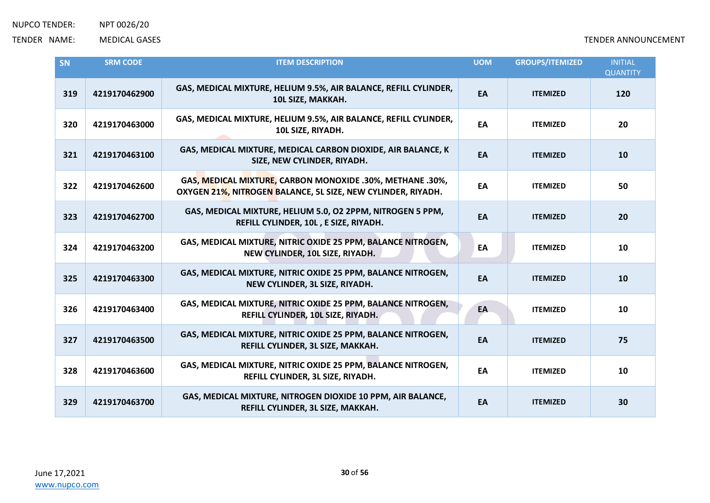| <b>SN</b> | <b>SRM CODE</b> | <b>ITEM DESCRIPTION</b>                                                                                                   | <b>UOM</b> | <b>GROUPS/ITEMIZED</b> | <b>INITIAL</b><br><b>QUANTITY</b> |
|-----------|-----------------|---------------------------------------------------------------------------------------------------------------------------|------------|------------------------|-----------------------------------|
| 319       | 4219170462900   | GAS, MEDICAL MIXTURE, HELIUM 9.5%, AIR BALANCE, REFILL CYLINDER,<br>10L SIZE, MAKKAH.                                     | EA         | <b>ITEMIZED</b>        | 120                               |
| 320       | 4219170463000   | GAS, MEDICAL MIXTURE, HELIUM 9.5%, AIR BALANCE, REFILL CYLINDER,<br>10L SIZE, RIYADH.                                     | EA         | <b>ITEMIZED</b>        | 20                                |
| 321       | 4219170463100   | GAS, MEDICAL MIXTURE, MEDICAL CARBON DIOXIDE, AIR BALANCE, K<br>SIZE, NEW CYLINDER, RIYADH.                               | EA         | <b>ITEMIZED</b>        | 10                                |
| 322       | 4219170462600   | GAS, MEDICAL MIXTURE, CARBON MONOXIDE .30%, METHANE .30%,<br>OXYGEN 21%, NITROGEN BALANCE, 5L SIZE, NEW CYLINDER, RIYADH. | EA         | <b>ITEMIZED</b>        | 50                                |
| 323       | 4219170462700   | GAS, MEDICAL MIXTURE, HELIUM 5.0, O2 2PPM, NITROGEN 5 PPM,<br>REFILL CYLINDER, 10L, E SIZE, RIYADH.                       | EA         | <b>ITEMIZED</b>        | 20                                |
| 324       | 4219170463200   | GAS, MEDICAL MIXTURE, NITRIC OXIDE 25 PPM, BALANCE NITROGEN,<br>NEW CYLINDER, 10L SIZE, RIYADH.                           | EA         | <b>ITEMIZED</b>        | 10                                |
| 325       | 4219170463300   | GAS, MEDICAL MIXTURE, NITRIC OXIDE 25 PPM, BALANCE NITROGEN,<br>NEW CYLINDER, 3L SIZE, RIYADH.                            | EA         | <b>ITEMIZED</b>        | 10                                |
| 326       | 4219170463400   | GAS, MEDICAL MIXTURE, NITRIC OXIDE 25 PPM, BALANCE NITROGEN,<br>REFILL CYLINDER, 10L SIZE, RIYADH.                        | EA         | <b>ITEMIZED</b>        | 10                                |
| 327       | 4219170463500   | GAS, MEDICAL MIXTURE, NITRIC OXIDE 25 PPM, BALANCE NITROGEN,<br>REFILL CYLINDER, 3L SIZE, MAKKAH.                         | EA         | <b>ITEMIZED</b>        | 75                                |
| 328       | 4219170463600   | GAS, MEDICAL MIXTURE, NITRIC OXIDE 25 PPM, BALANCE NITROGEN,<br>REFILL CYLINDER, 3L SIZE, RIYADH.                         | EA         | <b>ITEMIZED</b>        | 10                                |
| 329       | 4219170463700   | GAS, MEDICAL MIXTURE, NITROGEN DIOXIDE 10 PPM, AIR BALANCE,<br>REFILL CYLINDER, 3L SIZE, MAKKAH.                          | EA         | <b>ITEMIZED</b>        | 30                                |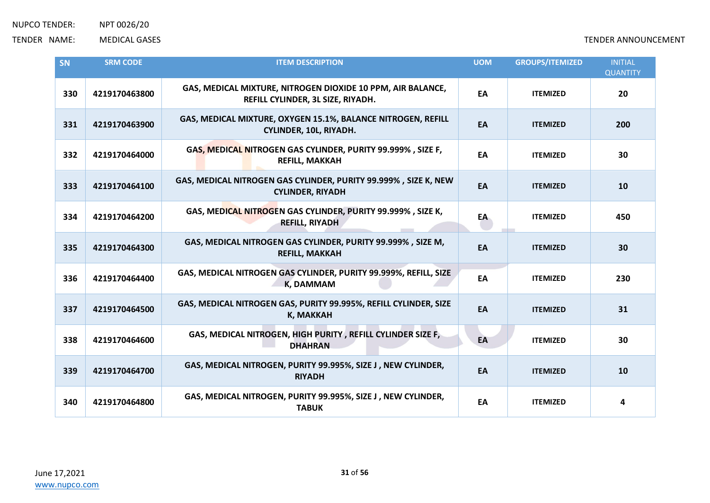| SN  | <b>SRM CODE</b> | <b>ITEM DESCRIPTION</b>                                                                          | <b>UOM</b> | <b>GROUPS/ITEMIZED</b> | <b>INITIAL</b><br><b>QUANTITY</b> |
|-----|-----------------|--------------------------------------------------------------------------------------------------|------------|------------------------|-----------------------------------|
| 330 | 4219170463800   | GAS, MEDICAL MIXTURE, NITROGEN DIOXIDE 10 PPM, AIR BALANCE,<br>REFILL CYLINDER, 3L SIZE, RIYADH. | EA         | <b>ITEMIZED</b>        | 20                                |
| 331 | 4219170463900   | GAS, MEDICAL MIXTURE, OXYGEN 15.1%, BALANCE NITROGEN, REFILL<br>CYLINDER, 10L, RIYADH.           | EA         | <b>ITEMIZED</b>        | 200                               |
| 332 | 4219170464000   | GAS, MEDICAL NITROGEN GAS CYLINDER, PURITY 99.999%, SIZE F,<br><b>REFILL, MAKKAH</b>             | EA         | <b>ITEMIZED</b>        | 30                                |
| 333 | 4219170464100   | GAS, MEDICAL NITROGEN GAS CYLINDER, PURITY 99.999%, SIZE K, NEW<br><b>CYLINDER, RIYADH</b>       | EA         | <b>ITEMIZED</b>        | 10                                |
| 334 | 4219170464200   | GAS, MEDICAL NITROGEN GAS CYLINDER, PURITY 99.999%, SIZE K,<br><b>REFILL, RIYADH</b>             | EA         | <b>ITEMIZED</b>        | 450                               |
| 335 | 4219170464300   | GAS, MEDICAL NITROGEN GAS CYLINDER, PURITY 99.999%, SIZE M,<br><b>REFILL, MAKKAH</b>             | EA         | <b>ITEMIZED</b>        | 30                                |
| 336 | 4219170464400   | GAS, MEDICAL NITROGEN GAS CYLINDER, PURITY 99.999%, REFILL, SIZE<br>K, DAMMAM                    | EA         | <b>ITEMIZED</b>        | 230                               |
| 337 | 4219170464500   | GAS, MEDICAL NITROGEN GAS, PURITY 99.995%, REFILL CYLINDER, SIZE<br><b>K, MAKKAH</b>             | EA         | <b>ITEMIZED</b>        | 31                                |
| 338 | 4219170464600   | GAS, MEDICAL NITROGEN, HIGH PURITY, REFILL CYLINDER SIZE F,<br><b>DHAHRAN</b>                    | EA         | <b>ITEMIZED</b>        | 30                                |
| 339 | 4219170464700   | GAS, MEDICAL NITROGEN, PURITY 99.995%, SIZE J, NEW CYLINDER,<br><b>RIYADH</b>                    | EA         | <b>ITEMIZED</b>        | 10                                |
| 340 | 4219170464800   | GAS, MEDICAL NITROGEN, PURITY 99.995%, SIZE J, NEW CYLINDER,<br><b>TABUK</b>                     | EA         | <b>ITEMIZED</b>        | 4                                 |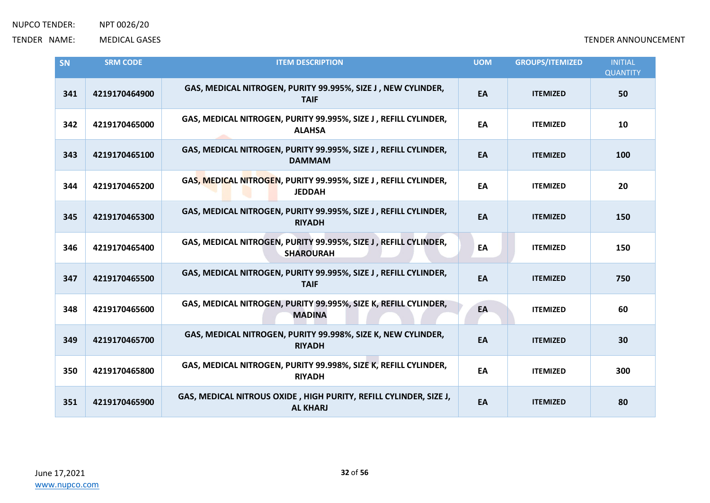| SN  | <b>SRM CODE</b> | <b>ITEM DESCRIPTION</b>                                                              | <b>UOM</b> | <b>GROUPS/ITEMIZED</b> | <b>INITIAL</b><br><b>QUANTITY</b> |
|-----|-----------------|--------------------------------------------------------------------------------------|------------|------------------------|-----------------------------------|
| 341 | 4219170464900   | GAS, MEDICAL NITROGEN, PURITY 99.995%, SIZE J, NEW CYLINDER,<br><b>TAIF</b>          | EA         | <b>ITEMIZED</b>        | 50                                |
| 342 | 4219170465000   | GAS, MEDICAL NITROGEN, PURITY 99.995%, SIZE J, REFILL CYLINDER,<br><b>ALAHSA</b>     | EA         | <b>ITEMIZED</b>        | 10                                |
| 343 | 4219170465100   | GAS, MEDICAL NITROGEN, PURITY 99.995%, SIZE J, REFILL CYLINDER,<br><b>DAMMAM</b>     | EA         | <b>ITEMIZED</b>        | 100                               |
| 344 | 4219170465200   | GAS, MEDICAL NITROGEN, PURITY 99.995%, SIZE J, REFILL CYLINDER,<br><b>JEDDAH</b>     | EA         | <b>ITEMIZED</b>        | 20                                |
| 345 | 4219170465300   | GAS, MEDICAL NITROGEN, PURITY 99.995%, SIZE J, REFILL CYLINDER,<br><b>RIYADH</b>     | EA         | <b>ITEMIZED</b>        | 150                               |
| 346 | 4219170465400   | GAS, MEDICAL NITROGEN, PURITY 99.995%, SIZE J, REFILL CYLINDER,<br><b>SHAROURAH</b>  | EA         | <b>ITEMIZED</b>        | 150                               |
| 347 | 4219170465500   | GAS, MEDICAL NITROGEN, PURITY 99.995%, SIZE J, REFILL CYLINDER,<br><b>TAIF</b>       | EA         | <b>ITEMIZED</b>        | 750                               |
| 348 | 4219170465600   | GAS, MEDICAL NITROGEN, PURITY 99.995%, SIZE K, REFILL CYLINDER,<br><b>MADINA</b>     | EA         | <b>ITEMIZED</b>        | 60                                |
| 349 | 4219170465700   | GAS, MEDICAL NITROGEN, PURITY 99.998%, SIZE K, NEW CYLINDER,<br><b>RIYADH</b>        | EA         | <b>ITEMIZED</b>        | 30                                |
| 350 | 4219170465800   | GAS, MEDICAL NITROGEN, PURITY 99.998%, SIZE K, REFILL CYLINDER,<br><b>RIYADH</b>     | EA         | <b>ITEMIZED</b>        | 300                               |
| 351 | 4219170465900   | GAS, MEDICAL NITROUS OXIDE, HIGH PURITY, REFILL CYLINDER, SIZE J,<br><b>AL KHARJ</b> | EA         | <b>ITEMIZED</b>        | 80                                |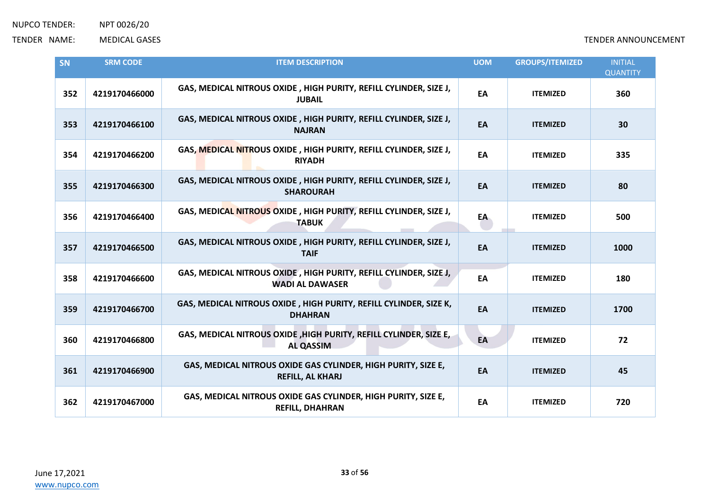| SN  | <b>SRM CODE</b> | <b>ITEM DESCRIPTION</b>                                                                     | <b>UOM</b> | <b>GROUPS/ITEMIZED</b> | <b>INITIAL</b><br><b>QUANTITY</b> |
|-----|-----------------|---------------------------------------------------------------------------------------------|------------|------------------------|-----------------------------------|
| 352 | 4219170466000   | GAS, MEDICAL NITROUS OXIDE, HIGH PURITY, REFILL CYLINDER, SIZE J,<br><b>JUBAIL</b>          | EA         | <b>ITEMIZED</b>        | 360                               |
| 353 | 4219170466100   | GAS, MEDICAL NITROUS OXIDE, HIGH PURITY, REFILL CYLINDER, SIZE J,<br><b>NAJRAN</b>          | EA         | <b>ITEMIZED</b>        | 30                                |
| 354 | 4219170466200   | GAS, MEDICAL NITROUS OXIDE, HIGH PURITY, REFILL CYLINDER, SIZE J,<br><b>RIYADH</b>          | EA         | <b>ITEMIZED</b>        | 335                               |
| 355 | 4219170466300   | GAS, MEDICAL NITROUS OXIDE, HIGH PURITY, REFILL CYLINDER, SIZE J,<br><b>SHAROURAH</b>       | EA         | <b>ITEMIZED</b>        | 80                                |
| 356 | 4219170466400   | GAS, MEDICAL NITROUS OXIDE, HIGH PURITY, REFILL CYLINDER, SIZE J,<br><b>TABUK</b>           | EA         | <b>ITEMIZED</b>        | 500                               |
| 357 | 4219170466500   | GAS, MEDICAL NITROUS OXIDE, HIGH PURITY, REFILL CYLINDER, SIZE J,<br><b>TAIF</b>            | EA         | <b>ITEMIZED</b>        | 1000                              |
| 358 | 4219170466600   | GAS, MEDICAL NITROUS OXIDE, HIGH PURITY, REFILL CYLINDER, SIZE J,<br><b>WADI AL DAWASER</b> | EA         | <b>ITEMIZED</b>        | 180                               |
| 359 | 4219170466700   | GAS, MEDICAL NITROUS OXIDE, HIGH PURITY, REFILL CYLINDER, SIZE K,<br><b>DHAHRAN</b>         | EA         | <b>ITEMIZED</b>        | 1700                              |
| 360 | 4219170466800   | GAS, MEDICAL NITROUS OXIDE , HIGH PURITY, REFILL CYLINDER, SIZE E,<br><b>AL QASSIM</b>      | EA         | <b>ITEMIZED</b>        | 72                                |
| 361 | 4219170466900   | GAS, MEDICAL NITROUS OXIDE GAS CYLINDER, HIGH PURITY, SIZE E,<br><b>REFILL, AL KHARJ</b>    | EA         | <b>ITEMIZED</b>        | 45                                |
| 362 | 4219170467000   | GAS, MEDICAL NITROUS OXIDE GAS CYLINDER, HIGH PURITY, SIZE E,<br><b>REFILL, DHAHRAN</b>     | EA         | <b>ITEMIZED</b>        | 720                               |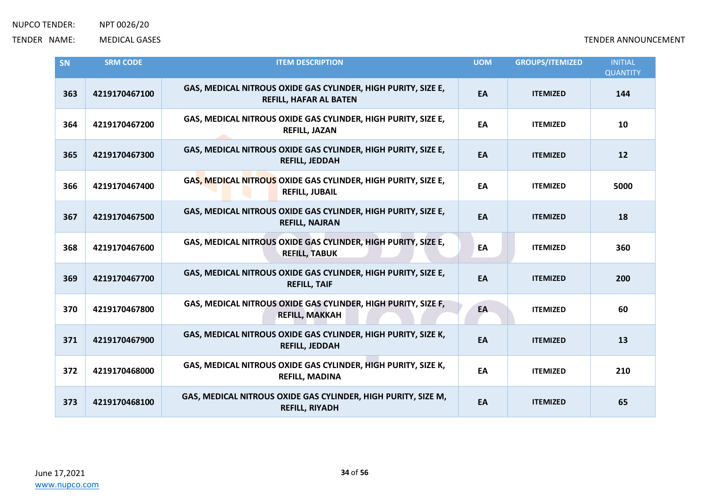| SN  | <b>SRM CODE</b> | <b>ITEM DESCRIPTION</b>                                                                        | <b>UOM</b> | <b>GROUPS/ITEMIZED</b> | <b>INITIAL</b><br><b>QUANTITY</b> |
|-----|-----------------|------------------------------------------------------------------------------------------------|------------|------------------------|-----------------------------------|
| 363 | 4219170467100   | GAS, MEDICAL NITROUS OXIDE GAS CYLINDER, HIGH PURITY, SIZE E,<br><b>REFILL, HAFAR AL BATEN</b> | EA         | <b>ITEMIZED</b>        | 144                               |
| 364 | 4219170467200   | GAS, MEDICAL NITROUS OXIDE GAS CYLINDER, HIGH PURITY, SIZE E,<br><b>REFILL, JAZAN</b>          | EA         | <b>ITEMIZED</b>        | 10                                |
| 365 | 4219170467300   | GAS, MEDICAL NITROUS OXIDE GAS CYLINDER, HIGH PURITY, SIZE E,<br><b>REFILL, JEDDAH</b>         | EA         | <b>ITEMIZED</b>        | 12                                |
| 366 | 4219170467400   | GAS, MEDICAL NITROUS OXIDE GAS CYLINDER, HIGH PURITY, SIZE E,<br><b>REFILL, JUBAIL</b>         | EA         | <b>ITEMIZED</b>        | 5000                              |
| 367 | 4219170467500   | GAS, MEDICAL NITROUS OXIDE GAS CYLINDER, HIGH PURITY, SIZE E,<br><b>REFILL, NAJRAN</b>         | EA         | <b>ITEMIZED</b>        | 18                                |
| 368 | 4219170467600   | GAS, MEDICAL NITROUS OXIDE GAS CYLINDER, HIGH PURITY, SIZE E,<br><b>REFILL, TABUK</b>          | EA         | <b>ITEMIZED</b>        | 360                               |
| 369 | 4219170467700   | GAS, MEDICAL NITROUS OXIDE GAS CYLINDER, HIGH PURITY, SIZE E,<br><b>REFILL, TAIF</b>           | EA         | <b>ITEMIZED</b>        | 200                               |
| 370 | 4219170467800   | GAS, MEDICAL NITROUS OXIDE GAS CYLINDER, HIGH PURITY, SIZE F,<br><b>REFILL, MAKKAH</b>         | EA         | <b>ITEMIZED</b>        | 60                                |
| 371 | 4219170467900   | GAS, MEDICAL NITROUS OXIDE GAS CYLINDER, HIGH PURITY, SIZE K,<br><b>REFILL, JEDDAH</b>         | EA         | <b>ITEMIZED</b>        | 13                                |
| 372 | 4219170468000   | GAS, MEDICAL NITROUS OXIDE GAS CYLINDER, HIGH PURITY, SIZE K,<br><b>REFILL, MADINA</b>         | EA         | <b>ITEMIZED</b>        | 210                               |
| 373 | 4219170468100   | GAS, MEDICAL NITROUS OXIDE GAS CYLINDER, HIGH PURITY, SIZE M,<br><b>REFILL, RIYADH</b>         | EA         | <b>ITEMIZED</b>        | 65                                |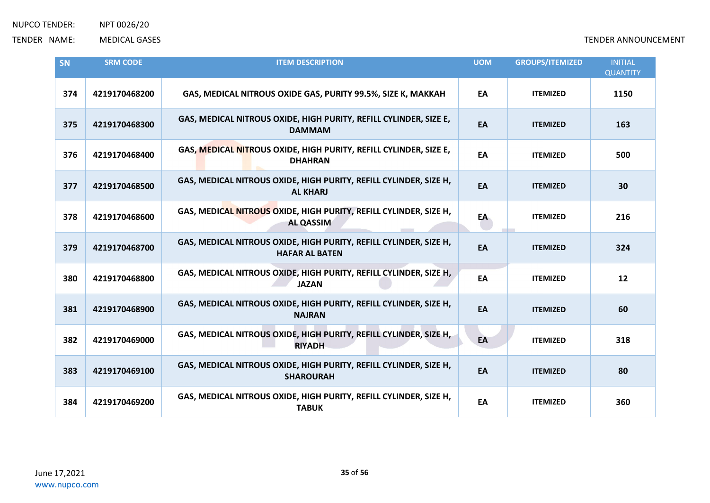| <b>SN</b> | <b>SRM CODE</b> | <b>ITEM DESCRIPTION</b>                                                                    | <b>UOM</b> | <b>GROUPS/ITEMIZED</b> | <b>INITIAL</b><br><b>QUANTITY</b> |
|-----------|-----------------|--------------------------------------------------------------------------------------------|------------|------------------------|-----------------------------------|
| 374       | 4219170468200   | GAS, MEDICAL NITROUS OXIDE GAS, PURITY 99.5%, SIZE K, MAKKAH                               | EA         | <b>ITEMIZED</b>        | 1150                              |
| 375       | 4219170468300   | GAS, MEDICAL NITROUS OXIDE, HIGH PURITY, REFILL CYLINDER, SIZE E,<br><b>DAMMAM</b>         | EA         | <b>ITEMIZED</b>        | 163                               |
| 376       | 4219170468400   | GAS, MEDICAL NITROUS OXIDE, HIGH PURITY, REFILL CYLINDER, SIZE E,<br><b>DHAHRAN</b>        | EA         | <b>ITEMIZED</b>        | 500                               |
| 377       | 4219170468500   | GAS, MEDICAL NITROUS OXIDE, HIGH PURITY, REFILL CYLINDER, SIZE H,<br><b>AL KHARJ</b>       | EA         | <b>ITEMIZED</b>        | 30                                |
| 378       | 4219170468600   | GAS, MEDICAL NITROUS OXIDE, HIGH PURITY, REFILL CYLINDER, SIZE H,<br><b>AL QASSIM</b>      | EA         | <b>ITEMIZED</b>        | 216                               |
| 379       | 4219170468700   | GAS, MEDICAL NITROUS OXIDE, HIGH PURITY, REFILL CYLINDER, SIZE H,<br><b>HAFAR AL BATEN</b> | EA         | <b>ITEMIZED</b>        | 324                               |
| 380       | 4219170468800   | GAS, MEDICAL NITROUS OXIDE, HIGH PURITY, REFILL CYLINDER, SIZE H,<br><b>JAZAN</b>          | EA         | <b>ITEMIZED</b>        | 12                                |
| 381       | 4219170468900   | GAS, MEDICAL NITROUS OXIDE, HIGH PURITY, REFILL CYLINDER, SIZE H,<br><b>NAJRAN</b>         | EA         | <b>ITEMIZED</b>        | 60                                |
| 382       | 4219170469000   | GAS, MEDICAL NITROUS OXIDE, HIGH PURITY, REFILL CYLINDER, SIZE H,<br><b>RIYADH</b>         | EA         | <b>ITEMIZED</b>        | 318                               |
| 383       | 4219170469100   | GAS, MEDICAL NITROUS OXIDE, HIGH PURITY, REFILL CYLINDER, SIZE H,<br><b>SHAROURAH</b>      | EA         | <b>ITEMIZED</b>        | 80                                |
| 384       | 4219170469200   | GAS, MEDICAL NITROUS OXIDE, HIGH PURITY, REFILL CYLINDER, SIZE H,<br><b>TABUK</b>          | EA         | <b>ITEMIZED</b>        | 360                               |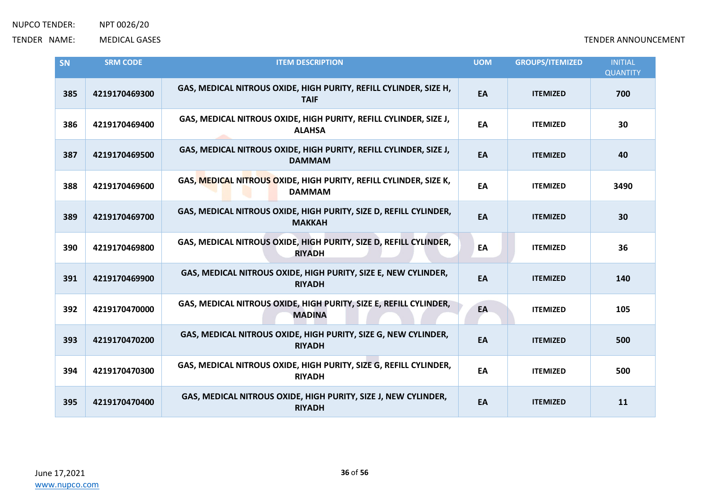| SN  | <b>SRM CODE</b> | <b>ITEM DESCRIPTION</b>                                                            | <b>UOM</b> | <b>GROUPS/ITEMIZED</b> | <b>INITIAL</b><br><b>QUANTITY</b> |
|-----|-----------------|------------------------------------------------------------------------------------|------------|------------------------|-----------------------------------|
| 385 | 4219170469300   | GAS, MEDICAL NITROUS OXIDE, HIGH PURITY, REFILL CYLINDER, SIZE H,<br><b>TAIF</b>   | EA         | <b>ITEMIZED</b>        | 700                               |
| 386 | 4219170469400   | GAS, MEDICAL NITROUS OXIDE, HIGH PURITY, REFILL CYLINDER, SIZE J,<br><b>ALAHSA</b> | EA         | <b>ITEMIZED</b>        | 30                                |
| 387 | 4219170469500   | GAS, MEDICAL NITROUS OXIDE, HIGH PURITY, REFILL CYLINDER, SIZE J,<br><b>DAMMAM</b> | EA         | <b>ITEMIZED</b>        | 40                                |
| 388 | 4219170469600   | GAS, MEDICAL NITROUS OXIDE, HIGH PURITY, REFILL CYLINDER, SIZE K,<br><b>DAMMAM</b> | EA         | <b>ITEMIZED</b>        | 3490                              |
| 389 | 4219170469700   | GAS, MEDICAL NITROUS OXIDE, HIGH PURITY, SIZE D, REFILL CYLINDER,<br><b>MAKKAH</b> | EA         | <b>ITEMIZED</b>        | 30                                |
| 390 | 4219170469800   | GAS, MEDICAL NITROUS OXIDE, HIGH PURITY, SIZE D, REFILL CYLINDER,<br><b>RIYADH</b> | EA         | <b>ITEMIZED</b>        | 36                                |
| 391 | 4219170469900   | GAS, MEDICAL NITROUS OXIDE, HIGH PURITY, SIZE E, NEW CYLINDER,<br><b>RIYADH</b>    | EA         | <b>ITEMIZED</b>        | 140                               |
| 392 | 4219170470000   | GAS, MEDICAL NITROUS OXIDE, HIGH PURITY, SIZE E, REFILL CYLINDER,<br><b>MADINA</b> | EA         | <b>ITEMIZED</b>        | 105                               |
| 393 | 4219170470200   | GAS, MEDICAL NITROUS OXIDE, HIGH PURITY, SIZE G, NEW CYLINDER,<br><b>RIYADH</b>    | EA         | <b>ITEMIZED</b>        | 500                               |
| 394 | 4219170470300   | GAS, MEDICAL NITROUS OXIDE, HIGH PURITY, SIZE G, REFILL CYLINDER,<br><b>RIYADH</b> | EA         | <b>ITEMIZED</b>        | 500                               |
| 395 | 4219170470400   | GAS, MEDICAL NITROUS OXIDE, HIGH PURITY, SIZE J, NEW CYLINDER,<br><b>RIYADH</b>    | EA         | <b>ITEMIZED</b>        | 11                                |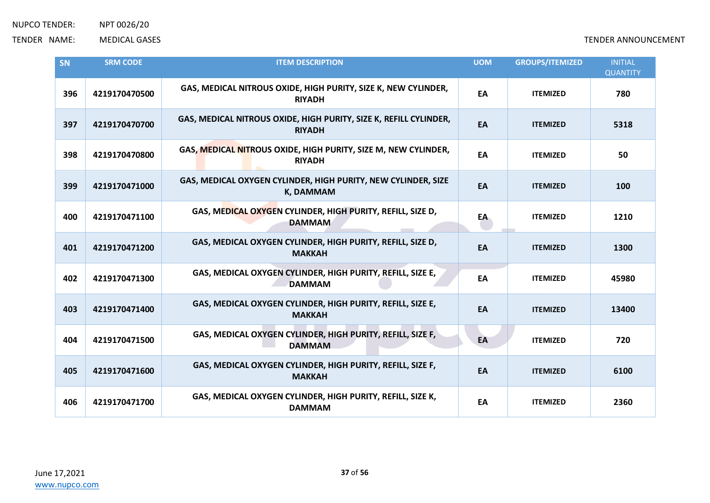| SN  | <b>SRM CODE</b> | <b>ITEM DESCRIPTION</b>                                                            | <b>UOM</b> | <b>GROUPS/ITEMIZED</b> | <b>INITIAL</b><br><b>QUANTITY</b> |
|-----|-----------------|------------------------------------------------------------------------------------|------------|------------------------|-----------------------------------|
| 396 | 4219170470500   | GAS, MEDICAL NITROUS OXIDE, HIGH PURITY, SIZE K, NEW CYLINDER,<br><b>RIYADH</b>    | EA         | <b>ITEMIZED</b>        | 780                               |
| 397 | 4219170470700   | GAS, MEDICAL NITROUS OXIDE, HIGH PURITY, SIZE K, REFILL CYLINDER,<br><b>RIYADH</b> | EA         | <b>ITEMIZED</b>        | 5318                              |
| 398 | 4219170470800   | GAS, MEDICAL NITROUS OXIDE, HIGH PURITY, SIZE M, NEW CYLINDER,<br><b>RIYADH</b>    | EA         | <b>ITEMIZED</b>        | 50                                |
| 399 | 4219170471000   | GAS, MEDICAL OXYGEN CYLINDER, HIGH PURITY, NEW CYLINDER, SIZE<br>K, DAMMAM         | EA         | <b>ITEMIZED</b>        | 100                               |
| 400 | 4219170471100   | GAS, MEDICAL OXYGEN CYLINDER, HIGH PURITY, REFILL, SIZE D,<br><b>DAMMAM</b>        | EA         | <b>ITEMIZED</b>        | 1210                              |
| 401 | 4219170471200   | GAS, MEDICAL OXYGEN CYLINDER, HIGH PURITY, REFILL, SIZE D,<br><b>MAKKAH</b>        | EA         | <b>ITEMIZED</b>        | 1300                              |
| 402 | 4219170471300   | GAS, MEDICAL OXYGEN CYLINDER, HIGH PURITY, REFILL, SIZE E,<br><b>DAMMAM</b>        | EA         | <b>ITEMIZED</b>        | 45980                             |
| 403 | 4219170471400   | GAS, MEDICAL OXYGEN CYLINDER, HIGH PURITY, REFILL, SIZE E,<br><b>MAKKAH</b>        | EA         | <b>ITEMIZED</b>        | 13400                             |
| 404 | 4219170471500   | GAS, MEDICAL OXYGEN CYLINDER, HIGH PURITY, REFILL, SIZE F,<br><b>DAMMAM</b>        | EA         | <b>ITEMIZED</b>        | 720                               |
| 405 | 4219170471600   | GAS, MEDICAL OXYGEN CYLINDER, HIGH PURITY, REFILL, SIZE F,<br><b>MAKKAH</b>        | EA         | <b>ITEMIZED</b>        | 6100                              |
| 406 | 4219170471700   | GAS, MEDICAL OXYGEN CYLINDER, HIGH PURITY, REFILL, SIZE K,<br><b>DAMMAM</b>        | EA         | <b>ITEMIZED</b>        | 2360                              |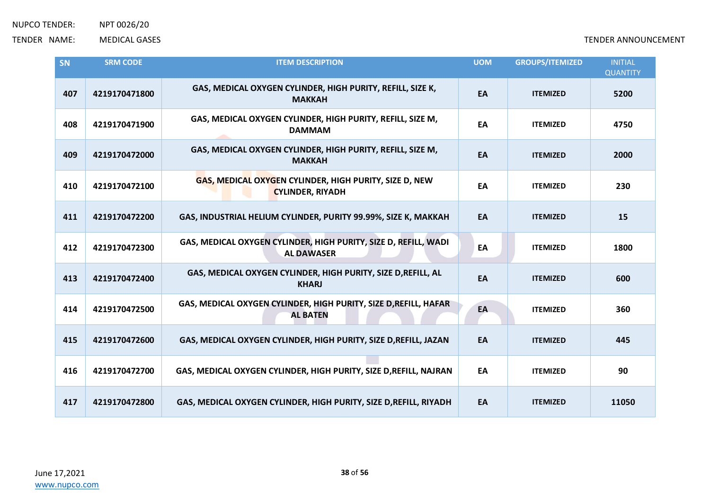| SN  | <b>SRM CODE</b> | <b>ITEM DESCRIPTION</b>                                                              | <b>UOM</b> | <b>GROUPS/ITEMIZED</b> | <b>INITIAL</b><br><b>QUANTITY</b> |
|-----|-----------------|--------------------------------------------------------------------------------------|------------|------------------------|-----------------------------------|
| 407 | 4219170471800   | GAS, MEDICAL OXYGEN CYLINDER, HIGH PURITY, REFILL, SIZE K,<br><b>MAKKAH</b>          | EA         | <b>ITEMIZED</b>        | 5200                              |
| 408 | 4219170471900   | GAS, MEDICAL OXYGEN CYLINDER, HIGH PURITY, REFILL, SIZE M,<br><b>DAMMAM</b>          | EA         | <b>ITEMIZED</b>        | 4750                              |
| 409 | 4219170472000   | GAS, MEDICAL OXYGEN CYLINDER, HIGH PURITY, REFILL, SIZE M,<br><b>MAKKAH</b>          | EA         | <b>ITEMIZED</b>        | 2000                              |
| 410 | 4219170472100   | GAS, MEDICAL OXYGEN CYLINDER, HIGH PURITY, SIZE D, NEW<br><b>CYLINDER, RIYADH</b>    | EA         | <b>ITEMIZED</b>        | 230                               |
| 411 | 4219170472200   | GAS, INDUSTRIAL HELIUM CYLINDER, PURITY 99.99%, SIZE K, MAKKAH                       | EA         | <b>ITEMIZED</b>        | 15                                |
| 412 | 4219170472300   | GAS, MEDICAL OXYGEN CYLINDER, HIGH PURITY, SIZE D, REFILL, WADI<br><b>AL DAWASER</b> | EA         | <b>ITEMIZED</b>        | 1800                              |
| 413 | 4219170472400   | GAS, MEDICAL OXYGEN CYLINDER, HIGH PURITY, SIZE D, REFILL, AL<br><b>KHARJ</b>        | EA         | <b>ITEMIZED</b>        | 600                               |
| 414 | 4219170472500   | GAS, MEDICAL OXYGEN CYLINDER, HIGH PURITY, SIZE D, REFILL, HAFAR<br><b>AL BATEN</b>  | EA         | <b>ITEMIZED</b>        | 360                               |
| 415 | 4219170472600   | GAS, MEDICAL OXYGEN CYLINDER, HIGH PURITY, SIZE D, REFILL, JAZAN                     | EA         | <b>ITEMIZED</b>        | 445                               |
| 416 | 4219170472700   | GAS, MEDICAL OXYGEN CYLINDER, HIGH PURITY, SIZE D, REFILL, NAJRAN                    | EA         | <b>ITEMIZED</b>        | 90                                |
| 417 | 4219170472800   | GAS, MEDICAL OXYGEN CYLINDER, HIGH PURITY, SIZE D, REFILL, RIYADH                    | EA         | <b>ITEMIZED</b>        | 11050                             |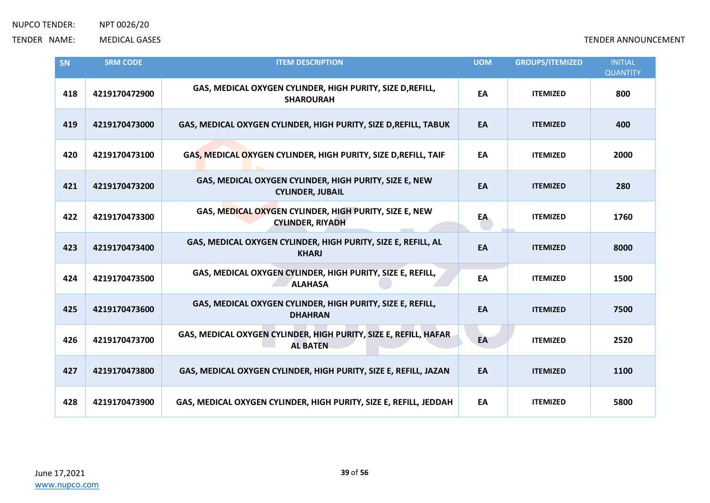| SN  | <b>SRM CODE</b> | <b>ITEM DESCRIPTION</b>                                                             | <b>UOM</b> | <b>GROUPS/ITEMIZED</b> | <b>INITIAL</b><br><b>QUANTITY</b> |
|-----|-----------------|-------------------------------------------------------------------------------------|------------|------------------------|-----------------------------------|
| 418 | 4219170472900   | GAS, MEDICAL OXYGEN CYLINDER, HIGH PURITY, SIZE D, REFILL,<br><b>SHAROURAH</b>      | EA         | <b>ITEMIZED</b>        | 800                               |
| 419 | 4219170473000   | GAS, MEDICAL OXYGEN CYLINDER, HIGH PURITY, SIZE D, REFILL, TABUK                    | EA         | <b>ITEMIZED</b>        | 400                               |
| 420 | 4219170473100   | GAS, MEDICAL OXYGEN CYLINDER, HIGH PURITY, SIZE D, REFILL, TAIF                     | EA         | <b>ITEMIZED</b>        | 2000                              |
| 421 | 4219170473200   | GAS, MEDICAL OXYGEN CYLINDER, HIGH PURITY, SIZE E, NEW<br><b>CYLINDER, JUBAIL</b>   | EA         | <b>ITEMIZED</b>        | 280                               |
| 422 | 4219170473300   | GAS, MEDICAL OXYGEN CYLINDER, HIGH PURITY, SIZE E, NEW<br><b>CYLINDER, RIYADH</b>   | EA         | <b>ITEMIZED</b>        | 1760                              |
| 423 | 4219170473400   | GAS, MEDICAL OXYGEN CYLINDER, HIGH PURITY, SIZE E, REFILL, AL<br><b>KHARJ</b>       | EA         | <b>ITEMIZED</b>        | 8000                              |
| 424 | 4219170473500   | GAS, MEDICAL OXYGEN CYLINDER, HIGH PURITY, SIZE E, REFILL,<br><b>ALAHASA</b>        | EA         | <b>ITEMIZED</b>        | 1500                              |
| 425 | 4219170473600   | GAS, MEDICAL OXYGEN CYLINDER, HIGH PURITY, SIZE E, REFILL,<br><b>DHAHRAN</b>        | EA         | <b>ITEMIZED</b>        | 7500                              |
| 426 | 4219170473700   | GAS, MEDICAL OXYGEN CYLINDER, HIGH PURITY, SIZE E, REFILL, HAFAR<br><b>AL BATEN</b> | EA         | <b>ITEMIZED</b>        | 2520                              |
| 427 | 4219170473800   | GAS, MEDICAL OXYGEN CYLINDER, HIGH PURITY, SIZE E, REFILL, JAZAN                    | EA         | <b>ITEMIZED</b>        | 1100                              |
| 428 | 4219170473900   | GAS, MEDICAL OXYGEN CYLINDER, HIGH PURITY, SIZE E, REFILL, JEDDAH                   | EA         | <b>ITEMIZED</b>        | 5800                              |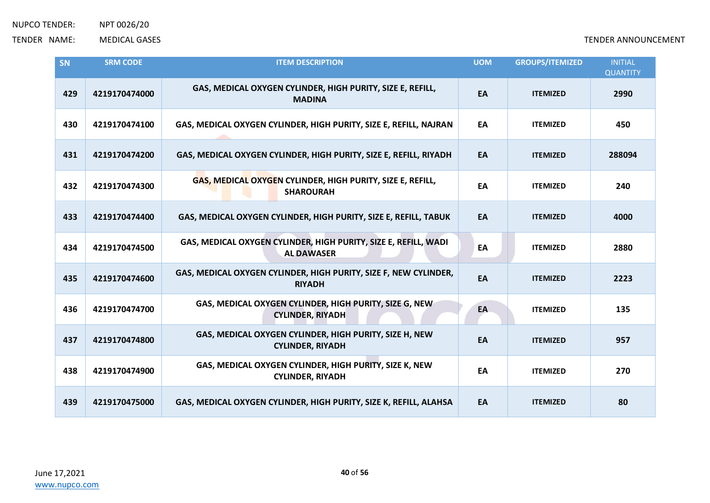| SN  | <b>SRM CODE</b> | <b>ITEM DESCRIPTION</b>                                                              | <b>UOM</b> | <b>GROUPS/ITEMIZED</b> | <b>INITIAL</b><br><b>QUANTITY</b> |
|-----|-----------------|--------------------------------------------------------------------------------------|------------|------------------------|-----------------------------------|
| 429 | 4219170474000   | GAS, MEDICAL OXYGEN CYLINDER, HIGH PURITY, SIZE E, REFILL,<br><b>MADINA</b>          | EA         | <b>ITEMIZED</b>        | 2990                              |
| 430 | 4219170474100   | GAS, MEDICAL OXYGEN CYLINDER, HIGH PURITY, SIZE E, REFILL, NAJRAN                    | EA         | <b>ITEMIZED</b>        | 450                               |
| 431 | 4219170474200   | GAS, MEDICAL OXYGEN CYLINDER, HIGH PURITY, SIZE E, REFILL, RIYADH                    | EA         | <b>ITEMIZED</b>        | 288094                            |
| 432 | 4219170474300   | GAS, MEDICAL OXYGEN CYLINDER, HIGH PURITY, SIZE E, REFILL,<br><b>SHAROURAH</b>       | EA         | <b>ITEMIZED</b>        | 240                               |
| 433 | 4219170474400   | GAS, MEDICAL OXYGEN CYLINDER, HIGH PURITY, SIZE E, REFILL, TABUK                     | EA         | <b>ITEMIZED</b>        | 4000                              |
| 434 | 4219170474500   | GAS, MEDICAL OXYGEN CYLINDER, HIGH PURITY, SIZE E, REFILL, WADI<br><b>AL DAWASER</b> | EA         | <b>ITEMIZED</b>        | 2880                              |
| 435 | 4219170474600   | GAS, MEDICAL OXYGEN CYLINDER, HIGH PURITY, SIZE F, NEW CYLINDER,<br><b>RIYADH</b>    | EA         | <b>ITEMIZED</b>        | 2223                              |
| 436 | 4219170474700   | GAS, MEDICAL OXYGEN CYLINDER, HIGH PURITY, SIZE G, NEW<br><b>CYLINDER, RIYADH</b>    | EA         | <b>ITEMIZED</b>        | 135                               |
| 437 | 4219170474800   | GAS, MEDICAL OXYGEN CYLINDER, HIGH PURITY, SIZE H, NEW<br><b>CYLINDER, RIYADH</b>    | EA         | <b>ITEMIZED</b>        | 957                               |
| 438 | 4219170474900   | GAS, MEDICAL OXYGEN CYLINDER, HIGH PURITY, SIZE K, NEW<br><b>CYLINDER, RIYADH</b>    | EA         | <b>ITEMIZED</b>        | 270                               |
| 439 | 4219170475000   | GAS, MEDICAL OXYGEN CYLINDER, HIGH PURITY, SIZE K, REFILL, ALAHSA                    | EA         | <b>ITEMIZED</b>        | 80                                |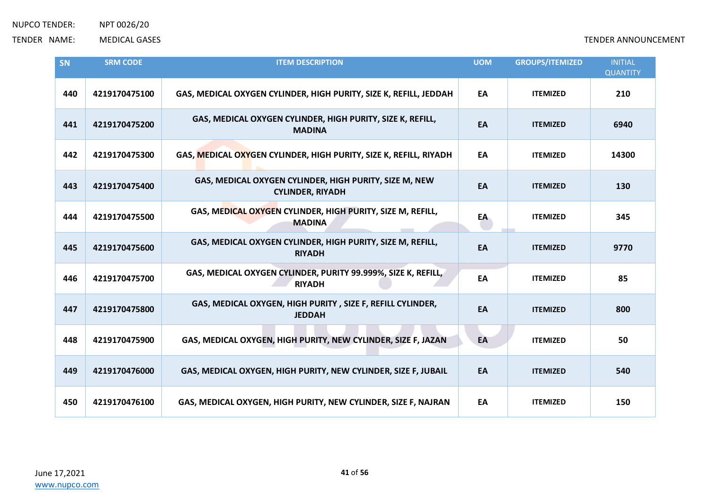| SN  | <b>SRM CODE</b> | <b>ITEM DESCRIPTION</b>                                                           | <b>UOM</b> | <b>GROUPS/ITEMIZED</b> | <b>INITIAL</b>         |
|-----|-----------------|-----------------------------------------------------------------------------------|------------|------------------------|------------------------|
| 440 | 4219170475100   | GAS, MEDICAL OXYGEN CYLINDER, HIGH PURITY, SIZE K, REFILL, JEDDAH                 | EA         | <b>ITEMIZED</b>        | <b>QUANTITY</b><br>210 |
| 441 | 4219170475200   | GAS, MEDICAL OXYGEN CYLINDER, HIGH PURITY, SIZE K, REFILL,<br><b>MADINA</b>       | EA         | <b>ITEMIZED</b>        | 6940                   |
| 442 | 4219170475300   | GAS, MEDICAL OXYGEN CYLINDER, HIGH PURITY, SIZE K, REFILL, RIYADH                 | EA         | <b>ITEMIZED</b>        | 14300                  |
| 443 | 4219170475400   | GAS, MEDICAL OXYGEN CYLINDER, HIGH PURITY, SIZE M, NEW<br><b>CYLINDER, RIYADH</b> | EA         | <b>ITEMIZED</b>        | 130                    |
| 444 | 4219170475500   | GAS, MEDICAL OXYGEN CYLINDER, HIGH PURITY, SIZE M, REFILL,<br><b>MADINA</b>       | EA         | <b>ITEMIZED</b>        | 345                    |
| 445 | 4219170475600   | GAS, MEDICAL OXYGEN CYLINDER, HIGH PURITY, SIZE M, REFILL,<br><b>RIYADH</b>       | EA         | <b>ITEMIZED</b>        | 9770                   |
| 446 | 4219170475700   | GAS, MEDICAL OXYGEN CYLINDER, PURITY 99.999%, SIZE K, REFILL,<br><b>RIYADH</b>    | EA         | <b>ITEMIZED</b>        | 85                     |
| 447 | 4219170475800   | GAS, MEDICAL OXYGEN, HIGH PURITY, SIZE F, REFILL CYLINDER,<br><b>JEDDAH</b>       | EA         | <b>ITEMIZED</b>        | 800                    |
| 448 | 4219170475900   | GAS, MEDICAL OXYGEN, HIGH PURITY, NEW CYLINDER, SIZE F, JAZAN                     | EA         | <b>ITEMIZED</b>        | 50                     |
| 449 | 4219170476000   | GAS, MEDICAL OXYGEN, HIGH PURITY, NEW CYLINDER, SIZE F, JUBAIL                    | EA         | <b>ITEMIZED</b>        | 540                    |
| 450 | 4219170476100   | GAS, MEDICAL OXYGEN, HIGH PURITY, NEW CYLINDER, SIZE F, NAJRAN                    | EA         | <b>ITEMIZED</b>        | 150                    |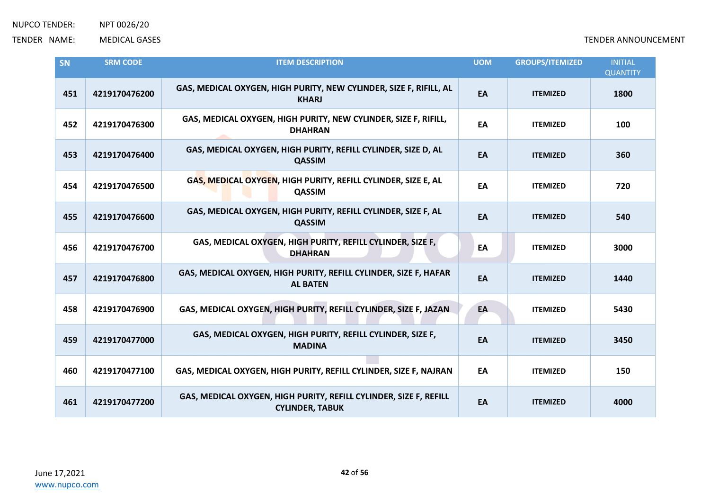| SN  | <b>SRM CODE</b> | <b>ITEM DESCRIPTION</b>                                                                     | <b>UOM</b> | <b>GROUPS/ITEMIZED</b> | <b>INITIAL</b><br><b>QUANTITY</b> |
|-----|-----------------|---------------------------------------------------------------------------------------------|------------|------------------------|-----------------------------------|
| 451 | 4219170476200   | GAS, MEDICAL OXYGEN, HIGH PURITY, NEW CYLINDER, SIZE F, RIFILL, AL<br><b>KHARJ</b>          | EA         | <b>ITEMIZED</b>        | 1800                              |
| 452 | 4219170476300   | GAS, MEDICAL OXYGEN, HIGH PURITY, NEW CYLINDER, SIZE F, RIFILL,<br><b>DHAHRAN</b>           | EA         | <b>ITEMIZED</b>        | 100                               |
| 453 | 4219170476400   | GAS, MEDICAL OXYGEN, HIGH PURITY, REFILL CYLINDER, SIZE D, AL<br><b>QASSIM</b>              | EA         | <b>ITEMIZED</b>        | 360                               |
| 454 | 4219170476500   | GAS, MEDICAL OXYGEN, HIGH PURITY, REFILL CYLINDER, SIZE E, AL<br>QASSIM                     | EA         | <b>ITEMIZED</b>        | 720                               |
| 455 | 4219170476600   | GAS, MEDICAL OXYGEN, HIGH PURITY, REFILL CYLINDER, SIZE F, AL<br><b>QASSIM</b>              | EA         | <b>ITEMIZED</b>        | 540                               |
| 456 | 4219170476700   | GAS, MEDICAL OXYGEN, HIGH PURITY, REFILL CYLINDER, SIZE F,<br><b>DHAHRAN</b>                | EA         | <b>ITEMIZED</b>        | 3000                              |
| 457 | 4219170476800   | GAS, MEDICAL OXYGEN, HIGH PURITY, REFILL CYLINDER, SIZE F, HAFAR<br><b>AL BATEN</b>         | EA         | <b>ITEMIZED</b>        | 1440                              |
| 458 | 4219170476900   | GAS, MEDICAL OXYGEN, HIGH PURITY, REFILL CYLINDER, SIZE F, JAZAN                            | EA         | <b>ITEMIZED</b>        | 5430                              |
| 459 | 4219170477000   | GAS, MEDICAL OXYGEN, HIGH PURITY, REFILL CYLINDER, SIZE F,<br><b>MADINA</b>                 | EA         | <b>ITEMIZED</b>        | 3450                              |
| 460 | 4219170477100   | GAS, MEDICAL OXYGEN, HIGH PURITY, REFILL CYLINDER, SIZE F, NAJRAN                           | EA         | <b>ITEMIZED</b>        | 150                               |
| 461 | 4219170477200   | GAS, MEDICAL OXYGEN, HIGH PURITY, REFILL CYLINDER, SIZE F, REFILL<br><b>CYLINDER, TABUK</b> | EA         | <b>ITEMIZED</b>        | 4000                              |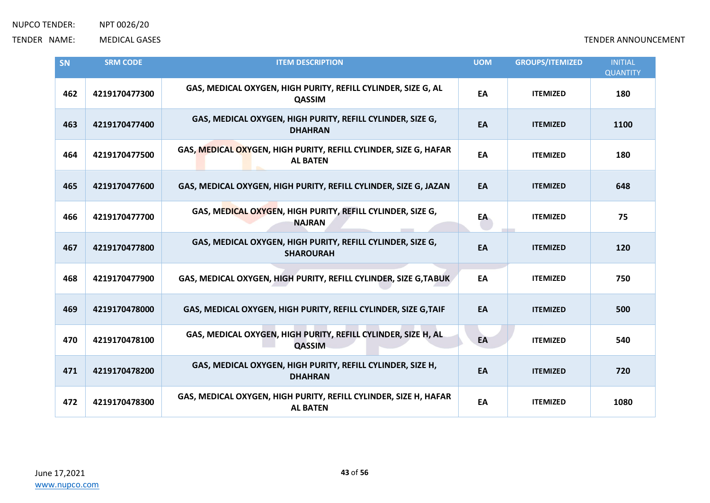| SN  | <b>SRM CODE</b> | <b>ITEM DESCRIPTION</b>                                                             | <b>UOM</b> | <b>GROUPS/ITEMIZED</b> | <b>INITIAL</b><br><b>QUANTITY</b> |
|-----|-----------------|-------------------------------------------------------------------------------------|------------|------------------------|-----------------------------------|
| 462 | 4219170477300   | GAS, MEDICAL OXYGEN, HIGH PURITY, REFILL CYLINDER, SIZE G, AL<br><b>QASSIM</b>      | EA         | <b>ITEMIZED</b>        | 180                               |
| 463 | 4219170477400   | GAS, MEDICAL OXYGEN, HIGH PURITY, REFILL CYLINDER, SIZE G,<br><b>DHAHRAN</b>        | EA         | <b>ITEMIZED</b>        | 1100                              |
| 464 | 4219170477500   | GAS, MEDICAL OXYGEN, HIGH PURITY, REFILL CYLINDER, SIZE G, HAFAR<br><b>AL BATEN</b> | EA         | <b>ITEMIZED</b>        | 180                               |
| 465 | 4219170477600   | GAS, MEDICAL OXYGEN, HIGH PURITY, REFILL CYLINDER, SIZE G, JAZAN                    | EA         | <b>ITEMIZED</b>        | 648                               |
| 466 | 4219170477700   | GAS, MEDICAL OXYGEN, HIGH PURITY, REFILL CYLINDER, SIZE G,<br><b>NAJRAN</b>         | EA         | <b>ITEMIZED</b>        | 75                                |
| 467 | 4219170477800   | GAS, MEDICAL OXYGEN, HIGH PURITY, REFILL CYLINDER, SIZE G,<br><b>SHAROURAH</b>      | EA         | <b>ITEMIZED</b>        | 120                               |
| 468 | 4219170477900   | GAS, MEDICAL OXYGEN, HIGH PURITY, REFILL CYLINDER, SIZE G, TABUK                    | EA         | <b>ITEMIZED</b>        | 750                               |
| 469 | 4219170478000   | GAS, MEDICAL OXYGEN, HIGH PURITY, REFILL CYLINDER, SIZE G, TAIF                     | EA         | <b>ITEMIZED</b>        | 500                               |
| 470 | 4219170478100   | GAS, MEDICAL OXYGEN, HIGH PURITY, REFILL CYLINDER, SIZE H, AL<br><b>QASSIM</b>      | EA         | <b>ITEMIZED</b>        | 540                               |
| 471 | 4219170478200   | GAS, MEDICAL OXYGEN, HIGH PURITY, REFILL CYLINDER, SIZE H,<br><b>DHAHRAN</b>        | EA         | <b>ITEMIZED</b>        | 720                               |
| 472 | 4219170478300   | GAS, MEDICAL OXYGEN, HIGH PURITY, REFILL CYLINDER, SIZE H, HAFAR<br><b>AL BATEN</b> | EA         | <b>ITEMIZED</b>        | 1080                              |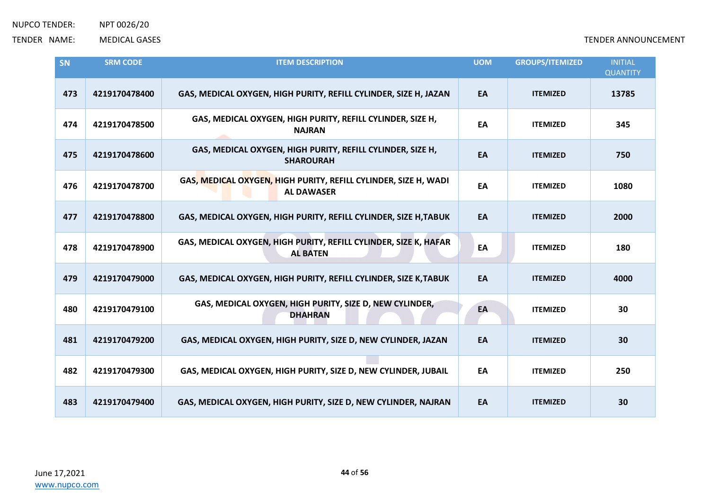| SN  | <b>SRM CODE</b> | <b>ITEM DESCRIPTION</b>                                                              | <b>UOM</b> | <b>GROUPS/ITEMIZED</b> | <b>INITIAL</b><br><b>QUANTITY</b> |
|-----|-----------------|--------------------------------------------------------------------------------------|------------|------------------------|-----------------------------------|
| 473 | 4219170478400   | GAS, MEDICAL OXYGEN, HIGH PURITY, REFILL CYLINDER, SIZE H, JAZAN                     | EA         | <b>ITEMIZED</b>        | 13785                             |
| 474 | 4219170478500   | GAS, MEDICAL OXYGEN, HIGH PURITY, REFILL CYLINDER, SIZE H,<br><b>NAJRAN</b>          | EA         | <b>ITEMIZED</b>        | 345                               |
| 475 | 4219170478600   | GAS, MEDICAL OXYGEN, HIGH PURITY, REFILL CYLINDER, SIZE H,<br><b>SHAROURAH</b>       | EA         | <b>ITEMIZED</b>        | 750                               |
| 476 | 4219170478700   | GAS, MEDICAL OXYGEN, HIGH PURITY, REFILL CYLINDER, SIZE H, WADI<br><b>AL DAWASER</b> | EA         | <b>ITEMIZED</b>        | 1080                              |
| 477 | 4219170478800   | GAS, MEDICAL OXYGEN, HIGH PURITY, REFILL CYLINDER, SIZE H, TABUK                     | EA         | <b>ITEMIZED</b>        | 2000                              |
| 478 | 4219170478900   | GAS, MEDICAL OXYGEN, HIGH PURITY, REFILL CYLINDER, SIZE K, HAFAR<br><b>AL BATEN</b>  | EA         | <b>ITEMIZED</b>        | 180                               |
| 479 | 4219170479000   | GAS, MEDICAL OXYGEN, HIGH PURITY, REFILL CYLINDER, SIZE K, TABUK                     | EA         | <b>ITEMIZED</b>        | 4000                              |
| 480 | 4219170479100   | GAS, MEDICAL OXYGEN, HIGH PURITY, SIZE D, NEW CYLINDER,<br><b>DHAHRAN</b>            | EA         | <b>ITEMIZED</b>        | 30                                |
| 481 | 4219170479200   | GAS, MEDICAL OXYGEN, HIGH PURITY, SIZE D, NEW CYLINDER, JAZAN                        | EA         | <b>ITEMIZED</b>        | 30                                |
| 482 | 4219170479300   | GAS, MEDICAL OXYGEN, HIGH PURITY, SIZE D, NEW CYLINDER, JUBAIL                       | EA         | <b>ITEMIZED</b>        | 250                               |
| 483 | 4219170479400   | GAS, MEDICAL OXYGEN, HIGH PURITY, SIZE D, NEW CYLINDER, NAJRAN                       | EA         | <b>ITEMIZED</b>        | 30                                |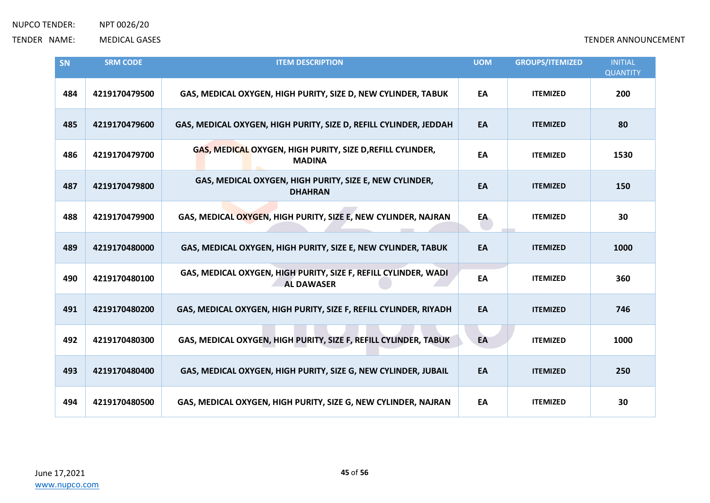| <b>SN</b> | <b>SRM CODE</b> | <b>ITEM DESCRIPTION</b>                                                              | <b>UOM</b> | <b>GROUPS/ITEMIZED</b> | <b>INITIAL</b><br><b>QUANTITY</b> |
|-----------|-----------------|--------------------------------------------------------------------------------------|------------|------------------------|-----------------------------------|
| 484       | 4219170479500   | GAS, MEDICAL OXYGEN, HIGH PURITY, SIZE D, NEW CYLINDER, TABUK                        | EA         | <b>ITEMIZED</b>        | 200                               |
| 485       | 4219170479600   | GAS, MEDICAL OXYGEN, HIGH PURITY, SIZE D, REFILL CYLINDER, JEDDAH                    | EA         | <b>ITEMIZED</b>        | 80                                |
| 486       | 4219170479700   | GAS, MEDICAL OXYGEN, HIGH PURITY, SIZE D, REFILL CYLINDER,<br><b>MADINA</b>          | EA         | <b>ITEMIZED</b>        | 1530                              |
| 487       | 4219170479800   | GAS, MEDICAL OXYGEN, HIGH PURITY, SIZE E, NEW CYLINDER,<br><b>DHAHRAN</b>            | EA         | <b>ITEMIZED</b>        | 150                               |
| 488       | 4219170479900   | GAS, MEDICAL OXYGEN, HIGH PURITY, SIZE E, NEW CYLINDER, NAJRAN                       | EA         | <b>ITEMIZED</b>        | 30                                |
| 489       | 4219170480000   | GAS, MEDICAL OXYGEN, HIGH PURITY, SIZE E, NEW CYLINDER, TABUK                        | EA         | <b>ITEMIZED</b>        | 1000                              |
| 490       | 4219170480100   | GAS, MEDICAL OXYGEN, HIGH PURITY, SIZE F, REFILL CYLINDER, WADI<br><b>AL DAWASER</b> | EA         | <b>ITEMIZED</b>        | 360                               |
| 491       | 4219170480200   | GAS, MEDICAL OXYGEN, HIGH PURITY, SIZE F, REFILL CYLINDER, RIYADH                    | EA         | <b>ITEMIZED</b>        | 746                               |
| 492       | 4219170480300   | GAS, MEDICAL OXYGEN, HIGH PURITY, SIZE F, REFILL CYLINDER, TABUK                     | EA         | <b>ITEMIZED</b>        | 1000                              |
| 493       | 4219170480400   | GAS, MEDICAL OXYGEN, HIGH PURITY, SIZE G, NEW CYLINDER, JUBAIL                       | EA         | <b>ITEMIZED</b>        | 250                               |
| 494       | 4219170480500   | GAS, MEDICAL OXYGEN, HIGH PURITY, SIZE G, NEW CYLINDER, NAJRAN                       | EA         | <b>ITEMIZED</b>        | 30                                |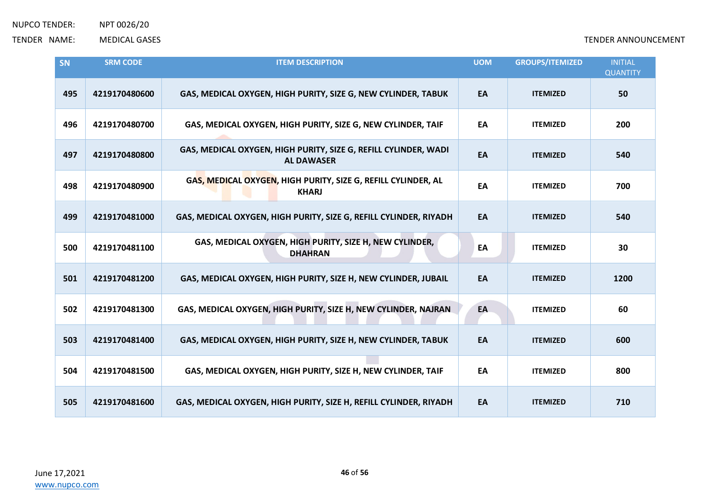| <b>SN</b> | <b>SRM CODE</b> | <b>ITEM DESCRIPTION</b>                                                              | <b>UOM</b> | <b>GROUPS/ITEMIZED</b> | <b>INITIAL</b><br><b>QUANTITY</b> |
|-----------|-----------------|--------------------------------------------------------------------------------------|------------|------------------------|-----------------------------------|
| 495       | 4219170480600   | GAS, MEDICAL OXYGEN, HIGH PURITY, SIZE G, NEW CYLINDER, TABUK                        | EA         | <b>ITEMIZED</b>        | 50                                |
| 496       | 4219170480700   | GAS, MEDICAL OXYGEN, HIGH PURITY, SIZE G, NEW CYLINDER, TAIF                         | EA         | <b>ITEMIZED</b>        | 200                               |
| 497       | 4219170480800   | GAS, MEDICAL OXYGEN, HIGH PURITY, SIZE G, REFILL CYLINDER, WADI<br><b>AL DAWASER</b> | EA         | <b>ITEMIZED</b>        | 540                               |
| 498       | 4219170480900   | GAS, MEDICAL OXYGEN, HIGH PURITY, SIZE G, REFILL CYLINDER, AL<br><b>KHARJ</b>        | EA         | <b>ITEMIZED</b>        | 700                               |
| 499       | 4219170481000   | GAS, MEDICAL OXYGEN, HIGH PURITY, SIZE G, REFILL CYLINDER, RIYADH                    | EA         | <b>ITEMIZED</b>        | 540                               |
| 500       | 4219170481100   | GAS, MEDICAL OXYGEN, HIGH PURITY, SIZE H, NEW CYLINDER,<br><b>DHAHRAN</b>            | EA         | <b>ITEMIZED</b>        | 30                                |
| 501       | 4219170481200   | GAS, MEDICAL OXYGEN, HIGH PURITY, SIZE H, NEW CYLINDER, JUBAIL                       | EA         | <b>ITEMIZED</b>        | 1200                              |
| 502       | 4219170481300   | GAS, MEDICAL OXYGEN, HIGH PURITY, SIZE H, NEW CYLINDER, NAJRAN                       | EA         | <b>ITEMIZED</b>        | 60                                |
| 503       | 4219170481400   | GAS, MEDICAL OXYGEN, HIGH PURITY, SIZE H, NEW CYLINDER, TABUK                        | EA         | <b>ITEMIZED</b>        | 600                               |
| 504       | 4219170481500   | GAS, MEDICAL OXYGEN, HIGH PURITY, SIZE H, NEW CYLINDER, TAIF                         | EA         | <b>ITEMIZED</b>        | 800                               |
| 505       | 4219170481600   | GAS, MEDICAL OXYGEN, HIGH PURITY, SIZE H, REFILL CYLINDER, RIYADH                    | EA         | <b>ITEMIZED</b>        | 710                               |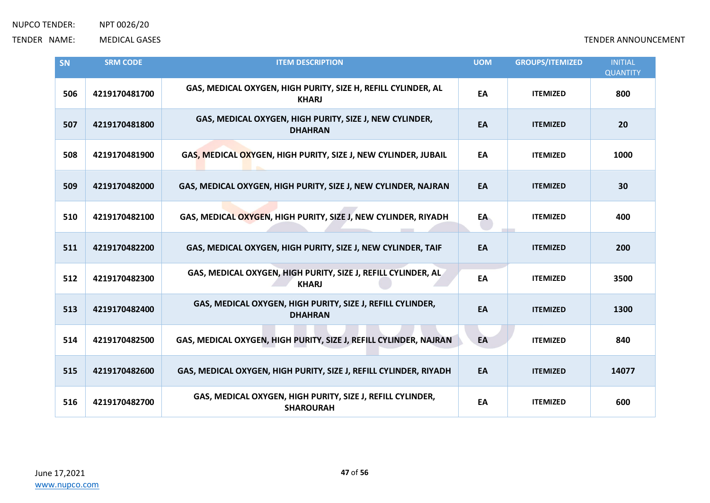| SN  | <b>SRM CODE</b> | <b>ITEM DESCRIPTION</b>                                                        | <b>UOM</b> | <b>GROUPS/ITEMIZED</b> | <b>INITIAL</b><br><b>QUANTITY</b> |
|-----|-----------------|--------------------------------------------------------------------------------|------------|------------------------|-----------------------------------|
| 506 | 4219170481700   | GAS, MEDICAL OXYGEN, HIGH PURITY, SIZE H, REFILL CYLINDER, AL<br><b>KHARJ</b>  | EA         | <b>ITEMIZED</b>        | 800                               |
| 507 | 4219170481800   | GAS, MEDICAL OXYGEN, HIGH PURITY, SIZE J, NEW CYLINDER,<br><b>DHAHRAN</b>      | EA         | <b>ITEMIZED</b>        | 20                                |
| 508 | 4219170481900   | GAS, MEDICAL OXYGEN, HIGH PURITY, SIZE J, NEW CYLINDER, JUBAIL                 | EA         | <b>ITEMIZED</b>        | 1000                              |
| 509 | 4219170482000   | GAS, MEDICAL OXYGEN, HIGH PURITY, SIZE J, NEW CYLINDER, NAJRAN                 | EA         | <b>ITEMIZED</b>        | 30                                |
| 510 | 4219170482100   | GAS, MEDICAL OXYGEN, HIGH PURITY, SIZE J, NEW CYLINDER, RIYADH                 | EA         | <b>ITEMIZED</b>        | 400                               |
| 511 | 4219170482200   | GAS, MEDICAL OXYGEN, HIGH PURITY, SIZE J, NEW CYLINDER, TAIF                   | EA         | <b>ITEMIZED</b>        | 200                               |
| 512 | 4219170482300   | GAS, MEDICAL OXYGEN, HIGH PURITY, SIZE J, REFILL CYLINDER, AL<br><b>KHARJ</b>  | EA         | <b>ITEMIZED</b>        | 3500                              |
| 513 | 4219170482400   | GAS, MEDICAL OXYGEN, HIGH PURITY, SIZE J, REFILL CYLINDER,<br><b>DHAHRAN</b>   | EA         | <b>ITEMIZED</b>        | 1300                              |
| 514 | 4219170482500   | GAS, MEDICAL OXYGEN, HIGH PURITY, SIZE J, REFILL CYLINDER, NAJRAN              | EA         | <b>ITEMIZED</b>        | 840                               |
| 515 | 4219170482600   | GAS, MEDICAL OXYGEN, HIGH PURITY, SIZE J, REFILL CYLINDER, RIYADH              | EA         | <b>ITEMIZED</b>        | 14077                             |
| 516 | 4219170482700   | GAS, MEDICAL OXYGEN, HIGH PURITY, SIZE J, REFILL CYLINDER,<br><b>SHAROURAH</b> | EA         | <b>ITEMIZED</b>        | 600                               |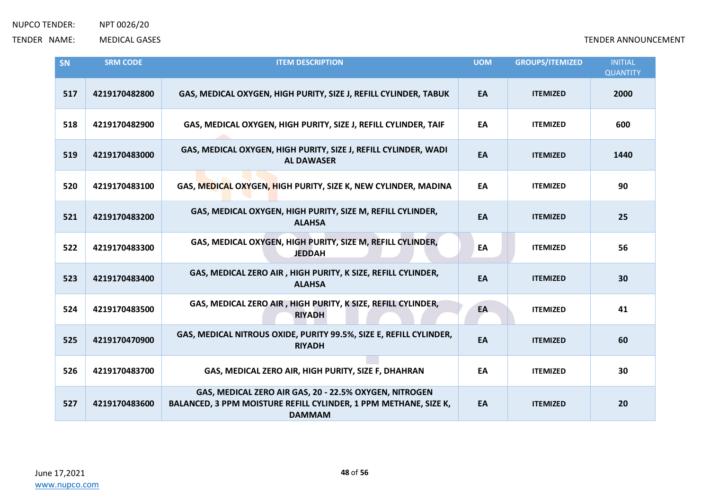| SN  | <b>SRM CODE</b> | <b>ITEM DESCRIPTION</b>                                                                                                                     | <b>UOM</b> | <b>GROUPS/ITEMIZED</b> | <b>INITIAL</b><br><b>QUANTITY</b> |
|-----|-----------------|---------------------------------------------------------------------------------------------------------------------------------------------|------------|------------------------|-----------------------------------|
| 517 | 4219170482800   | GAS, MEDICAL OXYGEN, HIGH PURITY, SIZE J, REFILL CYLINDER, TABUK                                                                            | EA         | <b>ITEMIZED</b>        | 2000                              |
| 518 | 4219170482900   | GAS, MEDICAL OXYGEN, HIGH PURITY, SIZE J, REFILL CYLINDER, TAIF                                                                             | EA         | <b>ITEMIZED</b>        | 600                               |
| 519 | 4219170483000   | GAS, MEDICAL OXYGEN, HIGH PURITY, SIZE J, REFILL CYLINDER, WADI<br><b>AL DAWASER</b>                                                        | EA         | <b>ITEMIZED</b>        | 1440                              |
| 520 | 4219170483100   | GAS, MEDICAL OXYGEN, HIGH PURITY, SIZE K, NEW CYLINDER, MADINA                                                                              | EA         | <b>ITEMIZED</b>        | 90                                |
| 521 | 4219170483200   | GAS, MEDICAL OXYGEN, HIGH PURITY, SIZE M, REFILL CYLINDER,<br><b>ALAHSA</b>                                                                 | EA         | <b>ITEMIZED</b>        | 25                                |
| 522 | 4219170483300   | GAS, MEDICAL OXYGEN, HIGH PURITY, SIZE M, REFILL CYLINDER,<br><b>JEDDAH</b>                                                                 | EA         | <b>ITEMIZED</b>        | 56                                |
| 523 | 4219170483400   | GAS, MEDICAL ZERO AIR, HIGH PURITY, K SIZE, REFILL CYLINDER,<br><b>ALAHSA</b>                                                               | EA         | <b>ITEMIZED</b>        | 30                                |
| 524 | 4219170483500   | GAS, MEDICAL ZERO AIR, HIGH PURITY, K SIZE, REFILL CYLINDER,<br><b>RIYADH</b>                                                               | EA         | <b>ITEMIZED</b>        | 41                                |
| 525 | 4219170470900   | GAS, MEDICAL NITROUS OXIDE, PURITY 99.5%, SIZE E, REFILL CYLINDER,<br><b>RIYADH</b>                                                         | EA         | <b>ITEMIZED</b>        | 60                                |
| 526 | 4219170483700   | GAS, MEDICAL ZERO AIR, HIGH PURITY, SIZE F, DHAHRAN                                                                                         | EA         | <b>ITEMIZED</b>        | 30                                |
| 527 | 4219170483600   | GAS, MEDICAL ZERO AIR GAS, 20 - 22.5% OXYGEN, NITROGEN<br>BALANCED, 3 PPM MOISTURE REFILL CYLINDER, 1 PPM METHANE, SIZE K,<br><b>DAMMAM</b> | EA         | <b>ITEMIZED</b>        | 20                                |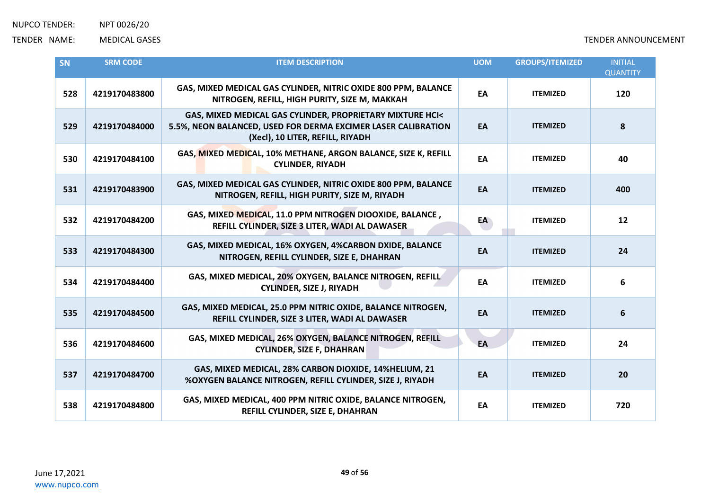| <b>SN</b> | <b>SRM CODE</b> | <b>ITEM DESCRIPTION</b>                                                                                                                                        | <b>UOM</b> | <b>GROUPS/ITEMIZED</b> | <b>INITIAL</b><br><b>QUANTITY</b> |
|-----------|-----------------|----------------------------------------------------------------------------------------------------------------------------------------------------------------|------------|------------------------|-----------------------------------|
| 528       | 4219170483800   | GAS, MIXED MEDICAL GAS CYLINDER, NITRIC OXIDE 800 PPM, BALANCE<br>NITROGEN, REFILL, HIGH PURITY, SIZE M, MAKKAH                                                | EA         | <b>ITEMIZED</b>        | 120                               |
| 529       | 4219170484000   | GAS, MIXED MEDICAL GAS CYLINDER, PROPRIETARY MIXTURE HCI<<br>5.5%, NEON BALANCED, USED FOR DERMA EXCIMER LASER CALIBRATION<br>(Xecl), 10 LITER, REFILL, RIYADH | EA         | <b>ITEMIZED</b>        | 8                                 |
| 530       | 4219170484100   | GAS, MIXED MEDICAL, 10% METHANE, ARGON BALANCE, SIZE K, REFILL<br><b>CYLINDER, RIYADH</b>                                                                      | EA         | <b>ITEMIZED</b>        | 40                                |
| 531       | 4219170483900   | GAS, MIXED MEDICAL GAS CYLINDER, NITRIC OXIDE 800 PPM, BALANCE<br>NITROGEN, REFILL, HIGH PURITY, SIZE M, RIYADH                                                | EA         | <b>ITEMIZED</b>        | 400                               |
| 532       | 4219170484200   | GAS, MIXED MEDICAL, 11.0 PPM NITROGEN DIOOXIDE, BALANCE,<br>REFILL CYLINDER, SIZE 3 LITER, WADI AL DAWASER                                                     | EA         | <b>ITEMIZED</b>        | 12                                |
| 533       | 4219170484300   | GAS, MIXED MEDICAL, 16% OXYGEN, 4%CARBON DXIDE, BALANCE<br>NITROGEN, REFILL CYLINDER, SIZE E, DHAHRAN                                                          | EA         | <b>ITEMIZED</b>        | 24                                |
| 534       | 4219170484400   | GAS, MIXED MEDICAL, 20% OXYGEN, BALANCE NITROGEN, REFILL<br><b>CYLINDER, SIZE J, RIYADH</b>                                                                    | EA         | <b>ITEMIZED</b>        | 6                                 |
| 535       | 4219170484500   | GAS, MIXED MEDICAL, 25.0 PPM NITRIC OXIDE, BALANCE NITROGEN,<br>REFILL CYLINDER, SIZE 3 LITER, WADI AL DAWASER                                                 | EA         | <b>ITEMIZED</b>        | 6                                 |
| 536       | 4219170484600   | GAS, MIXED MEDICAL, 26% OXYGEN, BALANCE NITROGEN, REFILL<br><b>CYLINDER, SIZE F, DHAHRAN</b>                                                                   | EA         | <b>ITEMIZED</b>        | 24                                |
| 537       | 4219170484700   | GAS, MIXED MEDICAL, 28% CARBON DIOXIDE, 14%HELIUM, 21<br>%OXYGEN BALANCE NITROGEN, REFILL CYLINDER, SIZE J, RIYADH                                             | EA         | <b>ITEMIZED</b>        | 20                                |
| 538       | 4219170484800   | GAS, MIXED MEDICAL, 400 PPM NITRIC OXIDE, BALANCE NITROGEN,<br>REFILL CYLINDER, SIZE E, DHAHRAN                                                                | EA         | <b>ITEMIZED</b>        | 720                               |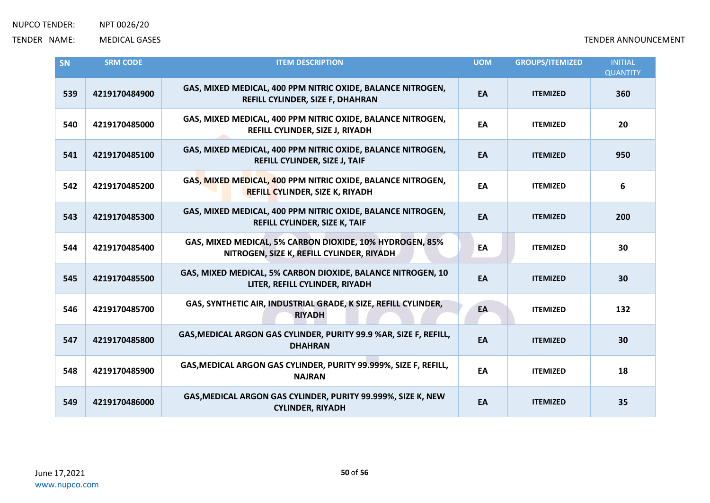| SN  | <b>SRM CODE</b> | <b>ITEM DESCRIPTION</b>                                                                               | <b>UOM</b> | <b>GROUPS/ITEMIZED</b> | <b>INITIAL</b><br><b>QUANTITY</b> |
|-----|-----------------|-------------------------------------------------------------------------------------------------------|------------|------------------------|-----------------------------------|
| 539 | 4219170484900   | GAS, MIXED MEDICAL, 400 PPM NITRIC OXIDE, BALANCE NITROGEN,<br>REFILL CYLINDER, SIZE F, DHAHRAN       | EA         | <b>ITEMIZED</b>        | 360                               |
| 540 | 4219170485000   | GAS, MIXED MEDICAL, 400 PPM NITRIC OXIDE, BALANCE NITROGEN,<br>REFILL CYLINDER, SIZE J, RIYADH        | EA         | <b>ITEMIZED</b>        | 20                                |
| 541 | 4219170485100   | GAS, MIXED MEDICAL, 400 PPM NITRIC OXIDE, BALANCE NITROGEN,<br>REFILL CYLINDER, SIZE J, TAIF          | EA         | <b>ITEMIZED</b>        | 950                               |
| 542 | 4219170485200   | GAS, MIXED MEDICAL, 400 PPM NITRIC OXIDE, BALANCE NITROGEN,<br><b>REFILL CYLINDER, SIZE K, RIYADH</b> | EA         | <b>ITEMIZED</b>        | 6                                 |
| 543 | 4219170485300   | GAS, MIXED MEDICAL, 400 PPM NITRIC OXIDE, BALANCE NITROGEN,<br>REFILL CYLINDER, SIZE K, TAIF          | EA         | <b>ITEMIZED</b>        | 200                               |
| 544 | 4219170485400   | GAS, MIXED MEDICAL, 5% CARBON DIOXIDE, 10% HYDROGEN, 85%<br>NITROGEN, SIZE K, REFILL CYLINDER, RIYADH | EA         | <b>ITEMIZED</b>        | 30                                |
| 545 | 4219170485500   | GAS, MIXED MEDICAL, 5% CARBON DIOXIDE, BALANCE NITROGEN, 10<br>LITER, REFILL CYLINDER, RIYADH         | EA         | <b>ITEMIZED</b>        | 30                                |
| 546 | 4219170485700   | GAS, SYNTHETIC AIR, INDUSTRIAL GRADE, K SIZE, REFILL CYLINDER,<br><b>RIYADH</b>                       | EA         | <b>ITEMIZED</b>        | 132                               |
| 547 | 4219170485800   | GAS, MEDICAL ARGON GAS CYLINDER, PURITY 99.9 %AR, SIZE F, REFILL,<br><b>DHAHRAN</b>                   | EA         | <b>ITEMIZED</b>        | 30                                |
| 548 | 4219170485900   | GAS, MEDICAL ARGON GAS CYLINDER, PURITY 99.999%, SIZE F, REFILL,<br><b>NAJRAN</b>                     | EA         | <b>ITEMIZED</b>        | 18                                |
| 549 | 4219170486000   | GAS, MEDICAL ARGON GAS CYLINDER, PURITY 99.999%, SIZE K, NEW<br><b>CYLINDER, RIYADH</b>               | EA         | <b>ITEMIZED</b>        | 35                                |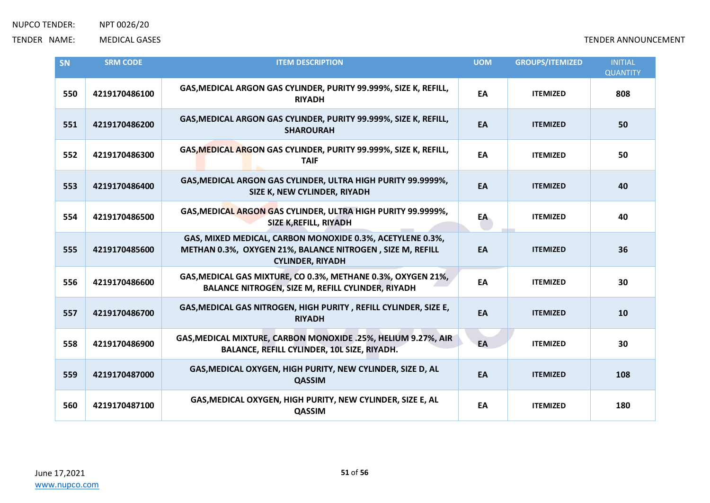| <b>SN</b> | <b>SRM CODE</b> | <b>ITEM DESCRIPTION</b>                                                                                                                           | <b>UOM</b> | <b>GROUPS/ITEMIZED</b> | <b>INITIAL</b><br><b>QUANTITY</b> |
|-----------|-----------------|---------------------------------------------------------------------------------------------------------------------------------------------------|------------|------------------------|-----------------------------------|
| 550       | 4219170486100   | GAS, MEDICAL ARGON GAS CYLINDER, PURITY 99.999%, SIZE K, REFILL,<br><b>RIYADH</b>                                                                 | EA         | <b>ITEMIZED</b>        | 808                               |
| 551       | 4219170486200   | GAS, MEDICAL ARGON GAS CYLINDER, PURITY 99.999%, SIZE K, REFILL,<br><b>SHAROURAH</b>                                                              | EA         | <b>ITEMIZED</b>        | 50                                |
| 552       | 4219170486300   | GAS, MEDICAL ARGON GAS CYLINDER, PURITY 99.999%, SIZE K, REFILL,<br><b>TAIF</b>                                                                   | EA         | <b>ITEMIZED</b>        | 50                                |
| 553       | 4219170486400   | GAS, MEDICAL ARGON GAS CYLINDER, ULTRA HIGH PURITY 99.9999%,<br>SIZE K, NEW CYLINDER, RIYADH                                                      | EA         | <b>ITEMIZED</b>        | 40                                |
| 554       | 4219170486500   | GAS, MEDICAL ARGON GAS CYLINDER, ULTRA HIGH PURITY 99.9999%,<br><b>SIZE K, REFILL, RIYADH</b>                                                     | EA         | <b>ITEMIZED</b>        | 40                                |
| 555       | 4219170485600   | GAS, MIXED MEDICAL, CARBON MONOXIDE 0.3%, ACETYLENE 0.3%,<br>METHAN 0.3%, OXYGEN 21%, BALANCE NITROGEN, SIZE M, REFILL<br><b>CYLINDER, RIYADH</b> | EA         | <b>ITEMIZED</b>        | 36                                |
| 556       | 4219170486600   | GAS, MEDICAL GAS MIXTURE, CO 0.3%, METHANE 0.3%, OXYGEN 21%,<br>BALANCE NITROGEN, SIZE M, REFILL CYLINDER, RIYADH                                 | EA         | <b>ITEMIZED</b>        | 30                                |
| 557       | 4219170486700   | GAS, MEDICAL GAS NITROGEN, HIGH PURITY, REFILL CYLINDER, SIZE E,<br><b>RIYADH</b>                                                                 | EA         | <b>ITEMIZED</b>        | 10                                |
| 558       | 4219170486900   | GAS, MEDICAL MIXTURE, CARBON MONOXIDE .25%, HELIUM 9.27%, AIR<br>BALANCE, REFILL CYLINDER, 10L SIZE, RIYADH.                                      | EA         | <b>ITEMIZED</b>        | 30                                |
| 559       | 4219170487000   | GAS, MEDICAL OXYGEN, HIGH PURITY, NEW CYLINDER, SIZE D, AL<br><b>QASSIM</b>                                                                       | EA         | <b>ITEMIZED</b>        | 108                               |
| 560       | 4219170487100   | GAS, MEDICAL OXYGEN, HIGH PURITY, NEW CYLINDER, SIZE E, AL<br>QASSIM                                                                              | EA         | <b>ITEMIZED</b>        | 180                               |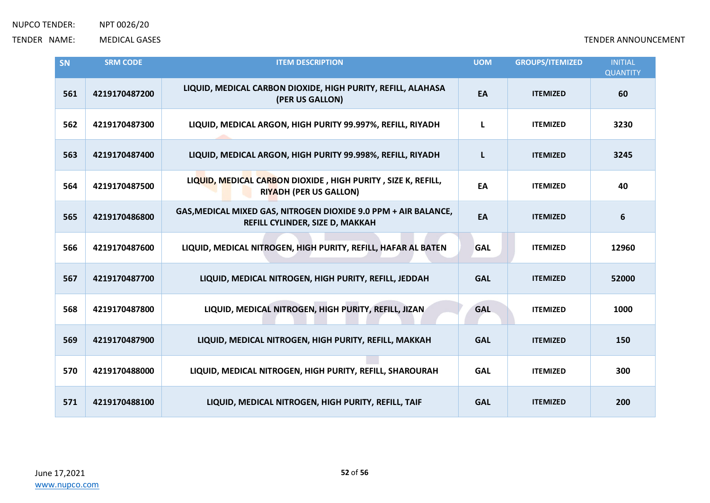| SN  | <b>SRM CODE</b> | <b>ITEM DESCRIPTION</b>                                                                            | <b>UOM</b> | <b>GROUPS/ITEMIZED</b> | <b>INITIAL</b><br><b>QUANTITY</b> |
|-----|-----------------|----------------------------------------------------------------------------------------------------|------------|------------------------|-----------------------------------|
| 561 | 4219170487200   | LIQUID, MEDICAL CARBON DIOXIDE, HIGH PURITY, REFILL, ALAHASA<br>(PER US GALLON)                    | EA         | <b>ITEMIZED</b>        | 60                                |
| 562 | 4219170487300   | LIQUID, MEDICAL ARGON, HIGH PURITY 99.997%, REFILL, RIYADH                                         | L          | <b>ITEMIZED</b>        | 3230                              |
| 563 | 4219170487400   | LIQUID, MEDICAL ARGON, HIGH PURITY 99.998%, REFILL, RIYADH                                         | L          | <b>ITEMIZED</b>        | 3245                              |
| 564 | 4219170487500   | LIQUID, MEDICAL CARBON DIOXIDE, HIGH PURITY, SIZE K, REFILL,<br><b>RIYADH (PER US GALLON)</b>      | EA         | <b>ITEMIZED</b>        | 40                                |
| 565 | 4219170486800   | GAS, MEDICAL MIXED GAS, NITROGEN DIOXIDE 9.0 PPM + AIR BALANCE,<br>REFILL CYLINDER, SIZE D, MAKKAH | EA         | <b>ITEMIZED</b>        | 6                                 |
| 566 | 4219170487600   | LIQUID, MEDICAL NITROGEN, HIGH PURITY, REFILL, HAFAR AL BATEN                                      | <b>GAL</b> | <b>ITEMIZED</b>        | 12960                             |
| 567 | 4219170487700   | LIQUID, MEDICAL NITROGEN, HIGH PURITY, REFILL, JEDDAH                                              | <b>GAL</b> | <b>ITEMIZED</b>        | 52000                             |
| 568 | 4219170487800   | LIQUID, MEDICAL NITROGEN, HIGH PURITY, REFILL, JIZAN                                               | <b>GAL</b> | <b>ITEMIZED</b>        | 1000                              |
| 569 | 4219170487900   | LIQUID, MEDICAL NITROGEN, HIGH PURITY, REFILL, MAKKAH                                              | <b>GAL</b> | <b>ITEMIZED</b>        | 150                               |
| 570 | 4219170488000   | LIQUID, MEDICAL NITROGEN, HIGH PURITY, REFILL, SHAROURAH                                           | <b>GAL</b> | <b>ITEMIZED</b>        | 300                               |
| 571 | 4219170488100   | LIQUID, MEDICAL NITROGEN, HIGH PURITY, REFILL, TAIF                                                | <b>GAL</b> | <b>ITEMIZED</b>        | 200                               |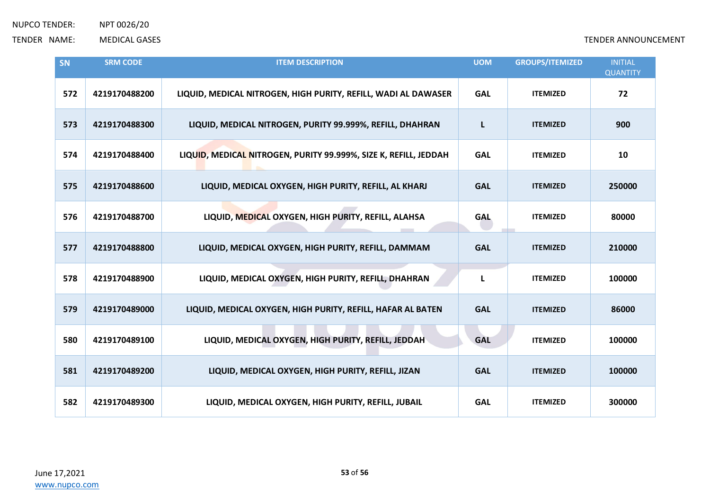| SN  | <b>SRM CODE</b> | <b>ITEM DESCRIPTION</b>                                          | <b>UOM</b> | <b>GROUPS/ITEMIZED</b> | <b>INITIAL</b><br><b>QUANTITY</b> |
|-----|-----------------|------------------------------------------------------------------|------------|------------------------|-----------------------------------|
| 572 | 4219170488200   | LIQUID, MEDICAL NITROGEN, HIGH PURITY, REFILL, WADI AL DAWASER   | <b>GAL</b> | <b>ITEMIZED</b>        | 72                                |
| 573 | 4219170488300   | LIQUID, MEDICAL NITROGEN, PURITY 99.999%, REFILL, DHAHRAN        | L          | <b>ITEMIZED</b>        | 900                               |
| 574 | 4219170488400   | LIQUID, MEDICAL NITROGEN, PURITY 99.999%, SIZE K, REFILL, JEDDAH | <b>GAL</b> | <b>ITEMIZED</b>        | 10                                |
| 575 | 4219170488600   | LIQUID, MEDICAL OXYGEN, HIGH PURITY, REFILL, AL KHARJ            | <b>GAL</b> | <b>ITEMIZED</b>        | 250000                            |
| 576 | 4219170488700   | LIQUID, MEDICAL OXYGEN, HIGH PURITY, REFILL, ALAHSA              | <b>GAL</b> | <b>ITEMIZED</b>        | 80000                             |
| 577 | 4219170488800   | LIQUID, MEDICAL OXYGEN, HIGH PURITY, REFILL, DAMMAM              | <b>GAL</b> | <b>ITEMIZED</b>        | 210000                            |
| 578 | 4219170488900   | LIQUID, MEDICAL OXYGEN, HIGH PURITY, REFILL, DHAHRAN             | L          | <b>ITEMIZED</b>        | 100000                            |
| 579 | 4219170489000   | LIQUID, MEDICAL OXYGEN, HIGH PURITY, REFILL, HAFAR AL BATEN      | <b>GAL</b> | <b>ITEMIZED</b>        | 86000                             |
| 580 | 4219170489100   | LIQUID, MEDICAL OXYGEN, HIGH PURITY, REFILL, JEDDAH              | <b>GAL</b> | <b>ITEMIZED</b>        | 100000                            |
| 581 | 4219170489200   | LIQUID, MEDICAL OXYGEN, HIGH PURITY, REFILL, JIZAN               | <b>GAL</b> | <b>ITEMIZED</b>        | 100000                            |
| 582 | 4219170489300   | LIQUID, MEDICAL OXYGEN, HIGH PURITY, REFILL, JUBAIL              | <b>GAL</b> | <b>ITEMIZED</b>        | 300000                            |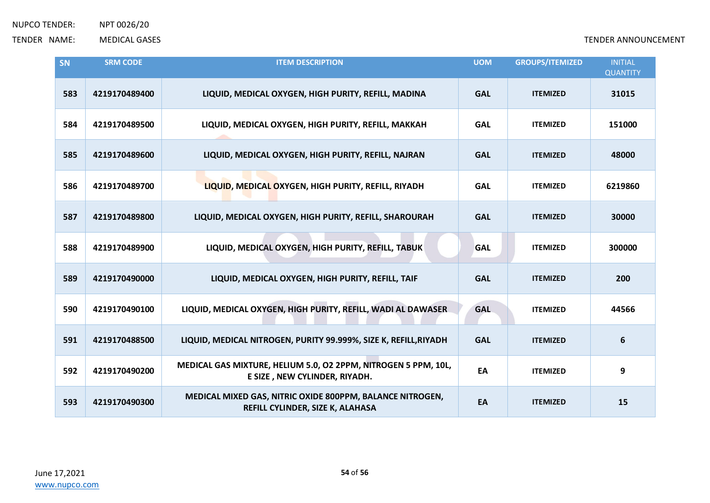| SN  | <b>SRM CODE</b> | <b>ITEM DESCRIPTION</b>                                                                         | <b>UOM</b> | <b>GROUPS/ITEMIZED</b> | <b>INITIAL</b><br><b>QUANTITY</b> |
|-----|-----------------|-------------------------------------------------------------------------------------------------|------------|------------------------|-----------------------------------|
| 583 | 4219170489400   | LIQUID, MEDICAL OXYGEN, HIGH PURITY, REFILL, MADINA                                             | <b>GAL</b> | <b>ITEMIZED</b>        | 31015                             |
| 584 | 4219170489500   | LIQUID, MEDICAL OXYGEN, HIGH PURITY, REFILL, MAKKAH                                             | <b>GAL</b> | <b>ITEMIZED</b>        | 151000                            |
| 585 | 4219170489600   | LIQUID, MEDICAL OXYGEN, HIGH PURITY, REFILL, NAJRAN                                             | <b>GAL</b> | <b>ITEMIZED</b>        | 48000                             |
| 586 | 4219170489700   | LIQUID, MEDICAL OXYGEN, HIGH PURITY, REFILL, RIYADH                                             | <b>GAL</b> | <b>ITEMIZED</b>        | 6219860                           |
| 587 | 4219170489800   | LIQUID, MEDICAL OXYGEN, HIGH PURITY, REFILL, SHAROURAH                                          | <b>GAL</b> | <b>ITEMIZED</b>        | 30000                             |
| 588 | 4219170489900   | LIQUID, MEDICAL OXYGEN, HIGH PURITY, REFILL, TABUK                                              | <b>GAL</b> | <b>ITEMIZED</b>        | 300000                            |
| 589 | 4219170490000   | LIQUID, MEDICAL OXYGEN, HIGH PURITY, REFILL, TAIF                                               | <b>GAL</b> | <b>ITEMIZED</b>        | 200                               |
| 590 | 4219170490100   | LIQUID, MEDICAL OXYGEN, HIGH PURITY, REFILL, WADI AL DAWASER                                    | <b>GAL</b> | <b>ITEMIZED</b>        | 44566                             |
| 591 | 4219170488500   | LIQUID, MEDICAL NITROGEN, PURITY 99.999%, SIZE K, REFILL, RIYADH                                | <b>GAL</b> | <b>ITEMIZED</b>        | $6\phantom{1}6$                   |
| 592 | 4219170490200   | MEDICAL GAS MIXTURE, HELIUM 5.0, O2 2PPM, NITROGEN 5 PPM, 10L,<br>E SIZE, NEW CYLINDER, RIYADH. | EA         | <b>ITEMIZED</b>        | 9                                 |
| 593 | 4219170490300   | MEDICAL MIXED GAS, NITRIC OXIDE 800PPM, BALANCE NITROGEN,<br>REFILL CYLINDER, SIZE K, ALAHASA   | EA         | <b>ITEMIZED</b>        | 15                                |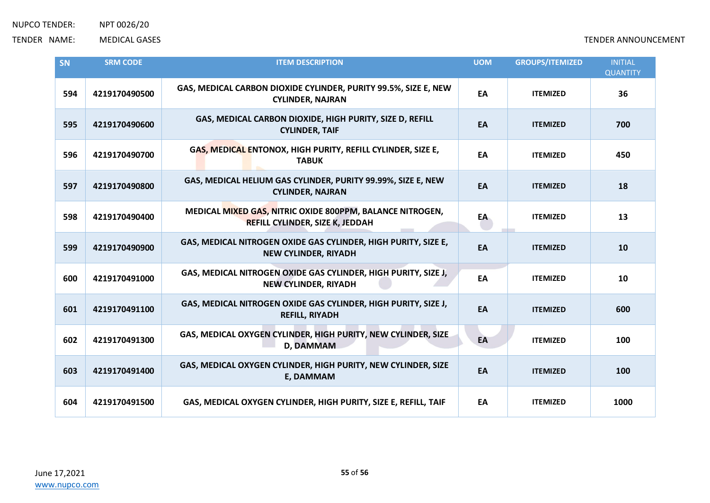| SN  | <b>SRM CODE</b> | <b>ITEM DESCRIPTION</b>                                                                             | <b>UOM</b> | <b>GROUPS/ITEMIZED</b> | <b>INITIAL</b><br><b>QUANTITY</b> |
|-----|-----------------|-----------------------------------------------------------------------------------------------------|------------|------------------------|-----------------------------------|
| 594 | 4219170490500   | GAS, MEDICAL CARBON DIOXIDE CYLINDER, PURITY 99.5%, SIZE E, NEW<br><b>CYLINDER, NAJRAN</b>          | EA         | <b>ITEMIZED</b>        | 36                                |
| 595 | 4219170490600   | GAS, MEDICAL CARBON DIOXIDE, HIGH PURITY, SIZE D, REFILL<br><b>CYLINDER, TAIF</b>                   | EA         | <b>ITEMIZED</b>        | 700                               |
| 596 | 4219170490700   | GAS, MEDICAL ENTONOX, HIGH PURITY, REFILL CYLINDER, SIZE E,<br><b>TABUK</b>                         | EA         | <b>ITEMIZED</b>        | 450                               |
| 597 | 4219170490800   | GAS, MEDICAL HELIUM GAS CYLINDER, PURITY 99.99%, SIZE E, NEW<br><b>CYLINDER, NAJRAN</b>             | EA         | <b>ITEMIZED</b>        | 18                                |
| 598 | 4219170490400   | MEDICAL MIXED GAS, NITRIC OXIDE 800PPM, BALANCE NITROGEN,<br><b>REFILL CYLINDER, SIZE K, JEDDAH</b> | EA         | <b>ITEMIZED</b>        | 13                                |
| 599 | 4219170490900   | GAS, MEDICAL NITROGEN OXIDE GAS CYLINDER, HIGH PURITY, SIZE E,<br><b>NEW CYLINDER, RIYADH</b>       | EA         | <b>ITEMIZED</b>        | 10                                |
| 600 | 4219170491000   | GAS, MEDICAL NITROGEN OXIDE GAS CYLINDER, HIGH PURITY, SIZE J,<br><b>NEW CYLINDER, RIYADH</b>       | EA         | <b>ITEMIZED</b>        | 10                                |
| 601 | 4219170491100   | GAS, MEDICAL NITROGEN OXIDE GAS CYLINDER, HIGH PURITY, SIZE J,<br><b>REFILL, RIYADH</b>             | EA         | <b>ITEMIZED</b>        | 600                               |
| 602 | 4219170491300   | GAS, MEDICAL OXYGEN CYLINDER, HIGH PURITY, NEW CYLINDER, SIZE<br><b>D, DAMMAM</b>                   | EA         | <b>ITEMIZED</b>        | 100                               |
| 603 | 4219170491400   | GAS, MEDICAL OXYGEN CYLINDER, HIGH PURITY, NEW CYLINDER, SIZE<br>E, DAMMAM                          | EA         | <b>ITEMIZED</b>        | 100                               |
| 604 | 4219170491500   | GAS, MEDICAL OXYGEN CYLINDER, HIGH PURITY, SIZE E, REFILL, TAIF                                     | EA         | <b>ITEMIZED</b>        | 1000                              |